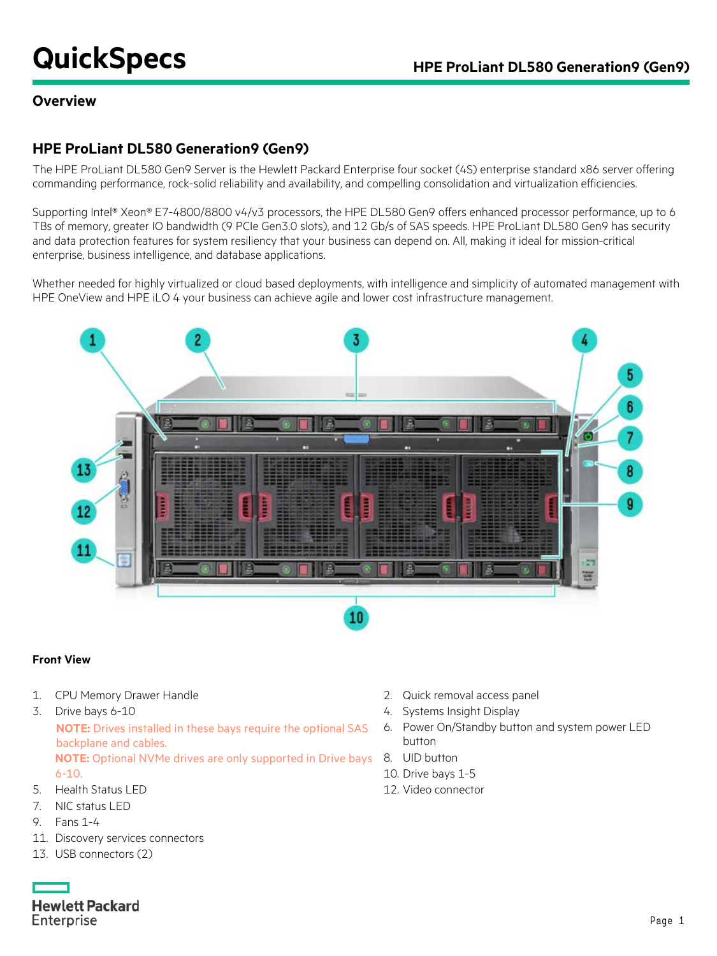# **QuickSpecs HPE ProLiant DL580 Generation9 (Gen9)**

### **Overview**

### **HPE ProLiant DL580 Generation9 (Gen9)**

The HPE ProLiant DL580 Gen9 Server is the Hewlett Packard Enterprise four socket (4S) enterprise standard x86 server offering commanding performance, rock-solid reliability and availability, and compelling consolidation and virtualization efficiencies.

Supporting Intel® Xeon® E7-4800/8800 v4/v3 processors, the HPE DL580 Gen9 offers enhanced processor performance, up to 6 TBs of memory, greater IO bandwidth (9 PCIe Gen3.0 slots), and 12 Gb/s of SAS speeds. HPE ProLiant DL580 Gen9 has security and data protection features for system resiliency that your business can depend on. All, making it ideal for mission-critical enterprise, business intelligence, and database applications.

Whether needed for highly virtualized or cloud based deployments, with intelligence and simplicity of automated management with HPE OneView and HPE iLO 4 your business can achieve agile and lower cost infrastructure management.



#### **Front View**

- 1. CPU Memory Drawer Handle 2. Quick removal access panel
- 3. Drive bays 6-10 **12. Secondary 12. Secondary 12. Systems Insight Display** 4. Systems Insight Display **NOTE:** Drives installed in these bays require the optional SAS backplane and cables. **NOTE:** Optional NVMe drives are only supported in Drive bays 8. UID button 6-10. 5. Health Status LED 12. Video connector
- 7. NIC status LED
- 9. Fans 1-4
- 11. Discovery services connectors
- 13. USB connectors (2)
- **Hewlett Packard** Enterprise
- 
- 
- 6. Power On/Standby button and system power LED button
	-
- 10. Drive bays 1-5
-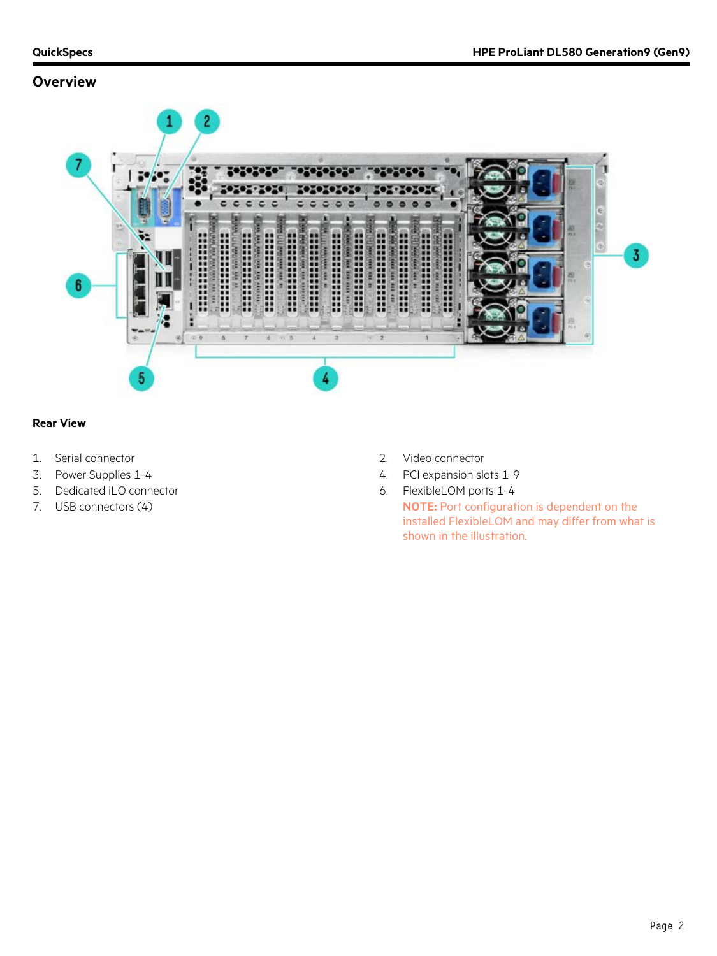### **Overview**



#### **Rear View**

- 1. Serial connector 2. Video connector
- 
- 5. Dedicated iLO connector **6. FlexibleLOM** ports 1-4
- 
- 
- 3. Power Supplies 1-4  $\overline{a}$  1-4  $\overline{b}$  1-9  $\overline{a}$  1-9  $\overline{a}$  1-9  $\overline{a}$  PCI expansion slots 1-9
	-

7. USB connectors (4) **NOTE:** Port configuration is dependent on the installed FlexibleLOM and may differ from what is shown in the illustration.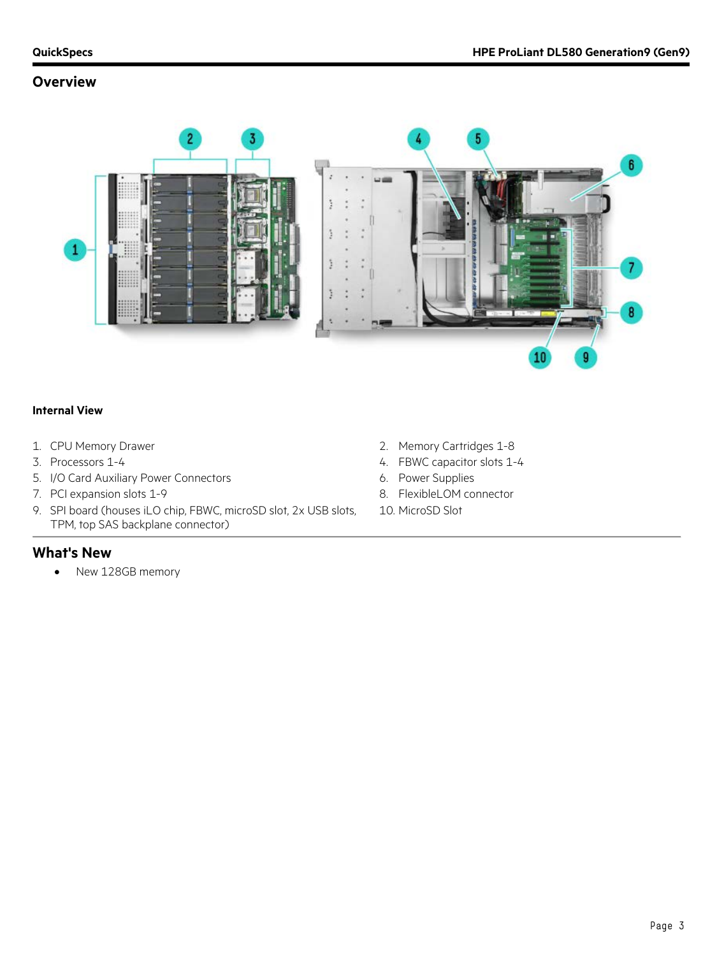### **Overview**



#### **Internal View**

- 
- 
- 5. I/O Card Auxiliary Power Connectors 6. Power Supplies
- 7. PCI expansion slots 1-9 8. FlexibleLOM connector
- 9. SPI board (houses iLO chip, FBWC, microSD slot, 2x USB slots, TPM, top SAS backplane connector)
- **What's New**
	- New 128GB memory
- 1. CPU Memory Drawer **2. Accord 2. Memory Cartridges 1-8**
- 3. Processors 1-4  $\overline{a}$  and  $\overline{a}$  are  $\overline{a}$  and  $\overline{a}$  are  $\overline{a}$  are  $\overline{a}$  are  $\overline{a}$  are  $\overline{a}$  and  $\overline{a}$  are  $\overline{a}$  are  $\overline{a}$  are  $\overline{a}$  and  $\overline{a}$  are  $\overline{a}$  are  $\overline{a}$  are  $\overline{a}$ 
	-
	-
	- 10. MicroSD Slot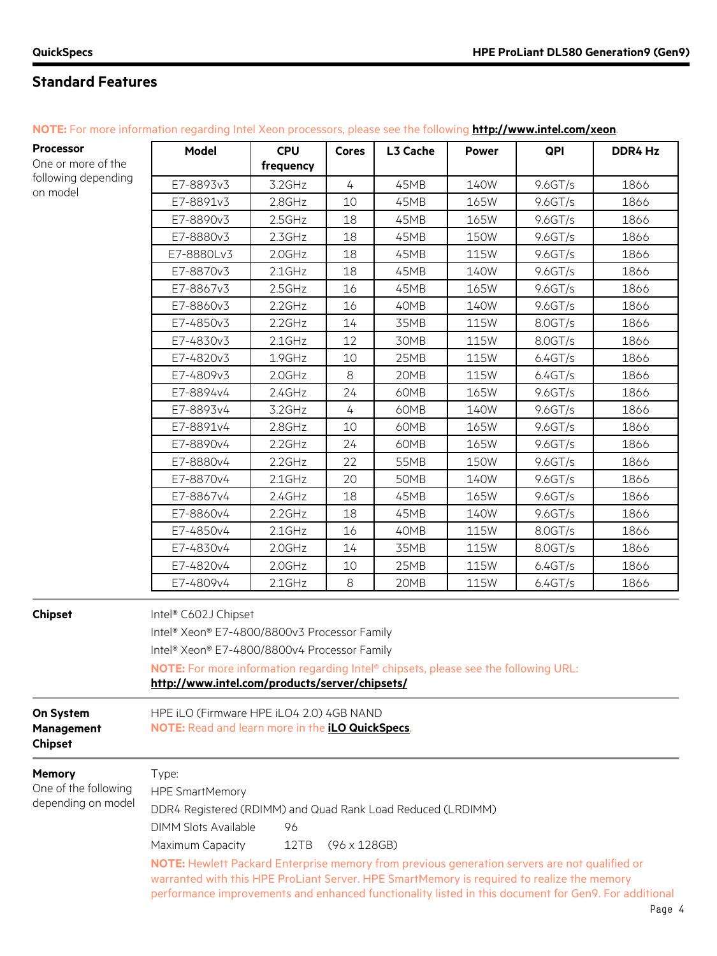٦

# **Standard Features**

| NOTE: For more information regarding Intel Xeon processors, please see the following http://www.intel.com/xeon. |       |     |                  |              |     |    |
|-----------------------------------------------------------------------------------------------------------------|-------|-----|------------------|--------------|-----|----|
| <b>Processor</b>                                                                                                | Model | CPU | Cores   L3 Cache | <b>Power</b> | QPI | DD |

| <b>Processor</b>                          | <b>Model</b>                                                                                         | <b>CPU</b> | <b>Cores</b>   | L3 Cache | <b>Power</b> | QPI       | DDR4 Hz |
|-------------------------------------------|------------------------------------------------------------------------------------------------------|------------|----------------|----------|--------------|-----------|---------|
| One or more of the                        |                                                                                                      | frequency  |                |          |              |           |         |
| following depending<br>on model           | E7-8893v3                                                                                            | 3.2GHz     | 4              | 45MB     | 140W         | 9.6 GT/s  | 1866    |
|                                           | E7-8891v3                                                                                            | $2.8$ GHz  | 10             | 45MB     | 165W         | 9.6 G T/s | 1866    |
|                                           | E7-8890v3                                                                                            | $2.5$ GHz  | 18             | 45MB     | 165W         | 9.6GT/s   | 1866    |
|                                           | E7-8880v3                                                                                            | $2.3$ GHz  | 18             | 45MB     | <b>150W</b>  | 9.6 G T/s | 1866    |
|                                           | E7-8880Lv3                                                                                           | $2.0$ GHz  | 18             | 45MB     | 115W         | 9.6 G T/s | 1866    |
|                                           | E7-8870v3                                                                                            | $2.1$ GHz  | 18             | 45MB     | 140W         | 9.6 GT/s  | 1866    |
|                                           | E7-8867v3                                                                                            | 2.5GHz     | 16             | 45MB     | 165W         | 9.6 G T/s | 1866    |
|                                           | E7-8860v3                                                                                            | $2.2$ GHz  | 16             | 40MB     | 140W         | 9.6 G T/s | 1866    |
|                                           | E7-4850v3                                                                                            | $2.2$ GHz  | 14             | 35MB     | <b>115W</b>  | 8.0GT/s   | 1866    |
|                                           | E7-4830v3                                                                                            | $2.1$ GHz  | 12             | 30MB     | 115W         | 8.0GT/s   | 1866    |
|                                           | E7-4820v3                                                                                            | 1.9GHz     | 10             | 25MB     | <b>115W</b>  | 6.4GT/s   | 1866    |
|                                           | E7-4809v3                                                                                            | $2.0$ GHz  | 8              | 20MB     | 115W         | 6.4GT/s   | 1866    |
|                                           | E7-8894v4                                                                                            | $2.4$ GHz  | 24             | 60MB     | 165W         | 9.6 GT/s  | 1866    |
|                                           | E7-8893v4                                                                                            | 3.2GHz     | $\overline{4}$ | 60MB     | 140W         | 9.6GT/s   | 1866    |
|                                           | E7-8891v4                                                                                            | $2.8$ GHz  | 10             | 60MB     | 165W         | 9.6 G T/s | 1866    |
|                                           | E7-8890v4                                                                                            | $2.2$ GHz  | 24             | 60MB     | 165W         | 9.6GT/s   | 1866    |
|                                           | E7-8880v4                                                                                            | $2.2$ GHz  | 22             | 55MB     | <b>150W</b>  | 9.6GT/s   | 1866    |
|                                           | E7-8870v4                                                                                            | $2.1$ GHz  | 20             | 50MB     | 140W         | 9.6 G T/s | 1866    |
|                                           | E7-8867v4                                                                                            | $2.4$ GHz  | 18             | 45MB     | 165W         | 9.6 G T/s | 1866    |
|                                           | E7-8860v4                                                                                            | $2.2$ GHz  | 18             | 45MB     | 140W         | 9.6 G T/s | 1866    |
|                                           | E7-4850v4                                                                                            | $2.1$ GHz  | 16             | 40MB     | 115W         | 8.0GT/s   | 1866    |
|                                           | E7-4830v4                                                                                            | 2.0GHz     | 14             | 35MB     | 115W         | 8.0GT/s   | 1866    |
|                                           | E7-4820v4                                                                                            | $2.0$ GHz  | 10             | 25MB     | 115W         | 6.4GT/s   | 1866    |
|                                           | E7-4809v4                                                                                            | $2.1$ GHz  | 8              | 20MB     | 115W         | 6.4GT/s   | 1866    |
| <b>Chipset</b>                            | Intel® C602J Chipset                                                                                 |            |                |          |              |           |         |
|                                           | Intel® Xeon® E7-4800/8800v3 Processor Family                                                         |            |                |          |              |           |         |
|                                           | Intel® Xeon® E7-4800/8800v4 Processor Family                                                         |            |                |          |              |           |         |
|                                           | NOTE: For more information regarding Intel® chipsets, please see the following URL:                  |            |                |          |              |           |         |
|                                           | http://www.intel.com/products/server/chipsets/                                                       |            |                |          |              |           |         |
| On System<br>Management<br><b>Chipset</b> | HPE iLO (Firmware HPE iLO4 2.0) 4GB NAND<br>NOTE: Read and learn more in the <i>iLO QuickSpecs</i> . |            |                |          |              |           |         |

**Memory**

L.

| <b>Memory</b>                              | Type:                                                                                                                                                                                                                                                                                               |  |  |  |
|--------------------------------------------|-----------------------------------------------------------------------------------------------------------------------------------------------------------------------------------------------------------------------------------------------------------------------------------------------------|--|--|--|
| One of the following<br>depending on model | <b>HPE SmartMemory</b>                                                                                                                                                                                                                                                                              |  |  |  |
|                                            | DDR4 Registered (RDIMM) and Quad Rank Load Reduced (LRDIMM)                                                                                                                                                                                                                                         |  |  |  |
|                                            | DIMM Slots Available<br>96                                                                                                                                                                                                                                                                          |  |  |  |
|                                            | Maximum Capacity<br>$(96 \times 128$ GB)<br>12TB                                                                                                                                                                                                                                                    |  |  |  |
|                                            | NOTE: Hewlett Packard Enterprise memory from previous generation servers are not qualified or<br>warranted with this HPE ProLiant Server. HPE SmartMemory is required to realize the memory<br>performance improvements and enhanced functionality listed in this document for Gen9. For additional |  |  |  |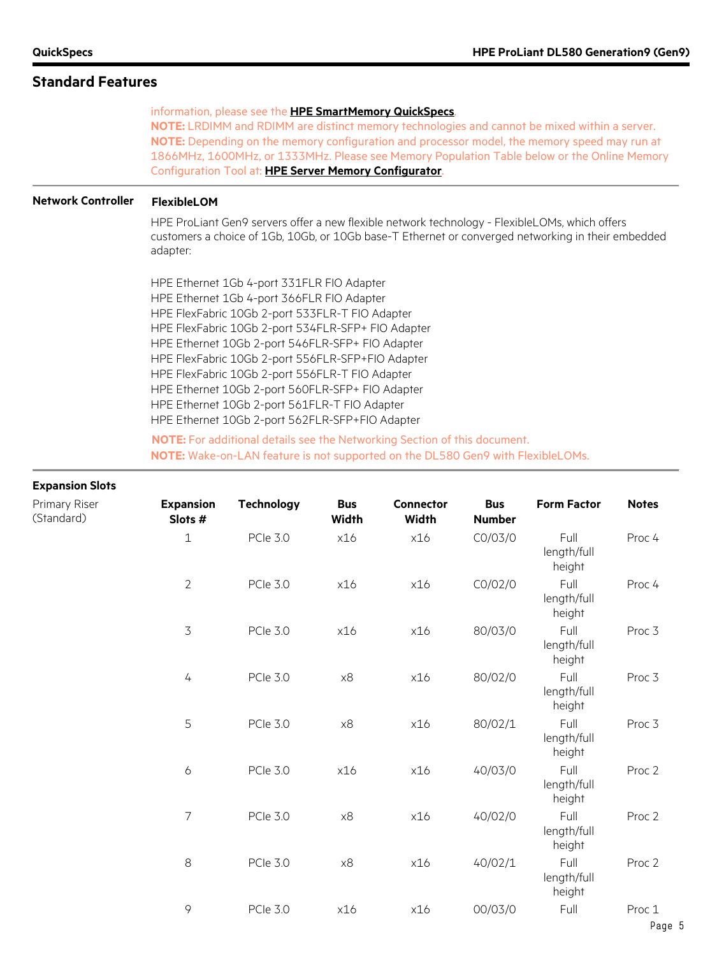#### **Standard Features**

information, please see the **[HPE SmartMemory QuickSpecs](https://www.hpe.com/h20195/v2/GetHTML.aspx?docname=c04355083)**.

**NOTE:** LRDIMM and RDIMM are distinct memory technologies and cannot be mixed within a server. **NOTE:** Depending on the memory configuration and processor model, the memory speed may run at 1866MHz, 1600MHz, or 1333MHz. Please see Memory Population Table below or the Online Memory Configuration Tool at: **[HPE Server Memory Configurator](http://h22195.www2.hp.com/DDR4memoryconfig/Home/Legal)**.

#### **Network Controller FlexibleLOM**

HPE ProLiant Gen9 servers offer a new flexible network technology - FlexibleLOMs, which offers customers a choice of 1Gb, 10Gb, or 10Gb base-T Ethernet or converged networking in their embedded adapter:

HPE Ethernet 1Gb 4-port 331FLR FIO Adapter HPE Ethernet 1Gb 4-port 366FLR FIO Adapter HPE FlexFabric 10Gb 2-port 533FLR-T FIO Adapter HPE FlexFabric 10Gb 2-port 534FLR-SFP+ FIO Adapter HPE Ethernet 10Gb 2-port 546FLR-SFP+ FIO Adapter HPE FlexFabric 10Gb 2-port 556FLR-SFP+FIO Adapter HPE FlexFabric 10Gb 2-port 556FLR-T FIO Adapter HPE Ethernet 10Gb 2-port 560FLR-SFP+ FIO Adapter HPE Ethernet 10Gb 2-port 561FLR-T FIO Adapter HPE Ethernet 10Gb 2-port 562FLR-SFP+FIO Adapter

**NOTE:** For additional details see the Networking Section of this document. **NOTE:** Wake-on-LAN feature is not supported on the DL580 Gen9 with FlexibleLOMs.

#### **Expansion Slots**

| Primary Riser<br>(Standard) | <b>Expansion</b><br>Slots # | <b>Technology</b> | <b>Bus</b><br><b>Width</b> | <b>Connector</b><br><b>Width</b> | <b>Bus</b><br><b>Number</b> | <b>Form Factor</b>            | <b>Notes</b> |
|-----------------------------|-----------------------------|-------------------|----------------------------|----------------------------------|-----------------------------|-------------------------------|--------------|
|                             | $\mathbf{1}$                | <b>PCle 3.0</b>   | x16                        | x16                              | CO/O3/O                     | Full<br>length/full<br>height | Proc 4       |
|                             | $\overline{2}$              | <b>PCle 3.0</b>   | x16                        | x16                              | CO/02/0                     | Full<br>length/full<br>height | Proc 4       |
|                             | 3                           | <b>PCle 3.0</b>   | x16                        | x16                              | 80/03/0                     | Full<br>length/full<br>height | Proc 3       |
|                             | $\sqrt{2}$                  | <b>PCle 3.0</b>   | $\times 8$                 | x16                              | 80/02/0                     | Full<br>length/full<br>height | Proc 3       |
|                             | 5                           | <b>PCle 3.0</b>   | $\times 8$                 | x16                              | 80/02/1                     | Full<br>length/full<br>height | Proc 3       |
|                             | $\boldsymbol{6}$            | <b>PCle 3.0</b>   | x16                        | x16                              | 40/03/0                     | Full<br>length/full<br>height | Proc 2       |
|                             | $\overline{7}$              | <b>PCle 3.0</b>   | $\times 8$                 | x16                              | 40/02/0                     | Full<br>length/full<br>height | Proc 2       |
|                             | $\,8\,$                     | <b>PCle 3.0</b>   | $\times 8$                 | x16                              | 40/02/1                     | Full<br>length/full<br>height | Proc 2       |
|                             | 9                           | <b>PCle 3.0</b>   | x16                        | x16                              | 00/03/0                     | Full                          | Proc 1       |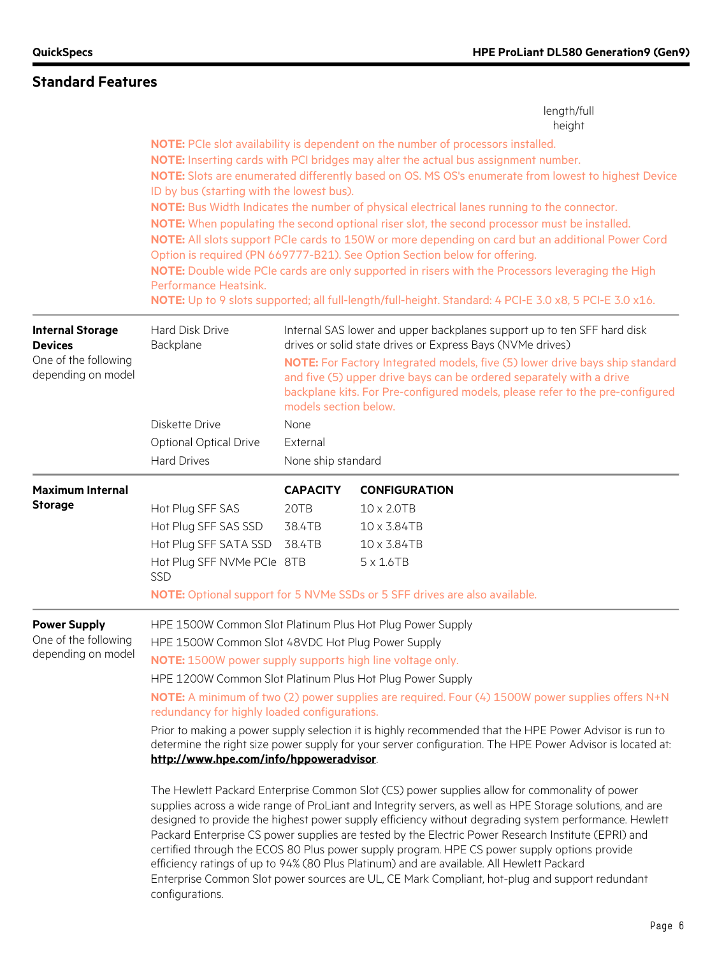|                                                                                         |                                                                                                                                                                                                                                                                                                                                                        |                                             | length/full<br>height                                                                                                                                                                                                                                                                                                                                                                                                                                                                                                                                                                                                                                                                                                                                                                                                                                                                                                                                                                                                                                |
|-----------------------------------------------------------------------------------------|--------------------------------------------------------------------------------------------------------------------------------------------------------------------------------------------------------------------------------------------------------------------------------------------------------------------------------------------------------|---------------------------------------------|------------------------------------------------------------------------------------------------------------------------------------------------------------------------------------------------------------------------------------------------------------------------------------------------------------------------------------------------------------------------------------------------------------------------------------------------------------------------------------------------------------------------------------------------------------------------------------------------------------------------------------------------------------------------------------------------------------------------------------------------------------------------------------------------------------------------------------------------------------------------------------------------------------------------------------------------------------------------------------------------------------------------------------------------------|
|                                                                                         | ID by bus (starting with the lowest bus).<br>Performance Heatsink.                                                                                                                                                                                                                                                                                     |                                             | NOTE: PCIe slot availability is dependent on the number of processors installed.<br>NOTE: Inserting cards with PCI bridges may alter the actual bus assignment number.<br>NOTE: Slots are enumerated differently based on OS. MS OS's enumerate from lowest to highest Device<br>NOTE: Bus Width Indicates the number of physical electrical lanes running to the connector.<br>NOTE: When populating the second optional riser slot, the second processor must be installed.<br>NOTE: All slots support PCIe cards to 150W or more depending on card but an additional Power Cord<br>Option is required (PN 669777-B21). See Option Section below for offering.<br>NOTE: Double wide PCIe cards are only supported in risers with the Processors leveraging the High<br>NOTE: Up to 9 slots supported; all full-length/full-height. Standard: 4 PCI-E 3.0 x8, 5 PCI-E 3.0 x16.                                                                                                                                                                      |
| <b>Internal Storage</b><br><b>Devices</b><br>One of the following<br>depending on model | Hard Disk Drive<br>Backplane<br>Diskette Drive                                                                                                                                                                                                                                                                                                         | models section below.<br>None               | Internal SAS lower and upper backplanes support up to ten SFF hard disk<br>drives or solid state drives or Express Bays (NVMe drives)<br>NOTE: For Factory Integrated models, five (5) lower drive bays ship standard<br>and five (5) upper drive bays can be ordered separately with a drive<br>backplane kits. For Pre-configured models, please refer to the pre-configured                                                                                                                                                                                                                                                                                                                                                                                                                                                                                                                                                                                                                                                                       |
|                                                                                         | <b>Optional Optical Drive</b><br><b>Hard Drives</b>                                                                                                                                                                                                                                                                                                    | External<br>None ship standard              |                                                                                                                                                                                                                                                                                                                                                                                                                                                                                                                                                                                                                                                                                                                                                                                                                                                                                                                                                                                                                                                      |
| <b>Maximum Internal</b><br><b>Storage</b>                                               | Hot Plug SFF SAS<br>Hot Plug SFF SAS SSD<br>Hot Plug SFF SATA SSD<br>Hot Plug SFF NVMe PCIe 8TB<br>SSD                                                                                                                                                                                                                                                 | <b>CAPACITY</b><br>20TB<br>38.4TB<br>38.4TB | <b>CONFIGURATION</b><br>10 x 2.0TB<br>10 x 3.84TB<br>10 x 3.84TB<br>$5 \times 1.6$ TB<br>NOTE: Optional support for 5 NVMe SSDs or 5 SFF drives are also available.                                                                                                                                                                                                                                                                                                                                                                                                                                                                                                                                                                                                                                                                                                                                                                                                                                                                                  |
| <b>Power Supply</b><br>One of the following<br>depending on model                       | HPE 1500W Common Slot Platinum Plus Hot Plug Power Supply<br>HPE 1500W Common Slot 48VDC Hot Plug Power Supply<br>NOTE: 1500W power supply supports high line voltage only.<br>HPE 1200W Common Slot Platinum Plus Hot Plug Power Supply<br>redundancy for highly loaded configurations.<br>http://www.hpe.com/info/hppoweradvisor.<br>configurations. |                                             | NOTE: A minimum of two (2) power supplies are required. Four (4) 1500W power supplies offers N+N<br>Prior to making a power supply selection it is highly recommended that the HPE Power Advisor is run to<br>determine the right size power supply for your server configuration. The HPE Power Advisor is located at:<br>The Hewlett Packard Enterprise Common Slot (CS) power supplies allow for commonality of power<br>supplies across a wide range of ProLiant and Integrity servers, as well as HPE Storage solutions, and are<br>designed to provide the highest power supply efficiency without degrading system performance. Hewlett<br>Packard Enterprise CS power supplies are tested by the Electric Power Research Institute (EPRI) and<br>certified through the ECOS 80 Plus power supply program. HPE CS power supply options provide<br>efficiency ratings of up to 94% (80 Plus Platinum) and are available. All Hewlett Packard<br>Enterprise Common Slot power sources are UL, CE Mark Compliant, hot-plug and support redundant |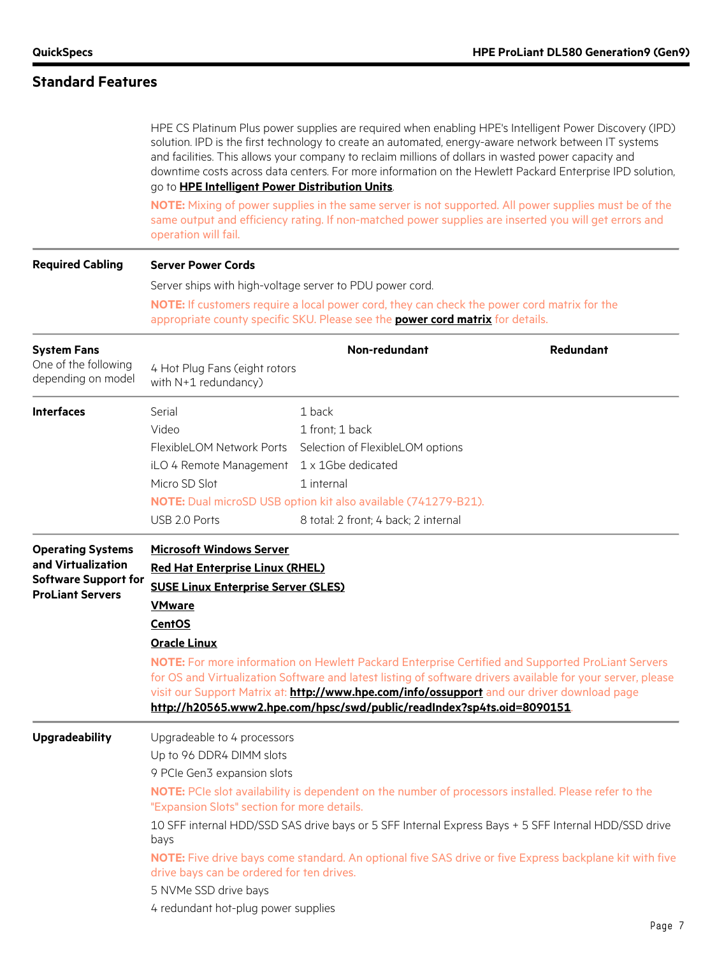# **Standard Features**

|                                            | go to HPE Intelligent Power Distribution Units.<br>operation will fail. | and facilities. This allows your company to reclaim millions of dollars in wasted power capacity and                                                                          | HPE CS Platinum Plus power supplies are required when enabling HPE's Intelligent Power Discovery (IPD)<br>solution. IPD is the first technology to create an automated, energy-aware network between IT systems<br>downtime costs across data centers. For more information on the Hewlett Packard Enterprise IPD solution,<br>NOTE: Mixing of power supplies in the same server is not supported. All power supplies must be of the<br>same output and efficiency rating. If non-matched power supplies are inserted you will get errors and |  |  |  |
|--------------------------------------------|-------------------------------------------------------------------------|-------------------------------------------------------------------------------------------------------------------------------------------------------------------------------|-----------------------------------------------------------------------------------------------------------------------------------------------------------------------------------------------------------------------------------------------------------------------------------------------------------------------------------------------------------------------------------------------------------------------------------------------------------------------------------------------------------------------------------------------|--|--|--|
| <b>Required Cabling</b>                    | <b>Server Power Cords</b>                                               |                                                                                                                                                                               |                                                                                                                                                                                                                                                                                                                                                                                                                                                                                                                                               |  |  |  |
|                                            | Server ships with high-voltage server to PDU power cord.                |                                                                                                                                                                               |                                                                                                                                                                                                                                                                                                                                                                                                                                                                                                                                               |  |  |  |
|                                            |                                                                         | NOTE: If customers require a local power cord, they can check the power cord matrix for the<br>appropriate county specific SKU. Please see the power cord matrix for details. |                                                                                                                                                                                                                                                                                                                                                                                                                                                                                                                                               |  |  |  |
| <b>System Fans</b>                         |                                                                         | Non-redundant                                                                                                                                                                 | Redundant                                                                                                                                                                                                                                                                                                                                                                                                                                                                                                                                     |  |  |  |
| One of the following<br>depending on model | 4 Hot Plug Fans (eight rotors<br>with N+1 redundancy)                   |                                                                                                                                                                               |                                                                                                                                                                                                                                                                                                                                                                                                                                                                                                                                               |  |  |  |
| <b>Interfaces</b>                          | Serial                                                                  | 1 back                                                                                                                                                                        |                                                                                                                                                                                                                                                                                                                                                                                                                                                                                                                                               |  |  |  |
|                                            | Video                                                                   | 1 front: 1 back                                                                                                                                                               |                                                                                                                                                                                                                                                                                                                                                                                                                                                                                                                                               |  |  |  |
|                                            | FlexibleLOM Network Ports                                               | Selection of FlexibleLOM options                                                                                                                                              |                                                                                                                                                                                                                                                                                                                                                                                                                                                                                                                                               |  |  |  |
|                                            | iLO 4 Remote Management 1 x 1Gbe dedicated                              |                                                                                                                                                                               |                                                                                                                                                                                                                                                                                                                                                                                                                                                                                                                                               |  |  |  |
|                                            | Micro SD Slot                                                           | 1 internal                                                                                                                                                                    |                                                                                                                                                                                                                                                                                                                                                                                                                                                                                                                                               |  |  |  |
|                                            |                                                                         | NOTE: Dual microSD USB option kit also available (741279-B21).                                                                                                                |                                                                                                                                                                                                                                                                                                                                                                                                                                                                                                                                               |  |  |  |
|                                            | USB 2.0 Ports                                                           | 8 total: 2 front; 4 back; 2 internal                                                                                                                                          |                                                                                                                                                                                                                                                                                                                                                                                                                                                                                                                                               |  |  |  |
| <b>Operating Systems</b>                   | <b>Microsoft Windows Server</b>                                         |                                                                                                                                                                               |                                                                                                                                                                                                                                                                                                                                                                                                                                                                                                                                               |  |  |  |
| and Virtualization                         | <b>Red Hat Enterprise Linux (RHEL)</b>                                  |                                                                                                                                                                               |                                                                                                                                                                                                                                                                                                                                                                                                                                                                                                                                               |  |  |  |
| <b>Software Support for</b>                | <b>SUSE Linux Enterprise Server (SLES)</b>                              |                                                                                                                                                                               |                                                                                                                                                                                                                                                                                                                                                                                                                                                                                                                                               |  |  |  |
| <b>ProLiant Servers</b>                    | <b>VMware</b>                                                           |                                                                                                                                                                               |                                                                                                                                                                                                                                                                                                                                                                                                                                                                                                                                               |  |  |  |
|                                            | <b>CentOS</b>                                                           |                                                                                                                                                                               |                                                                                                                                                                                                                                                                                                                                                                                                                                                                                                                                               |  |  |  |
|                                            | <b>Oracle Linux</b>                                                     |                                                                                                                                                                               |                                                                                                                                                                                                                                                                                                                                                                                                                                                                                                                                               |  |  |  |
|                                            |                                                                         | visit our Support Matrix at: <b>http://www.hpe.com/info/ossupport</b> and our driver download page<br>http://h20565.www2.hpe.com/hpsc/swd/public/readIndex?sp4ts.oid=8090151. | NOTE: For more information on Hewlett Packard Enterprise Certified and Supported ProLiant Servers<br>for OS and Virtualization Software and latest listing of software drivers available for your server, please                                                                                                                                                                                                                                                                                                                              |  |  |  |
| <b>Upgradeability</b>                      | Upgradeable to 4 processors                                             |                                                                                                                                                                               |                                                                                                                                                                                                                                                                                                                                                                                                                                                                                                                                               |  |  |  |
|                                            | Up to 96 DDR4 DIMM slots                                                |                                                                                                                                                                               |                                                                                                                                                                                                                                                                                                                                                                                                                                                                                                                                               |  |  |  |
|                                            | 9 PCIe Gen3 expansion slots                                             |                                                                                                                                                                               |                                                                                                                                                                                                                                                                                                                                                                                                                                                                                                                                               |  |  |  |
|                                            | "Expansion Slots" section for more details.                             | NOTE: PCIe slot availability is dependent on the number of processors installed. Please refer to the                                                                          |                                                                                                                                                                                                                                                                                                                                                                                                                                                                                                                                               |  |  |  |
|                                            | bays                                                                    |                                                                                                                                                                               | 10 SFF internal HDD/SSD SAS drive bays or 5 SFF Internal Express Bays + 5 SFF Internal HDD/SSD drive                                                                                                                                                                                                                                                                                                                                                                                                                                          |  |  |  |
|                                            | drive bays can be ordered for ten drives.                               |                                                                                                                                                                               | NOTE: Five drive bays come standard. An optional five SAS drive or five Express backplane kit with five                                                                                                                                                                                                                                                                                                                                                                                                                                       |  |  |  |
|                                            | 5 NVMe SSD drive bays                                                   |                                                                                                                                                                               |                                                                                                                                                                                                                                                                                                                                                                                                                                                                                                                                               |  |  |  |
|                                            | 4 redundant hot-plug power supplies                                     |                                                                                                                                                                               |                                                                                                                                                                                                                                                                                                                                                                                                                                                                                                                                               |  |  |  |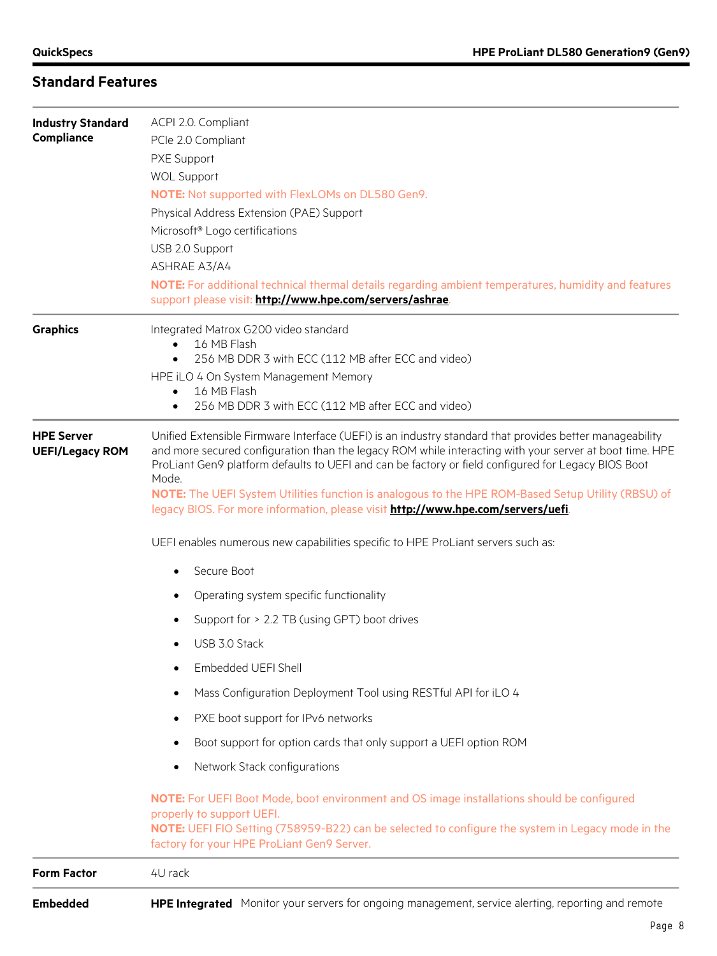| <b>Industry Standard</b>                    | ACPI 2.0. Compliant                                                                                                                                                                                                                                                                                                       |  |  |  |  |
|---------------------------------------------|---------------------------------------------------------------------------------------------------------------------------------------------------------------------------------------------------------------------------------------------------------------------------------------------------------------------------|--|--|--|--|
| Compliance                                  | PCle 2.0 Compliant                                                                                                                                                                                                                                                                                                        |  |  |  |  |
|                                             | PXE Support                                                                                                                                                                                                                                                                                                               |  |  |  |  |
|                                             | <b>WOL Support</b>                                                                                                                                                                                                                                                                                                        |  |  |  |  |
|                                             | NOTE: Not supported with FlexLOMs on DL580 Gen9.                                                                                                                                                                                                                                                                          |  |  |  |  |
|                                             | Physical Address Extension (PAE) Support                                                                                                                                                                                                                                                                                  |  |  |  |  |
|                                             | Microsoft <sup>®</sup> Logo certifications                                                                                                                                                                                                                                                                                |  |  |  |  |
|                                             | USB 2.0 Support                                                                                                                                                                                                                                                                                                           |  |  |  |  |
|                                             | <b>ASHRAE A3/A4</b>                                                                                                                                                                                                                                                                                                       |  |  |  |  |
|                                             | NOTE: For additional technical thermal details regarding ambient temperatures, humidity and features<br>support please visit: http://www.hpe.com/servers/ashrae.                                                                                                                                                          |  |  |  |  |
| <b>Graphics</b>                             | Integrated Matrox G200 video standard<br>16 MB Flash<br>$\bullet$                                                                                                                                                                                                                                                         |  |  |  |  |
|                                             | 256 MB DDR 3 with ECC (112 MB after ECC and video)<br>$\bullet$                                                                                                                                                                                                                                                           |  |  |  |  |
|                                             | HPE iLO 4 On System Management Memory                                                                                                                                                                                                                                                                                     |  |  |  |  |
|                                             | 16 MB Flash<br>$\bullet$                                                                                                                                                                                                                                                                                                  |  |  |  |  |
|                                             | 256 MB DDR 3 with ECC (112 MB after ECC and video)<br>$\bullet$                                                                                                                                                                                                                                                           |  |  |  |  |
| <b>HPE Server</b><br><b>UEFI/Legacy ROM</b> | Unified Extensible Firmware Interface (UEFI) is an industry standard that provides better manageability<br>and more secured configuration than the legacy ROM while interacting with your server at boot time. HPE<br>ProLiant Gen9 platform defaults to UEFI and can be factory or field configured for Legacy BIOS Boot |  |  |  |  |
|                                             | Mode.<br>NOTE: The UEFI System Utilities function is analogous to the HPE ROM-Based Setup Utility (RBSU) of<br>legacy BIOS. For more information, please visit http://www.hpe.com/servers/uefi.                                                                                                                           |  |  |  |  |
|                                             | UEFI enables numerous new capabilities specific to HPE ProLiant servers such as:                                                                                                                                                                                                                                          |  |  |  |  |
|                                             | Secure Boot<br>$\bullet$                                                                                                                                                                                                                                                                                                  |  |  |  |  |
|                                             | Operating system specific functionality<br>٠                                                                                                                                                                                                                                                                              |  |  |  |  |
|                                             | Support for > 2.2 TB (using GPT) boot drives                                                                                                                                                                                                                                                                              |  |  |  |  |
|                                             | USB 3.0 Stack                                                                                                                                                                                                                                                                                                             |  |  |  |  |
|                                             | Embedded UEFI Shell                                                                                                                                                                                                                                                                                                       |  |  |  |  |
|                                             | Mass Configuration Deployment Tool using RESTful API for iLO 4                                                                                                                                                                                                                                                            |  |  |  |  |
|                                             | PXE boot support for IPv6 networks                                                                                                                                                                                                                                                                                        |  |  |  |  |
|                                             | Boot support for option cards that only support a UEFI option ROM                                                                                                                                                                                                                                                         |  |  |  |  |
|                                             | Network Stack configurations                                                                                                                                                                                                                                                                                              |  |  |  |  |
|                                             | NOTE: For UEFI Boot Mode, boot environment and OS image installations should be configured<br>properly to support UEFI.<br>NOTE: UEFI FIO Setting (758959-B22) can be selected to configure the system in Legacy mode in the                                                                                              |  |  |  |  |
|                                             | factory for your HPE ProLiant Gen9 Server.                                                                                                                                                                                                                                                                                |  |  |  |  |
| <b>Form Factor</b>                          | 4U rack                                                                                                                                                                                                                                                                                                                   |  |  |  |  |
| <b>Embedded</b>                             | HPE Integrated Monitor your servers for ongoing management, service alerting, reporting and remote                                                                                                                                                                                                                        |  |  |  |  |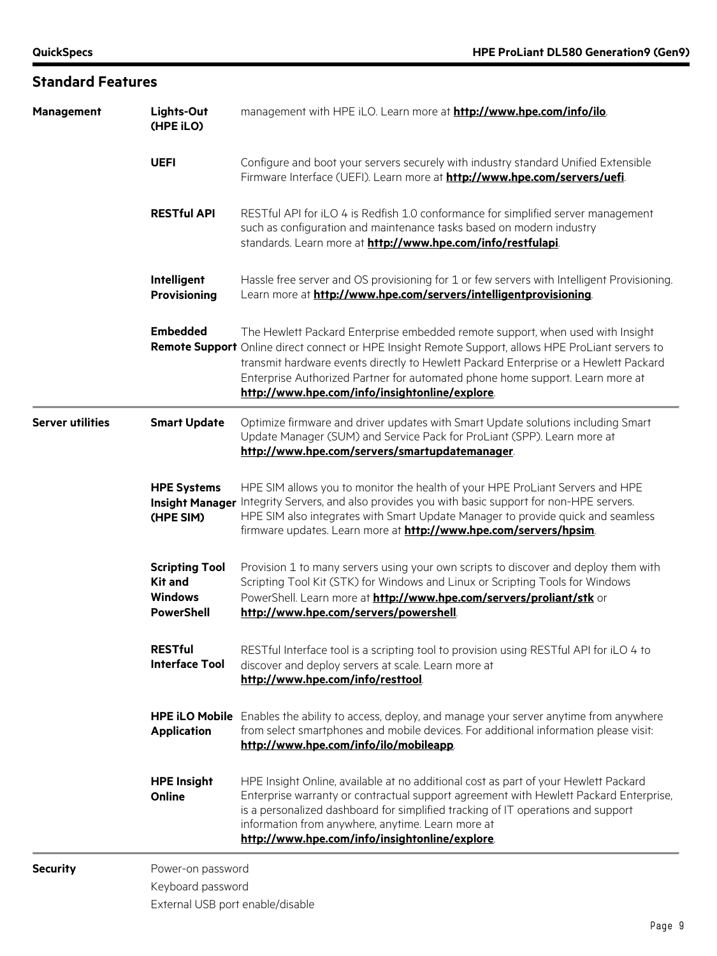| <b>Standard Features</b> |                                                                                |                                                                                                                                                                                                                                                                                                                                                                                                                 |
|--------------------------|--------------------------------------------------------------------------------|-----------------------------------------------------------------------------------------------------------------------------------------------------------------------------------------------------------------------------------------------------------------------------------------------------------------------------------------------------------------------------------------------------------------|
| <b>Management</b>        | Lights-Out<br>(HPE iLO)                                                        | management with HPE iLO. Learn more at http://www.hpe.com/info/ilo.                                                                                                                                                                                                                                                                                                                                             |
|                          | <b>UEFI</b>                                                                    | Configure and boot your servers securely with industry standard Unified Extensible<br>Firmware Interface (UEFI). Learn more at http://www.hpe.com/servers/uefi.                                                                                                                                                                                                                                                 |
|                          | <b>RESTful API</b>                                                             | RESTful API for iLO 4 is Redfish 1.0 conformance for simplified server management<br>such as configuration and maintenance tasks based on modern industry<br>standards. Learn more at http://www.hpe.com/info/restfulapi.                                                                                                                                                                                       |
|                          | Intelligent<br><b>Provisioning</b>                                             | Hassle free server and OS provisioning for 1 or few servers with Intelligent Provisioning.<br>Learn more at http://www.hpe.com/servers/intelligentprovisioning.                                                                                                                                                                                                                                                 |
|                          | <b>Embedded</b>                                                                | The Hewlett Packard Enterprise embedded remote support, when used with Insight<br>Remote Support Online direct connect or HPE Insight Remote Support, allows HPE ProLiant servers to<br>transmit hardware events directly to Hewlett Packard Enterprise or a Hewlett Packard<br>Enterprise Authorized Partner for automated phone home support. Learn more at<br>http://www.hpe.com/info/insightonline/explore. |
| <b>Server utilities</b>  | <b>Smart Update</b>                                                            | Optimize firmware and driver updates with Smart Update solutions including Smart<br>Update Manager (SUM) and Service Pack for ProLiant (SPP). Learn more at<br>http://www.hpe.com/servers/smartupdatemanager                                                                                                                                                                                                    |
|                          | <b>HPE Systems</b><br><b>Insight Manager</b><br>(HPE SIM)                      | HPE SIM allows you to monitor the health of your HPE ProLiant Servers and HPE<br>Integrity Servers, and also provides you with basic support for non-HPE servers.<br>HPE SIM also integrates with Smart Update Manager to provide quick and seamless<br>firmware updates. Learn more at <b>http://www.hpe.com/servers/hpsim</b> .                                                                               |
|                          | <b>Scripting Tool</b><br><b>Kit and</b><br><b>Windows</b><br><b>PowerShell</b> | Provision 1 to many servers using your own scripts to discover and deploy them with<br>Scripting Tool Kit (STK) for Windows and Linux or Scripting Tools for Windows<br>PowerShell. Learn more at http://www.hpe.com/servers/proliant/stk or<br>http://www.hpe.com/servers/powershell                                                                                                                           |
|                          | <b>RESTful</b><br><b>Interface Tool</b>                                        | RESTful Interface tool is a scripting tool to provision using RESTful API for iLO 4 to<br>discover and deploy servers at scale. Learn more at<br>http://www.hpe.com/info/resttool.                                                                                                                                                                                                                              |
|                          | <b>Application</b>                                                             | HPE iLO Mobile Enables the ability to access, deploy, and manage your server anytime from anywhere<br>from select smartphones and mobile devices. For additional information please visit:<br>http://www.hpe.com/info/ilo/mobileapp                                                                                                                                                                             |
|                          | <b>HPE Insight</b><br>Online                                                   | HPE Insight Online, available at no additional cost as part of your Hewlett Packard<br>Enterprise warranty or contractual support agreement with Hewlett Packard Enterprise,<br>is a personalized dashboard for simplified tracking of IT operations and support<br>information from anywhere, anytime. Learn more at<br>http://www.hpe.com/info/insightonline/explore.                                         |
| <b>Security</b>          | Power-on password<br>Keyboard password<br>External USB port enable/disable     |                                                                                                                                                                                                                                                                                                                                                                                                                 |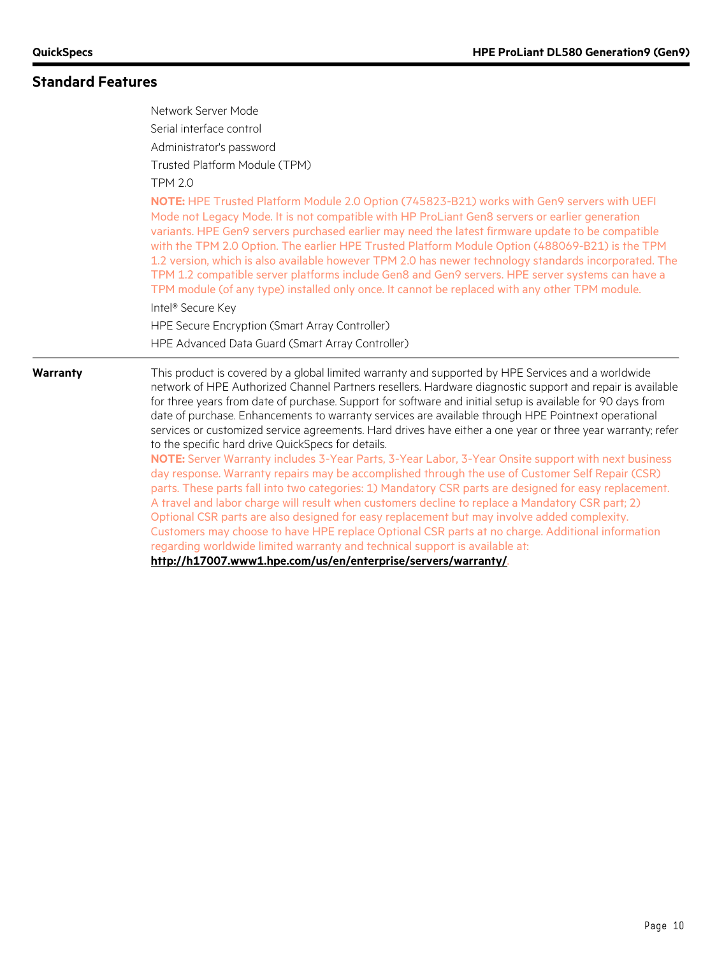# **Standard Features**

|          | Network Server Mode<br>Serial interface control<br>Administrator's password                                                                                                                                                                                                                                                                                                                                                                                                                                                                                                                                                                                                                                                                                                                                                                                 |
|----------|-------------------------------------------------------------------------------------------------------------------------------------------------------------------------------------------------------------------------------------------------------------------------------------------------------------------------------------------------------------------------------------------------------------------------------------------------------------------------------------------------------------------------------------------------------------------------------------------------------------------------------------------------------------------------------------------------------------------------------------------------------------------------------------------------------------------------------------------------------------|
|          | Trusted Platform Module (TPM)<br><b>TPM 2.0</b>                                                                                                                                                                                                                                                                                                                                                                                                                                                                                                                                                                                                                                                                                                                                                                                                             |
|          | NOTE: HPE Trusted Platform Module 2.0 Option (745823-B21) works with Gen9 servers with UEFI<br>Mode not Legacy Mode. It is not compatible with HP ProLiant Gen8 servers or earlier generation<br>variants. HPE Gen9 servers purchased earlier may need the latest firmware update to be compatible<br>with the TPM 2.0 Option. The earlier HPE Trusted Platform Module Option (488069-B21) is the TPM<br>1.2 version, which is also available however TPM 2.0 has newer technology standards incorporated. The<br>TPM 1.2 compatible server platforms include Gen8 and Gen9 servers. HPE server systems can have a<br>TPM module (of any type) installed only once. It cannot be replaced with any other TPM module.<br>Intel <sup>®</sup> Secure Key<br>HPE Secure Encryption (Smart Array Controller)<br>HPE Advanced Data Guard (Smart Array Controller) |
| Warranty | This product is covered by a global limited warranty and supported by HPE Services and a worldwide<br>network of HPE Authorized Channel Partners resellers. Hardware diagnostic support and repair is available<br>for three years from date of purchase. Support for software and initial setup is available for 90 days from<br>date of purchase. Enhancements to warranty services are available through HPE Pointnext operational<br>services or customized service agreements. Hard drives have either a one year or three year warranty; refer<br>to the specific hard drive QuickSpecs for details.                                                                                                                                                                                                                                                  |
|          | NOTE: Server Warranty includes 3-Year Parts, 3-Year Labor, 3-Year Onsite support with next business<br>day response. Warranty repairs may be accomplished through the use of Customer Self Repair (CSR)<br>parts. These parts fall into two categories: 1) Mandatory CSR parts are designed for easy replacement.<br>A travel and labor charge will result when customers decline to replace a Mandatory CSR part; 2)<br>Optional CSR parts are also designed for easy replacement but may involve added complexity.                                                                                                                                                                                                                                                                                                                                        |
|          | Customers may choose to have HPE replace Optional CSR parts at no charge. Additional information<br>regarding worldwide limited warranty and technical support is available at:                                                                                                                                                                                                                                                                                                                                                                                                                                                                                                                                                                                                                                                                             |
|          | http://h17007.www1.hpe.com/us/en/enterprise/servers/warranty/                                                                                                                                                                                                                                                                                                                                                                                                                                                                                                                                                                                                                                                                                                                                                                                               |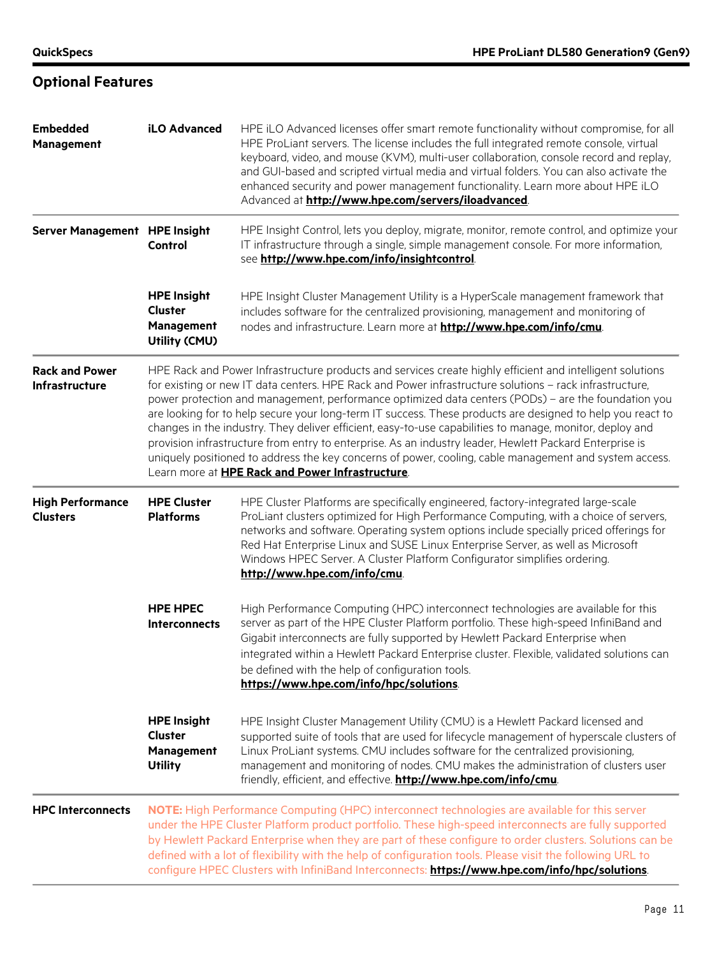# **Optional Features**

| <b>Embedded</b><br>Management                  | iLO Advanced                                                         | HPE iLO Advanced licenses offer smart remote functionality without compromise, for all<br>HPE ProLiant servers. The license includes the full integrated remote console, virtual<br>keyboard, video, and mouse (KVM), multi-user collaboration, console record and replay,<br>and GUI-based and scripted virtual media and virtual folders. You can also activate the<br>enhanced security and power management functionality. Learn more about HPE iLO<br>Advanced at http://www.hpe.com/servers/iloadvanced.                                                                                                                                                                                                                                                                                                                 |
|------------------------------------------------|----------------------------------------------------------------------|--------------------------------------------------------------------------------------------------------------------------------------------------------------------------------------------------------------------------------------------------------------------------------------------------------------------------------------------------------------------------------------------------------------------------------------------------------------------------------------------------------------------------------------------------------------------------------------------------------------------------------------------------------------------------------------------------------------------------------------------------------------------------------------------------------------------------------|
| Server Management HPE Insight                  | Control                                                              | HPE Insight Control, lets you deploy, migrate, monitor, remote control, and optimize your<br>IT infrastructure through a single, simple management console. For more information,<br>see http://www.hpe.com/info/insightcontrol.                                                                                                                                                                                                                                                                                                                                                                                                                                                                                                                                                                                               |
|                                                | <b>HPE Insight</b><br><b>Cluster</b><br>Management<br>Utility (CMU)  | HPE Insight Cluster Management Utility is a HyperScale management framework that<br>includes software for the centralized provisioning, management and monitoring of<br>nodes and infrastructure. Learn more at http://www.hpe.com/info/cmu.                                                                                                                                                                                                                                                                                                                                                                                                                                                                                                                                                                                   |
| <b>Rack and Power</b><br><b>Infrastructure</b> |                                                                      | HPE Rack and Power Infrastructure products and services create highly efficient and intelligent solutions<br>for existing or new IT data centers. HPE Rack and Power infrastructure solutions - rack infrastructure,<br>power protection and management, performance optimized data centers (PODs) - are the foundation you<br>are looking for to help secure your long-term IT success. These products are designed to help you react to<br>changes in the industry. They deliver efficient, easy-to-use capabilities to manage, monitor, deploy and<br>provision infrastructure from entry to enterprise. As an industry leader, Hewlett Packard Enterprise is<br>uniquely positioned to address the key concerns of power, cooling, cable management and system access.<br>Learn more at HPE Rack and Power Infrastructure. |
| <b>High Performance</b><br><b>Clusters</b>     | <b>HPE Cluster</b><br><b>Platforms</b>                               | HPE Cluster Platforms are specifically engineered, factory-integrated large-scale<br>ProLiant clusters optimized for High Performance Computing, with a choice of servers,<br>networks and software. Operating system options include specially priced offerings for<br>Red Hat Enterprise Linux and SUSE Linux Enterprise Server, as well as Microsoft<br>Windows HPEC Server. A Cluster Platform Configurator simplifies ordering.<br>http://www.hpe.com/info/cmu                                                                                                                                                                                                                                                                                                                                                            |
|                                                | <b>HPE HPEC</b><br><b>Interconnects</b>                              | High Performance Computing (HPC) interconnect technologies are available for this<br>server as part of the HPE Cluster Platform portfolio. These high-speed InfiniBand and<br>Gigabit interconnects are fully supported by Hewlett Packard Enterprise when<br>integrated within a Hewlett Packard Enterprise cluster. Flexible, validated solutions can<br>be defined with the help of configuration tools.<br>https://www.hpe.com/info/hpc/solutions.                                                                                                                                                                                                                                                                                                                                                                         |
|                                                | <b>HPE Insight</b><br><b>Cluster</b><br>Management<br><b>Utility</b> | HPE Insight Cluster Management Utility (CMU) is a Hewlett Packard licensed and<br>supported suite of tools that are used for lifecycle management of hyperscale clusters of<br>Linux ProLiant systems. CMU includes software for the centralized provisioning,<br>management and monitoring of nodes. CMU makes the administration of clusters user<br>friendly, efficient, and effective. http://www.hpe.com/info/cmu.                                                                                                                                                                                                                                                                                                                                                                                                        |
| <b>HPC Interconnects</b>                       |                                                                      | NOTE: High Performance Computing (HPC) interconnect technologies are available for this server<br>under the HPE Cluster Platform product portfolio. These high-speed interconnects are fully supported<br>by Hewlett Packard Enterprise when they are part of these configure to order clusters. Solutions can be<br>defined with a lot of flexibility with the help of configuration tools. Please visit the following URL to<br>configure HPEC Clusters with InfiniBand Interconnects: https://www.hpe.com/info/hpc/solutions                                                                                                                                                                                                                                                                                                |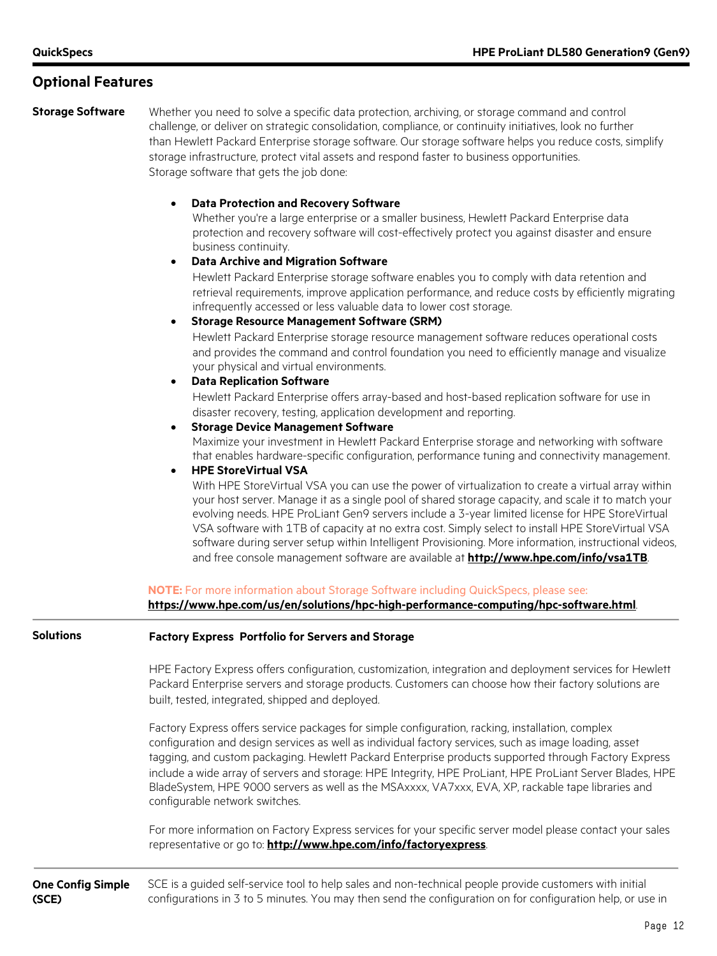### **Optional Features**

**Storage Software** Whether you need to solve a specific data protection, archiving, or storage command and control challenge, or deliver on strategic consolidation, compliance, or continuity initiatives, look no further than Hewlett Packard Enterprise storage software. Our storage software helps you reduce costs, simplify storage infrastructure, protect vital assets and respond faster to business opportunities. Storage software that gets the job done:

#### • **Data Protection and Recovery Software**

Whether you're a large enterprise or a smaller business, Hewlett Packard Enterprise data protection and recovery software will cost-effectively protect you against disaster and ensure business continuity.

#### • **Data Archive and Migration Software**

Hewlett Packard Enterprise storage software enables you to comply with data retention and retrieval requirements, improve application performance, and reduce costs by efficiently migrating infrequently accessed or less valuable data to lower cost storage.

• **Storage Resource Management Software (SRM)**

Hewlett Packard Enterprise storage resource management software reduces operational costs and provides the command and control foundation you need to efficiently manage and visualize your physical and virtual environments.

#### • **Data Replication Software**

Hewlett Packard Enterprise offers array-based and host-based replication software for use in disaster recovery, testing, application development and reporting.

• **Storage Device Management Software**

Maximize your investment in Hewlett Packard Enterprise storage and networking with software that enables hardware-specific configuration, performance tuning and connectivity management.

#### • **HPE StoreVirtual VSA**

With HPE StoreVirtual VSA you can use the power of virtualization to create a virtual array within your host server. Manage it as a single pool of shared storage capacity, and scale it to match your evolving needs. HPE ProLiant Gen9 servers include a 3-year limited license for HPE StoreVirtual VSA software with 1TB of capacity at no extra cost. Simply select to install HPE StoreVirtual VSA software during server setup within Intelligent Provisioning. More information, instructional videos, and free console management software are available at **<http://www.hpe.com/info/vsa1TB>**.

**NOTE:** For more information about Storage Software including QuickSpecs, please see:

**<https://www.hpe.com/us/en/solutions/hpc-high-performance-computing/hpc-software.html>**.

#### **Solutions Factory Express Portfolio for Servers and Storage**

HPE Factory Express offers configuration, customization, integration and deployment services for Hewlett Packard Enterprise servers and storage products. Customers can choose how their factory solutions are built, tested, integrated, shipped and deployed.

Factory Express offers service packages for simple configuration, racking, installation, complex configuration and design services as well as individual factory services, such as image loading, asset tagging, and custom packaging. Hewlett Packard Enterprise products supported through Factory Express include a wide array of servers and storage: HPE Integrity, HPE ProLiant, HPE ProLiant Server Blades, HPE BladeSystem, HPE 9000 servers as well as the MSAxxxx, VA7xxx, EVA, XP, rackable tape libraries and configurable network switches.

For more information on Factory Express services for your specific server model please contact your sales representative or go to: **<http://www.hpe.com/info/factoryexpress>**.

**One Config Simple (SCE)** SCE is a guided self-service tool to help sales and non-technical people provide customers with initial configurations in 3 to 5 minutes. You may then send the configuration on for configuration help, or use in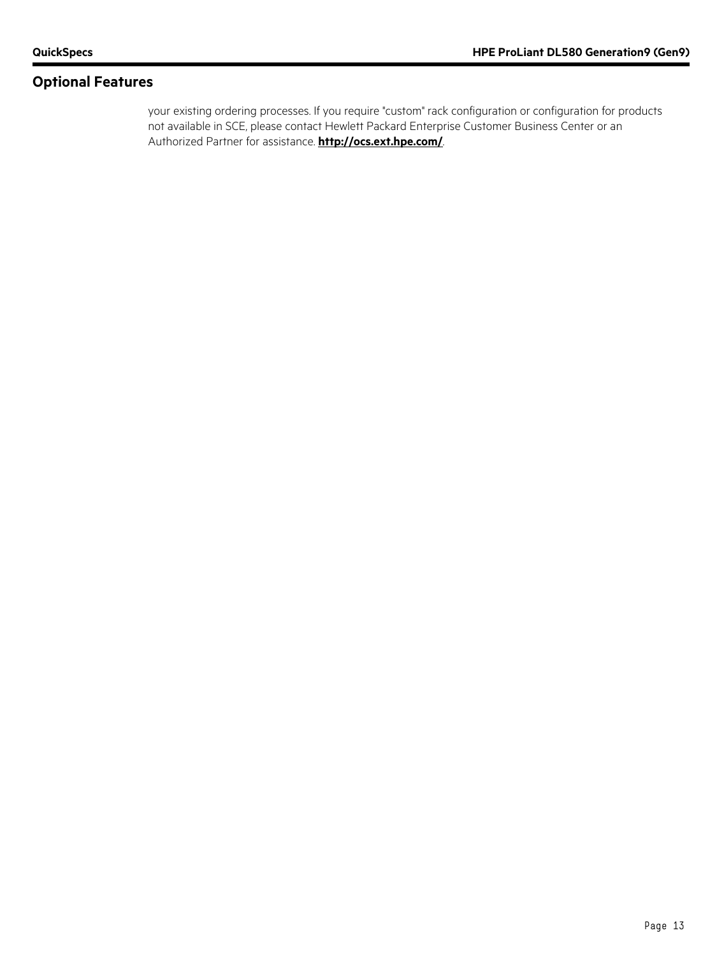### **Optional Features**

your existing ordering processes. If you require "custom" rack configuration or configuration for products not available in SCE, please contact Hewlett Packard Enterprise Customer Business Center or an Authorized Partner for assistance. **<http://ocs.ext.hpe.com/>**.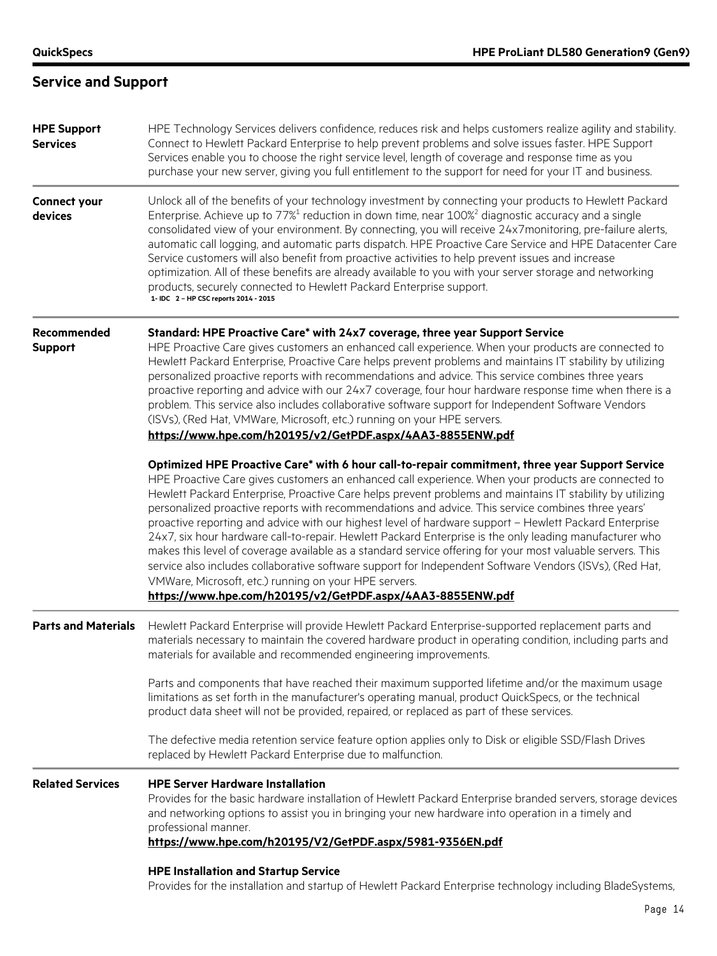# **Service and Support**

| <b>HPE Support</b><br><b>Services</b> | HPE Technology Services delivers confidence, reduces risk and helps customers realize agility and stability.<br>Connect to Hewlett Packard Enterprise to help prevent problems and solve issues faster. HPE Support<br>Services enable you to choose the right service level, length of coverage and response time as you<br>purchase your new server, giving you full entitlement to the support for need for your IT and business.                                                                                                                                                                                                                                                                                                                                                                                                                                                                                                                                                           |
|---------------------------------------|------------------------------------------------------------------------------------------------------------------------------------------------------------------------------------------------------------------------------------------------------------------------------------------------------------------------------------------------------------------------------------------------------------------------------------------------------------------------------------------------------------------------------------------------------------------------------------------------------------------------------------------------------------------------------------------------------------------------------------------------------------------------------------------------------------------------------------------------------------------------------------------------------------------------------------------------------------------------------------------------|
| <b>Connect your</b><br>devices        | Unlock all of the benefits of your technology investment by connecting your products to Hewlett Packard<br>Enterprise. Achieve up to 77% <sup>1</sup> reduction in down time, near 100% <sup>2</sup> diagnostic accuracy and a single<br>consolidated view of your environment. By connecting, you will receive 24x7monitoring, pre-failure alerts,<br>automatic call logging, and automatic parts dispatch. HPE Proactive Care Service and HPE Datacenter Care<br>Service customers will also benefit from proactive activities to help prevent issues and increase<br>optimization. All of these benefits are already available to you with your server storage and networking<br>products, securely connected to Hewlett Packard Enterprise support.<br>1- IDC 2 - HP CSC reports 2014 - 2015                                                                                                                                                                                               |
| Recommended<br><b>Support</b>         | Standard: HPE Proactive Care* with 24x7 coverage, three year Support Service<br>HPE Proactive Care gives customers an enhanced call experience. When your products are connected to<br>Hewlett Packard Enterprise, Proactive Care helps prevent problems and maintains IT stability by utilizing<br>personalized proactive reports with recommendations and advice. This service combines three years<br>proactive reporting and advice with our 24x7 coverage, four hour hardware response time when there is a<br>problem. This service also includes collaborative software support for Independent Software Vendors<br>(ISVs), (Red Hat, VMWare, Microsoft, etc.) running on your HPE servers.<br>https://www.hpe.com/h20195/v2/GetPDF.aspx/4AA3-8855ENW.pdf                                                                                                                                                                                                                               |
|                                       | Optimized HPE Proactive Care* with 6 hour call-to-repair commitment, three year Support Service<br>HPE Proactive Care gives customers an enhanced call experience. When your products are connected to<br>Hewlett Packard Enterprise, Proactive Care helps prevent problems and maintains IT stability by utilizing<br>personalized proactive reports with recommendations and advice. This service combines three years'<br>proactive reporting and advice with our highest level of hardware support - Hewlett Packard Enterprise<br>24x7, six hour hardware call-to-repair. Hewlett Packard Enterprise is the only leading manufacturer who<br>makes this level of coverage available as a standard service offering for your most valuable servers. This<br>service also includes collaborative software support for Independent Software Vendors (ISVs), (Red Hat,<br>VMWare, Microsoft, etc.) running on your HPE servers.<br>https://www.hpe.com/h20195/v2/GetPDF.aspx/4AA3-8855ENW.pdf |
| <b>Parts and Materials</b>            | Hewlett Packard Enterprise will provide Hewlett Packard Enterprise-supported replacement parts and<br>materials necessary to maintain the covered hardware product in operating condition, including parts and<br>materials for available and recommended engineering improvements.                                                                                                                                                                                                                                                                                                                                                                                                                                                                                                                                                                                                                                                                                                            |
|                                       | Parts and components that have reached their maximum supported lifetime and/or the maximum usage<br>limitations as set forth in the manufacturer's operating manual, product QuickSpecs, or the technical<br>product data sheet will not be provided, repaired, or replaced as part of these services.                                                                                                                                                                                                                                                                                                                                                                                                                                                                                                                                                                                                                                                                                         |
|                                       | The defective media retention service feature option applies only to Disk or eligible SSD/Flash Drives<br>replaced by Hewlett Packard Enterprise due to malfunction.                                                                                                                                                                                                                                                                                                                                                                                                                                                                                                                                                                                                                                                                                                                                                                                                                           |
| <b>Related Services</b>               | <b>HPE Server Hardware Installation</b><br>Provides for the basic hardware installation of Hewlett Packard Enterprise branded servers, storage devices<br>and networking options to assist you in bringing your new hardware into operation in a timely and<br>professional manner.                                                                                                                                                                                                                                                                                                                                                                                                                                                                                                                                                                                                                                                                                                            |
|                                       | https://www.hpe.com/h20195/V2/GetPDF.aspx/5981-9356EN.pdf<br><b>HPE Installation and Startup Service</b>                                                                                                                                                                                                                                                                                                                                                                                                                                                                                                                                                                                                                                                                                                                                                                                                                                                                                       |
|                                       | Provides for the installation and startup of Hewlett Packard Enterprise technology including BladeSystems,                                                                                                                                                                                                                                                                                                                                                                                                                                                                                                                                                                                                                                                                                                                                                                                                                                                                                     |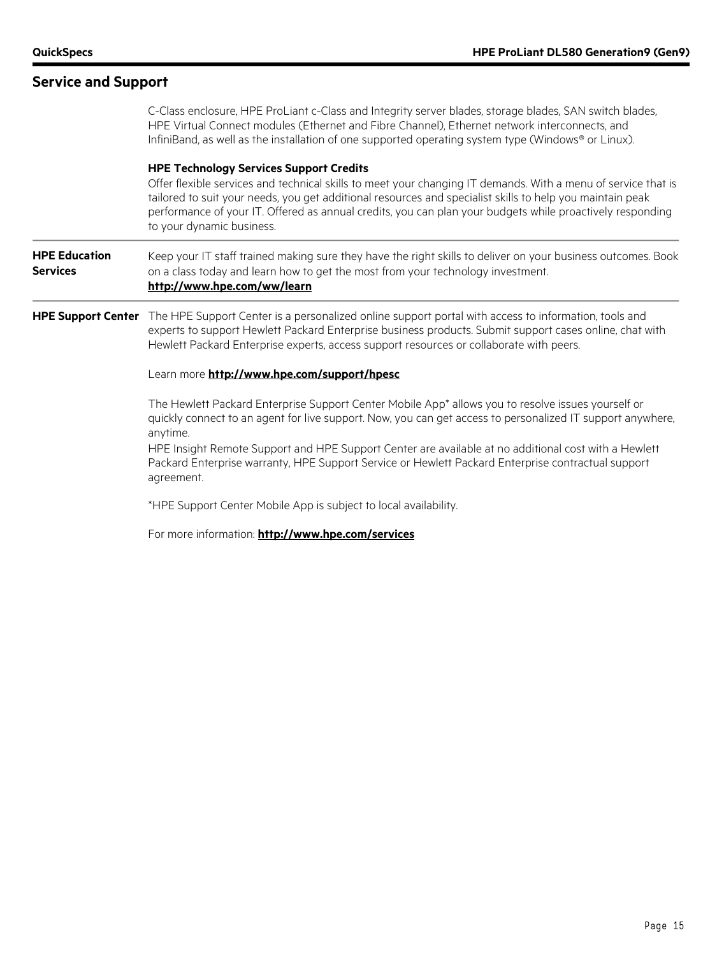| <b>Service and Support</b>              |                                                                                                                                                                                                                                                                                                                                                                                                                        |
|-----------------------------------------|------------------------------------------------------------------------------------------------------------------------------------------------------------------------------------------------------------------------------------------------------------------------------------------------------------------------------------------------------------------------------------------------------------------------|
|                                         | C-Class enclosure, HPE ProLiant c-Class and Integrity server blades, storage blades, SAN switch blades,<br>HPE Virtual Connect modules (Ethernet and Fibre Channel), Ethernet network interconnects, and<br>InfiniBand, as well as the installation of one supported operating system type (Windows® or Linux).                                                                                                        |
|                                         | <b>HPE Technology Services Support Credits</b><br>Offer flexible services and technical skills to meet your changing IT demands. With a menu of service that is<br>tailored to suit your needs, you get additional resources and specialist skills to help you maintain peak<br>performance of your IT. Offered as annual credits, you can plan your budgets while proactively responding<br>to your dynamic business. |
| <b>HPE Education</b><br><b>Services</b> | Keep your IT staff trained making sure they have the right skills to deliver on your business outcomes. Book<br>on a class today and learn how to get the most from your technology investment.<br>http://www.hpe.com/ww/learn                                                                                                                                                                                         |
| <b>HPE Support Center</b>               | The HPE Support Center is a personalized online support portal with access to information, tools and<br>experts to support Hewlett Packard Enterprise business products. Submit support cases online, chat with<br>Hewlett Packard Enterprise experts, access support resources or collaborate with peers.                                                                                                             |
|                                         | Learn more http://www.hpe.com/support/hpesc                                                                                                                                                                                                                                                                                                                                                                            |
|                                         | The Hewlett Packard Enterprise Support Center Mobile App* allows you to resolve issues yourself or<br>quickly connect to an agent for live support. Now, you can get access to personalized IT support anywhere,<br>anytime.                                                                                                                                                                                           |
|                                         | HPE Insight Remote Support and HPE Support Center are available at no additional cost with a Hewlett<br>Packard Enterprise warranty, HPE Support Service or Hewlett Packard Enterprise contractual support<br>agreement.                                                                                                                                                                                               |
|                                         | *HPE Support Center Mobile App is subject to local availability.                                                                                                                                                                                                                                                                                                                                                       |
|                                         | For more information: http://www.hpe.com/services                                                                                                                                                                                                                                                                                                                                                                      |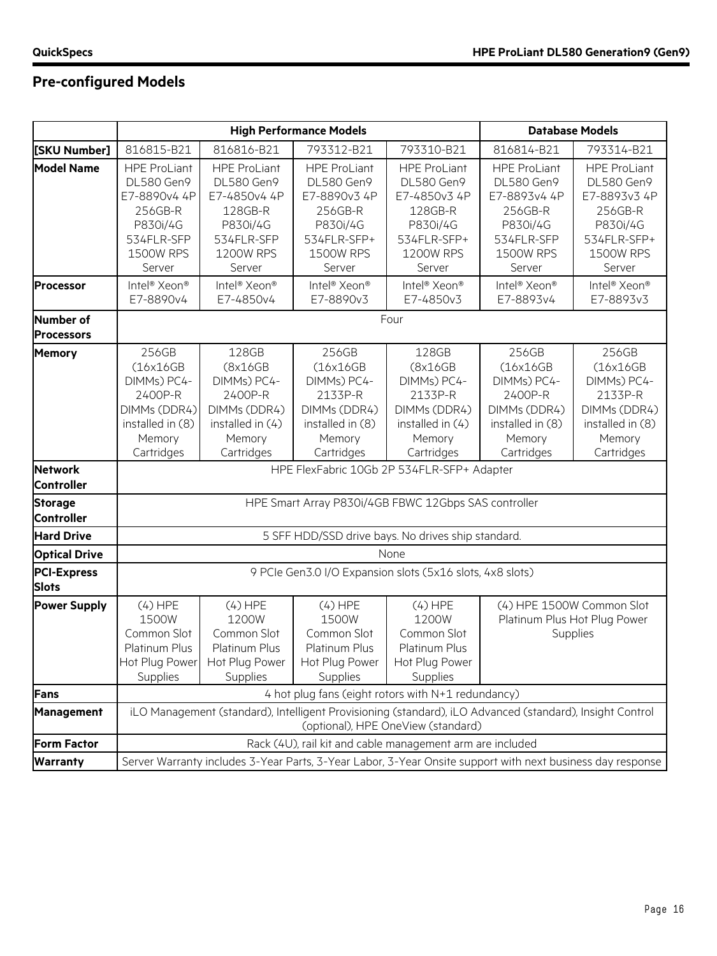# **Pre-configured Models**

|                                       | <b>High Performance Models</b>                                                                                              |                                                                                                                                                | <b>Database Models</b>                                                                                                       |                                                                                                                |                                                                                                                      |                                                                                                                       |
|---------------------------------------|-----------------------------------------------------------------------------------------------------------------------------|------------------------------------------------------------------------------------------------------------------------------------------------|------------------------------------------------------------------------------------------------------------------------------|----------------------------------------------------------------------------------------------------------------|----------------------------------------------------------------------------------------------------------------------|-----------------------------------------------------------------------------------------------------------------------|
| [SKU Number]                          | 816815-B21                                                                                                                  | 816816-B21                                                                                                                                     | 793312-B21                                                                                                                   | 793310-B21                                                                                                     | 816814-B21                                                                                                           | 793314-B21                                                                                                            |
| <b>Model Name</b>                     | <b>HPE ProLiant</b><br><b>DL580 Gen9</b><br>E7-8890v4 4P<br>256GB-R<br>P830i/4G<br>534FLR-SFP<br><b>1500W RPS</b><br>Server | <b>HPE ProLiant</b><br>DL580 Gen9<br>E7-4850v4 4P<br>128GB-R<br>P830i/4G<br>534FLR-SFP<br>1200W RPS<br>Server                                  | <b>HPE ProLiant</b><br><b>DL580 Gen9</b><br>E7-8890v3 4P<br>256GB-R<br>P830i/4G<br>534FLR-SFP+<br><b>1500W RPS</b><br>Server | <b>HPE ProLiant</b><br>DL580 Gen9<br>E7-4850v3 4P<br>128GB-R<br>P830i/4G<br>534FLR-SFP+<br>1200W RPS<br>Server | <b>HPE ProLiant</b><br>DL580 Gen9<br>E7-8893v4 4P<br>256GB-R<br>P830i/4G<br>534FLR-SFP<br><b>1500W RPS</b><br>Server | <b>HPE ProLiant</b><br>DL580 Gen9<br>E7-8893v3 4P<br>256GB-R<br>P830i/4G<br>534FLR-SFP+<br><b>1500W RPS</b><br>Server |
| <b>Processor</b>                      | Intel <sup>®</sup> Xeon <sup>®</sup><br>E7-8890v4                                                                           | Intel <sup>®</sup> Xeon <sup>®</sup><br>E7-4850v4                                                                                              | Intel <sup>®</sup> Xeon <sup>®</sup><br>E7-8890v3                                                                            | Intel <sup>®</sup> Xeon <sup>®</sup><br>E7-4850v3                                                              | Intel <sup>®</sup> Xeon <sup>®</sup><br>E7-8893v4                                                                    | Intel <sup>®</sup> Xeon <sup>®</sup><br>E7-8893v3                                                                     |
| <b>Number of</b><br><b>Processors</b> |                                                                                                                             |                                                                                                                                                |                                                                                                                              | Four                                                                                                           |                                                                                                                      |                                                                                                                       |
| <b>Memory</b>                         | 256GB<br>(16x16GB)<br>DIMMs) PC4-<br>2400P-R<br>DIMMs (DDR4)<br>installed in (8)<br>Memory<br>Cartridges                    | 128GB<br>(8x16GB<br>DIMMs) PC4-<br>2400P-R<br>DIMMs (DDR4)<br>installed in (4)<br>Memory<br>Cartridges                                         | 256GB<br>(16x16GB)<br>DIMMs) PC4-<br>2133P-R<br>DIMMs (DDR4)<br>installed in (8)<br>Memory<br>Cartridges                     | 128GB<br>(8x16GB<br>DIMMs) PC4-<br>2133P-R<br>DIMMs (DDR4)<br>installed in (4)<br>Memory<br>Cartridges         | 256GB<br>(16x16GB<br>DIMMs) PC4-<br>2400P-R<br>DIMMs (DDR4)<br>installed in (8)<br>Memory<br>Cartridges              | 256GB<br>(16x16GB)<br>DIMMs) PC4-<br>2133P-R<br>DIMMs (DDR4)<br>installed in (8)<br>Memory<br>Cartridges              |
| <b>Network</b><br><b>Controller</b>   |                                                                                                                             |                                                                                                                                                |                                                                                                                              | HPE FlexFabric 10Gb 2P 534FLR-SFP+ Adapter                                                                     |                                                                                                                      |                                                                                                                       |
| <b>Storage</b><br><b>Controller</b>   |                                                                                                                             | HPE Smart Array P830i/4GB FBWC 12Gbps SAS controller                                                                                           |                                                                                                                              |                                                                                                                |                                                                                                                      |                                                                                                                       |
| <b>Hard Drive</b>                     |                                                                                                                             |                                                                                                                                                |                                                                                                                              | 5 SFF HDD/SSD drive bays. No drives ship standard.                                                             |                                                                                                                      |                                                                                                                       |
| <b>Optical Drive</b>                  |                                                                                                                             |                                                                                                                                                |                                                                                                                              | None                                                                                                           |                                                                                                                      |                                                                                                                       |
| <b>PCI-Express</b><br><b>Slots</b>    |                                                                                                                             |                                                                                                                                                |                                                                                                                              | 9 PCIe Gen3.0 I/O Expansion slots (5x16 slots, 4x8 slots)                                                      |                                                                                                                      |                                                                                                                       |
| <b>Power Supply</b>                   | $(4)$ HPE<br>1500W<br>Common Slot<br>Platinum Plus<br>Hot Plug Power<br><b>Supplies</b>                                     | $(4)$ HPE<br>1200W<br>Common Slot<br>Platinum Plus<br>Hot Plug Power<br>Supplies                                                               | $(4)$ HPE<br>1500W<br>Common Slot<br>Platinum Plus<br>Hot Plug Power<br>Supplies                                             | $(4)$ HPE<br>1200W<br>Common Slot<br>Platinum Plus<br>Hot Plug Power<br>Supplies                               |                                                                                                                      | (4) HPE 1500W Common Slot<br>Platinum Plus Hot Plug Power<br>Supplies                                                 |
| <b>Fans</b>                           |                                                                                                                             |                                                                                                                                                |                                                                                                                              | 4 hot plug fans (eight rotors with N+1 redundancy)                                                             |                                                                                                                      |                                                                                                                       |
| Management                            |                                                                                                                             | iLO Management (standard), Intelligent Provisioning (standard), iLO Advanced (standard), Insight Control<br>(optional), HPE OneView (standard) |                                                                                                                              |                                                                                                                |                                                                                                                      |                                                                                                                       |
| <b>Form Factor</b>                    |                                                                                                                             | Rack (4U), rail kit and cable management arm are included                                                                                      |                                                                                                                              |                                                                                                                |                                                                                                                      |                                                                                                                       |
| <b>Warranty</b>                       | Server Warranty includes 3-Year Parts, 3-Year Labor, 3-Year Onsite support with next business day response                  |                                                                                                                                                |                                                                                                                              |                                                                                                                |                                                                                                                      |                                                                                                                       |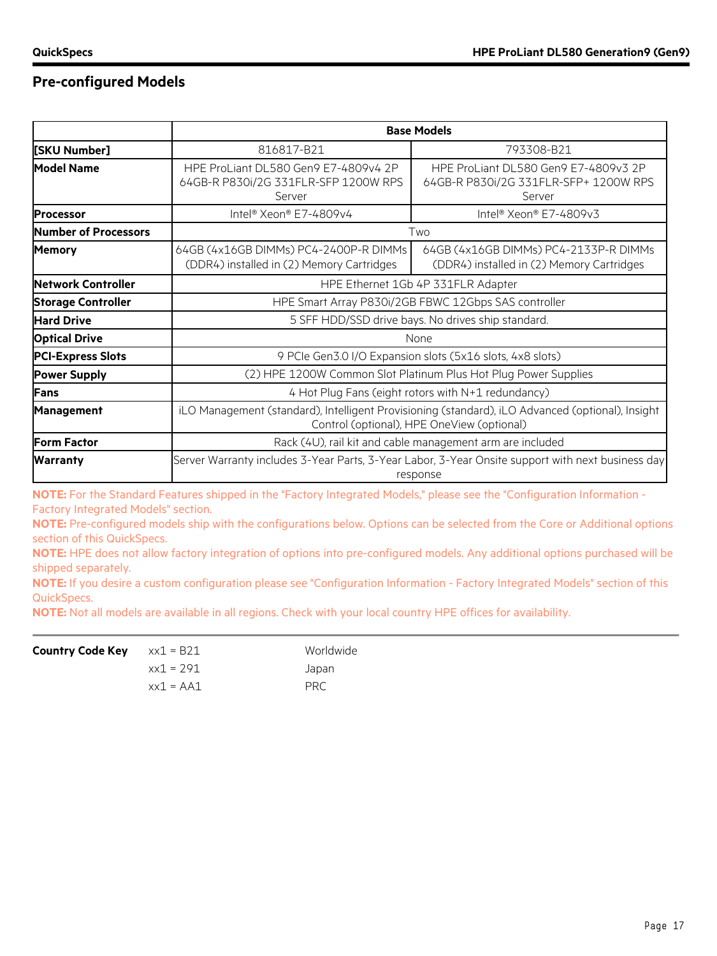### **Pre-configured Models**

|                             |                                                                                                                                                | <b>Base Models</b>                                                                                            |  |
|-----------------------------|------------------------------------------------------------------------------------------------------------------------------------------------|---------------------------------------------------------------------------------------------------------------|--|
| [SKU Number]                | 816817-B21                                                                                                                                     | 793308-B21                                                                                                    |  |
| <b>Model Name</b>           | HPE ProLiant DL580 Gen9 E7-4809v4 2P<br>64GB-R P830i/2G 331FLR-SFP 1200W RPS<br>Server                                                         | HPE ProLiant DL580 Gen9 E7-4809v3 2P<br>64GB-R P830i/2G 331FLR-SFP+ 1200W RPS<br>Server                       |  |
| <b>Processor</b>            | Intel® Xeon® E7-4809v4                                                                                                                         | Intel® Xeon® E7-4809v3                                                                                        |  |
| <b>Number of Processors</b> |                                                                                                                                                | Two                                                                                                           |  |
| <b>Memory</b>               | 64GB (4x16GB DIMMs) PC4-2400P-R DIMMs<br>(DDR4) installed in (2) Memory Cartridges                                                             | 64GB (4x16GB DIMMs) PC4-2133P-R DIMMs<br>(DDR4) installed in (2) Memory Cartridges                            |  |
| Network Controller          | HPE Ethernet 1Gb 4P 331FLR Adapter                                                                                                             |                                                                                                               |  |
| <b>Storage Controller</b>   | HPE Smart Array P830i/2GB FBWC 12Gbps SAS controller                                                                                           |                                                                                                               |  |
| <b>Hard Drive</b>           | 5 SFF HDD/SSD drive bays. No drives ship standard.                                                                                             |                                                                                                               |  |
| <b>Optical Drive</b>        | None                                                                                                                                           |                                                                                                               |  |
| <b>PCI-Express Slots</b>    | 9 PCIe Gen3.0 I/O Expansion slots (5x16 slots, 4x8 slots)                                                                                      |                                                                                                               |  |
| <b>Power Supply</b>         | (2) HPE 1200W Common Slot Platinum Plus Hot Plug Power Supplies                                                                                |                                                                                                               |  |
| <b>IFans</b>                | 4 Hot Plug Fans (eight rotors with N+1 redundancy)                                                                                             |                                                                                                               |  |
| <b>Management</b>           | iLO Management (standard), Intelligent Provisioning (standard), iLO Advanced (optional), Insight<br>Control (optional), HPE OneView (optional) |                                                                                                               |  |
| <b>Form Factor</b>          | Rack (4U), rail kit and cable management arm are included                                                                                      |                                                                                                               |  |
| <b>Warranty</b>             |                                                                                                                                                | Server Warranty includes 3-Year Parts, 3-Year Labor, 3-Year Onsite support with next business day<br>response |  |

**NOTE:** For the Standard Features shipped in the "Factory Integrated Models," please see the "Configuration Information -Factory Integrated Models" section.

**NOTE:** Pre-configured models ship with the configurations below. Options can be selected from the Core or Additional options section of this QuickSpecs.

**NOTE:** HPE does not allow factory integration of options into pre-configured models. Any additional options purchased will be shipped separately.

**NOTE:** If you desire a custom configuration please see "Configuration Information - Factory Integrated Models" section of this QuickSpecs.

**NOTE:** Not all models are available in all regions. Check with your local country HPE offices for availability.

| <b>Country Code Key</b> $x \times 1 = B21$ |             | Worldwide  |
|--------------------------------------------|-------------|------------|
|                                            | xx1 = 291   | Japan      |
|                                            | $xx1 = AA1$ | <b>PRC</b> |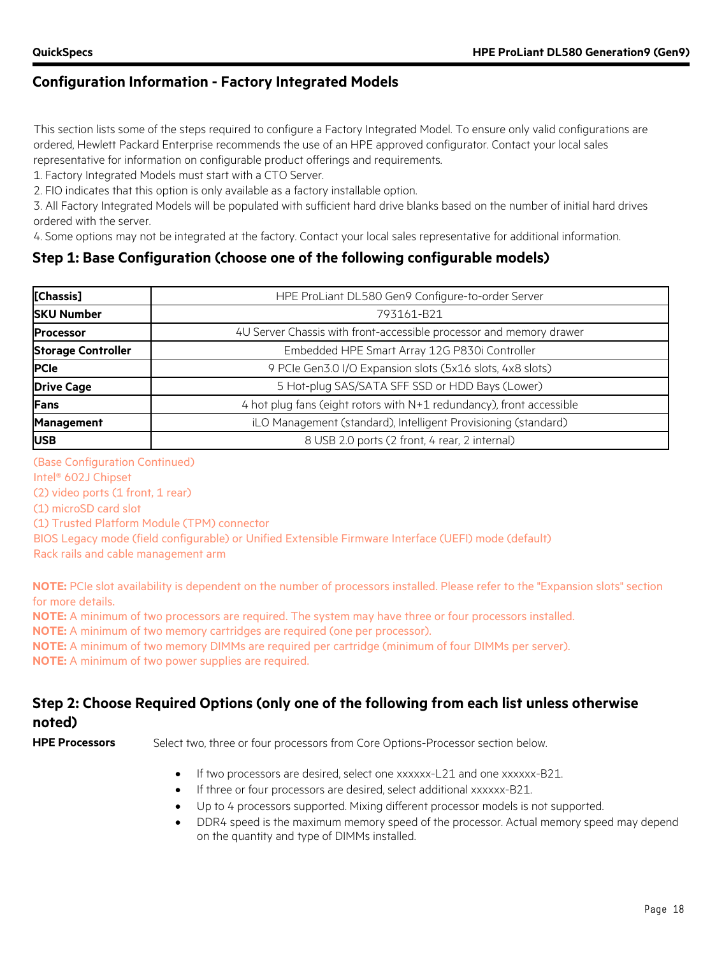### **Configuration Information - Factory Integrated Models**

This section lists some of the steps required to configure a Factory Integrated Model. To ensure only valid configurations are ordered, Hewlett Packard Enterprise recommends the use of an HPE approved configurator. Contact your local sales

representative for information on configurable product offerings and requirements.

1. Factory Integrated Models must start with a CTO Server.

2. FIO indicates that this option is only available as a factory installable option.

3. All Factory Integrated Models will be populated with sufficient hard drive blanks based on the number of initial hard drives ordered with the server.

4. Some options may not be integrated at the factory. Contact your local sales representative for additional information.

### **Step 1: Base Configuration (choose one of the following configurable models)**

| [Chassis]                 | HPE ProLiant DL580 Gen9 Configure-to-order Server                    |
|---------------------------|----------------------------------------------------------------------|
| <b>SKU Number</b>         | 793161-B21                                                           |
| <b>Processor</b>          | 4U Server Chassis with front-accessible processor and memory drawer  |
| <b>Storage Controller</b> | Embedded HPE Smart Array 12G P830i Controller                        |
| <b>PCIe</b>               | 9 PCIe Gen3.0 I/O Expansion slots (5x16 slots, 4x8 slots)            |
| <b>Drive Cage</b>         | 5 Hot-plug SAS/SATA SFF SSD or HDD Bays (Lower)                      |
| <b>Fans</b>               | 4 hot plug fans (eight rotors with N+1 redundancy), front accessible |
| <b>Management</b>         | iLO Management (standard), Intelligent Provisioning (standard)       |
| <b>IUSB</b>               | 8 USB 2.0 ports (2 front, 4 rear, 2 internal)                        |

#### (Base Configuration Continued)

Intel® 602J Chipset

(2) video ports (1 front, 1 rear)

(1) microSD card slot

(1) Trusted Platform Module (TPM) connector

BIOS Legacy mode (field configurable) or Unified Extensible Firmware Interface (UEFI) mode (default) Rack rails and cable management arm

**NOTE:** PCIe slot availability is dependent on the number of processors installed. Please refer to the "Expansion slots" section for more details.

**NOTE:** A minimum of two processors are required. The system may have three or four processors installed.

**NOTE:** A minimum of two memory cartridges are required (one per processor).

**NOTE:** A minimum of two memory DIMMs are required per cartridge (minimum of four DIMMs per server).

**NOTE:** A minimum of two power supplies are required.

### **Step 2: Choose Required Options (only one of the following from each list unless otherwise noted)**

**HPE Processors** Select two, three or four processors from Core Options-Processor section below.

- If two processors are desired, select one xxxxxx-L21 and one xxxxxx-B21.
- If three or four processors are desired, select additional xxxxxx-B21.
- Up to 4 processors supported. Mixing different processor models is not supported.
- DDR4 speed is the maximum memory speed of the processor. Actual memory speed may depend on the quantity and type of DIMMs installed.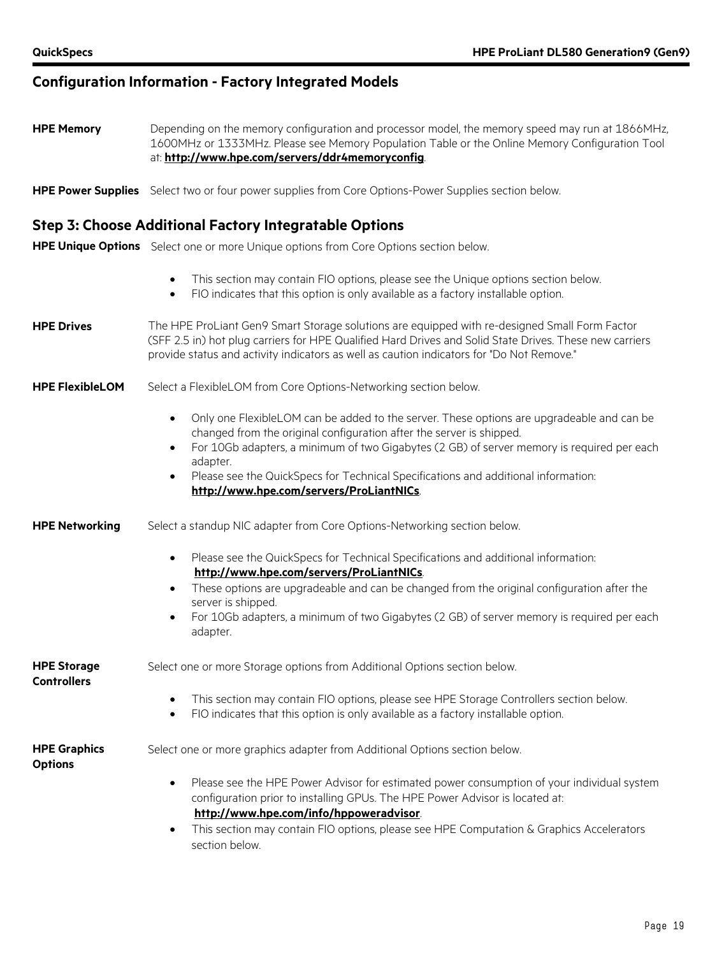### **Configuration Information - Factory Integrated Models**

- **HPE Memory** Depending on the memory configuration and processor model, the memory speed may run at 1866MHz, 1600MHz or 1333MHz. Please see Memory Population Table or the Online Memory Configuration Tool at: **<http://www.hpe.com/servers/ddr4memoryconfig>**.
- **HPE Power Supplies** Select two or four power supplies from Core Options-Power Supplies section below.

#### **Step 3: Choose Additional Factory Integratable Options**

**HPE Unique Options** Select one or more Unique options from Core Options section below.

- This section may contain FIO options, please see the Unique options section below. • FIO indicates that this option is only available as a factory installable option.
- **HPE Drives** The HPE ProLiant Gen9 Smart Storage solutions are equipped with re-designed Small Form Factor (SFF 2.5 in) hot plug carriers for HPE Qualified Hard Drives and Solid State Drives. These new carriers provide status and activity indicators as well as caution indicators for "Do Not Remove."
- **HPE FlexibleLOM** Select a FlexibleLOM from Core Options-Networking section below.
	- Only one FlexibleLOM can be added to the server. These options are upgradeable and can be changed from the original configuration after the server is shipped.
	- For 10Gb adapters, a minimum of two Gigabytes (2 GB) of server memory is required per each adapter.
	- Please see the QuickSpecs for Technical Specifications and additional information: **<http://www.hpe.com/servers/ProLiantNICs>**.
- **HPE Networking** Select a standup NIC adapter from Core Options-Networking section below.
	- Please see the QuickSpecs for Technical Specifications and additional information: **<http://www.hpe.com/servers/ProLiantNICs>**.
	- These options are upgradeable and can be changed from the original configuration after the server is shipped.
	- For 10Gb adapters, a minimum of two Gigabytes (2 GB) of server memory is required per each adapter.

| <b>HPE Storage</b><br><b>Controllers</b> | Select one or more Storage options from Additional Options section below.                                                                                                                              |  |  |
|------------------------------------------|--------------------------------------------------------------------------------------------------------------------------------------------------------------------------------------------------------|--|--|
|                                          | This section may contain FIO options, please see HPE Storage Controllers section below.<br>$\bullet$<br>FIO indicates that this option is only available as a factory installable option.<br>$\bullet$ |  |  |
| <b>HPE Graphics</b><br><b>Options</b>    | Select one or more graphics adapter from Additional Options section below.                                                                                                                             |  |  |
|                                          | Please see the HPE Power Advisor for estimated power consumption of your individual system<br>$\bullet$                                                                                                |  |  |

- configuration prior to installing GPUs. The HPE Power Advisor is located at: **<http://www.hpe.com/info/hppoweradvisor>**.
- This section may contain FIO options, please see HPE Computation & Graphics Accelerators section below.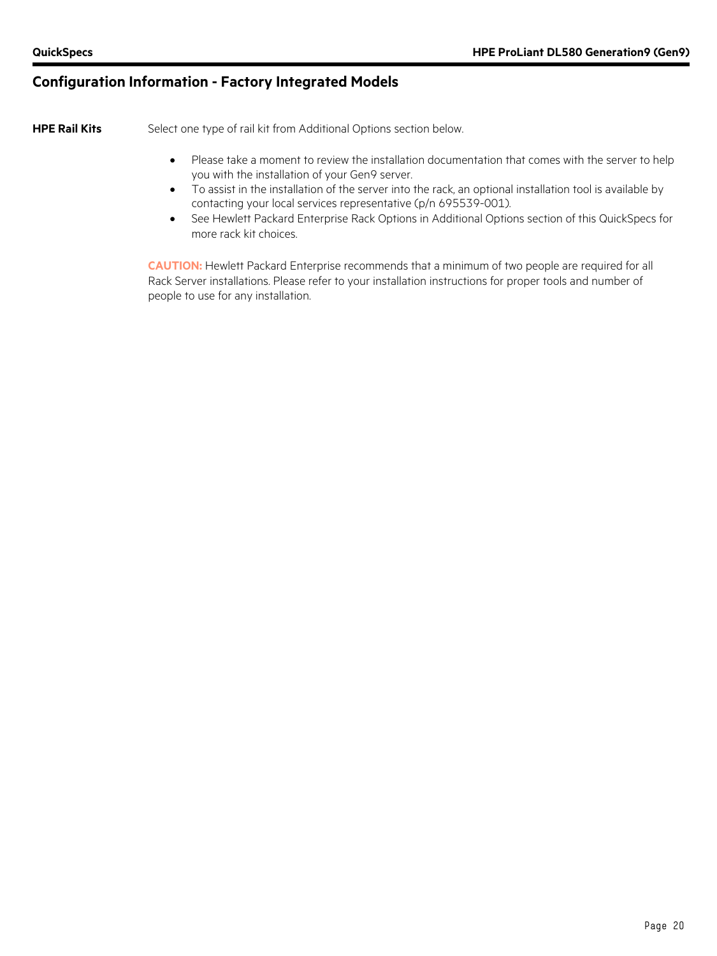### **Configuration Information - Factory Integrated Models**

**HPE Rail Kits** Select one type of rail kit from Additional Options section below.

- Please take a moment to review the installation documentation that comes with the server to help you with the installation of your Gen9 server.
- To assist in the installation of the server into the rack, an optional installation tool is available by contacting your local services representative (p/n 695539-001).
- See Hewlett Packard Enterprise Rack Options in Additional Options section of this QuickSpecs for more rack kit choices.

**CAUTION:** Hewlett Packard Enterprise recommends that a minimum of two people are required for all Rack Server installations. Please refer to your installation instructions for proper tools and number of people to use for any installation.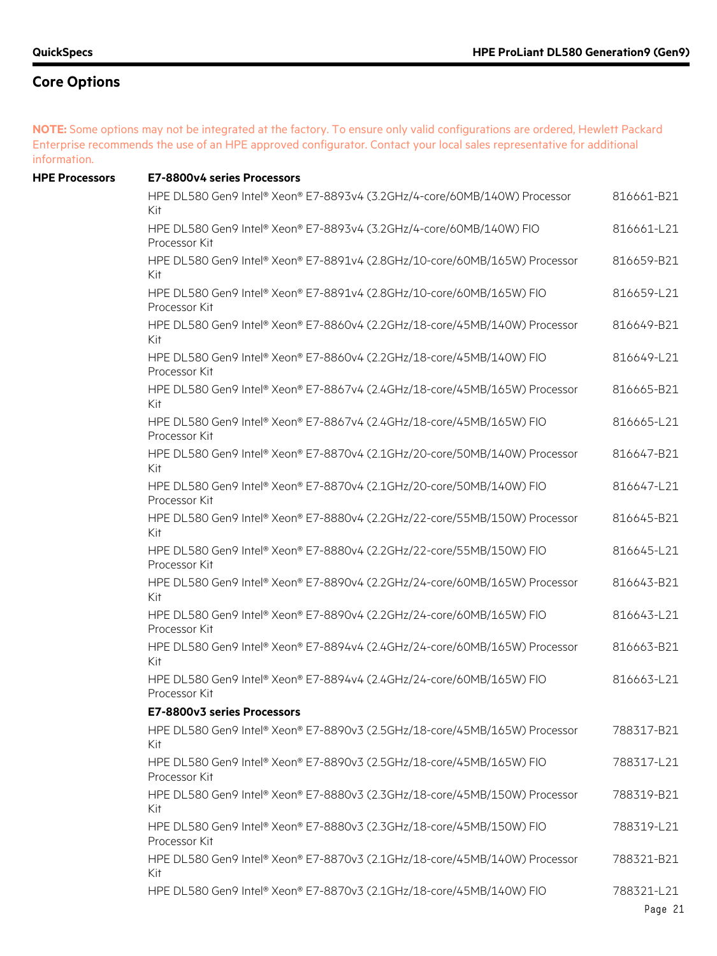**NOTE:** Some options may not be integrated at the factory. To ensure only valid configurations are ordered, Hewlett Packard Enterprise recommends the use of an HPE approved configurator. Contact your local sales representative for additional information.

| <b>HPE Processors</b> | E7-8800v4 series Processors                                                           |            |
|-----------------------|---------------------------------------------------------------------------------------|------------|
|                       | HPE DL580 Gen9 Intel® Xeon® E7-8893v4 (3.2GHz/4-core/60MB/140W) Processor<br>Kit      | 816661-B21 |
|                       | HPE DL580 Gen9 Intel® Xeon® E7-8893v4 (3.2GHz/4-core/60MB/140W) FIO<br>Processor Kit  | 816661-L21 |
|                       | HPE DL580 Gen9 Intel® Xeon® E7-8891v4 (2.8GHz/10-core/60MB/165W) Processor<br>Kit     | 816659-B21 |
|                       | HPE DL580 Gen9 Intel® Xeon® E7-8891v4 (2.8GHz/10-core/60MB/165W) FIO<br>Processor Kit | 816659-L21 |
|                       | HPE DL580 Gen9 Intel® Xeon® E7-8860v4 (2.2GHz/18-core/45MB/140W) Processor<br>Kit     | 816649-B21 |
|                       | HPE DL580 Gen9 Intel® Xeon® E7-8860v4 (2.2GHz/18-core/45MB/140W) FIO<br>Processor Kit | 816649-L21 |
|                       | HPE DL580 Gen9 Intel® Xeon® E7-8867v4 (2.4GHz/18-core/45MB/165W) Processor<br>Kit     | 816665-B21 |
|                       | HPE DL580 Gen9 Intel® Xeon® E7-8867v4 (2.4GHz/18-core/45MB/165W) FIO<br>Processor Kit | 816665-L21 |
|                       | HPE DL580 Gen9 Intel® Xeon® E7-8870v4 (2.1GHz/20-core/50MB/140W) Processor<br>Kit     | 816647-B21 |
|                       | HPE DL580 Gen9 Intel® Xeon® E7-8870v4 (2.1GHz/20-core/50MB/140W) FIO<br>Processor Kit | 816647-L21 |
|                       | HPE DL580 Gen9 Intel® Xeon® E7-8880v4 (2.2GHz/22-core/55MB/150W) Processor<br>Kit     | 816645-B21 |
|                       | HPE DL580 Gen9 Intel® Xeon® E7-8880v4 (2.2GHz/22-core/55MB/150W) FIO<br>Processor Kit | 816645-L21 |
|                       | HPE DL580 Gen9 Intel® Xeon® E7-8890v4 (2.2GHz/24-core/60MB/165W) Processor<br>Kit     | 816643-B21 |
|                       | HPE DL580 Gen9 Intel® Xeon® E7-8890v4 (2.2GHz/24-core/60MB/165W) FIO<br>Processor Kit | 816643-L21 |
|                       | HPE DL580 Gen9 Intel® Xeon® E7-8894v4 (2.4GHz/24-core/60MB/165W) Processor<br>Kit     | 816663-B21 |
|                       | HPE DL580 Gen9 Intel® Xeon® E7-8894v4 (2.4GHz/24-core/60MB/165W) FIO<br>Processor Kit | 816663-L21 |
|                       | E7-8800v3 series Processors                                                           |            |
|                       | HPE DL580 Gen9 Intel® Xeon® E7-8890v3 (2.5GHz/18-core/45MB/165W) Processor<br>Kit     | 788317-B21 |
|                       | HPE DL580 Gen9 Intel® Xeon® E7-8890v3 (2.5GHz/18-core/45MB/165W) FIO<br>Processor Kit | 788317-L21 |
|                       | HPE DL580 Gen9 Intel® Xeon® E7-8880v3 (2.3GHz/18-core/45MB/150W) Processor<br>Kit     | 788319-B21 |
|                       | HPE DL580 Gen9 Intel® Xeon® E7-8880v3 (2.3GHz/18-core/45MB/150W) FIO<br>Processor Kit | 788319-L21 |
|                       | HPE DL580 Gen9 Intel® Xeon® E7-8870v3 (2.1GHz/18-core/45MB/140W) Processor<br>Kit     | 788321-B21 |
|                       | HPE DL580 Gen9 Intel® Xeon® E7-8870v3 (2.1GHz/18-core/45MB/140W) FIO                  | 788321-L21 |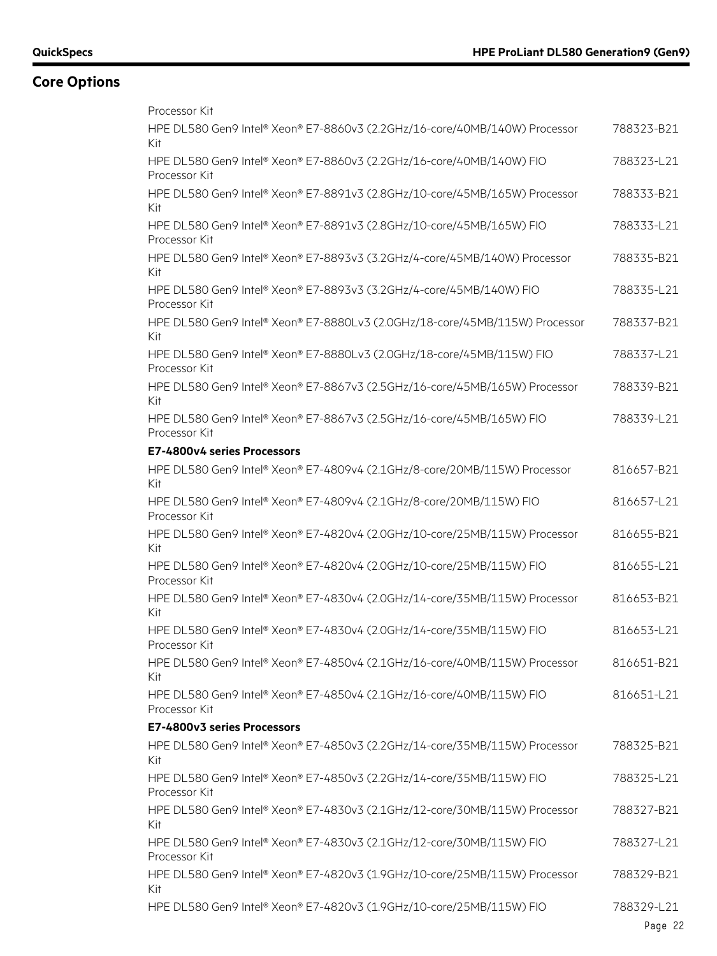| Processor Kit                                                                          |            |
|----------------------------------------------------------------------------------------|------------|
| HPE DL580 Gen9 Intel® Xeon® E7-8860v3 (2.2GHz/16-core/40MB/140W) Processor<br>Kit      | 788323-B21 |
| HPE DL580 Gen9 Intel® Xeon® E7-8860v3 (2.2GHz/16-core/40MB/140W) FIO<br>Processor Kit  | 788323-L21 |
| HPE DL580 Gen9 Intel® Xeon® E7-8891v3 (2.8GHz/10-core/45MB/165W) Processor<br>Kit      | 788333-B21 |
| HPE DL580 Gen9 Intel® Xeon® E7-8891v3 (2.8GHz/10-core/45MB/165W) FIO<br>Processor Kit  | 788333-L21 |
| HPE DL580 Gen9 Intel® Xeon® E7-8893v3 (3.2GHz/4-core/45MB/140W) Processor<br>Kit       | 788335-B21 |
| HPE DL580 Gen9 Intel® Xeon® E7-8893v3 (3.2GHz/4-core/45MB/140W) FIO<br>Processor Kit   | 788335-L21 |
| HPE DL580 Gen9 Intel® Xeon® E7-8880Lv3 (2.0GHz/18-core/45MB/115W) Processor<br>Kit     | 788337-B21 |
| HPE DL580 Gen9 Intel® Xeon® E7-8880Lv3 (2.0GHz/18-core/45MB/115W) FIO<br>Processor Kit | 788337-L21 |
| HPE DL580 Gen9 Intel® Xeon® E7-8867v3 (2.5GHz/16-core/45MB/165W) Processor<br>Kit      | 788339-B21 |
| HPE DL580 Gen9 Intel® Xeon® E7-8867v3 (2.5GHz/16-core/45MB/165W) FIO<br>Processor Kit  | 788339-L21 |
| E7-4800v4 series Processors                                                            |            |
| HPE DL580 Gen9 Intel® Xeon® E7-4809v4 (2.1GHz/8-core/20MB/115W) Processor<br>Kit       | 816657-B21 |
| HPE DL580 Gen9 Intel® Xeon® E7-4809v4 (2.1GHz/8-core/20MB/115W) FIO<br>Processor Kit   | 816657-L21 |
| HPE DL580 Gen9 Intel® Xeon® E7-4820v4 (2.0GHz/10-core/25MB/115W) Processor<br>Kit      | 816655-B21 |
| HPE DL580 Gen9 Intel® Xeon® E7-4820v4 (2.0GHz/10-core/25MB/115W) FIO<br>Processor Kit  | 816655-L21 |
| HPE DL580 Gen9 Intel® Xeon® E7-4830v4 (2.0GHz/14-core/35MB/115W) Processor<br>Kit      | 816653-B21 |
| HPE DL580 Gen9 Intel® Xeon® E7-4830v4 (2.0GHz/14-core/35MB/115W) FIO<br>Processor Kit  | 816653-L21 |
| HPE DL580 Gen9 Intel® Xeon® E7-4850v4 (2.1GHz/16-core/40MB/115W) Processor<br>Kit      | 816651-B21 |
| HPE DL580 Gen9 Intel® Xeon® E7-4850v4 (2.1GHz/16-core/40MB/115W) FIO<br>Processor Kit  | 816651-L21 |
| E7-4800v3 series Processors                                                            |            |
| HPE DL580 Gen9 Intel® Xeon® E7-4850v3 (2.2GHz/14-core/35MB/115W) Processor<br>Kit      | 788325-B21 |
| HPE DL580 Gen9 Intel® Xeon® E7-4850v3 (2.2GHz/14-core/35MB/115W) FIO<br>Processor Kit  | 788325-L21 |
| HPE DL580 Gen9 Intel® Xeon® E7-4830v3 (2.1GHz/12-core/30MB/115W) Processor<br>Kit      | 788327-B21 |
| HPE DL580 Gen9 Intel® Xeon® E7-4830v3 (2.1GHz/12-core/30MB/115W) FIO<br>Processor Kit  | 788327-L21 |
| HPE DL580 Gen9 Intel® Xeon® E7-4820v3 (1.9GHz/10-core/25MB/115W) Processor<br>Kit      | 788329-B21 |
| HPE DL580 Gen9 Intel® Xeon® E7-4820v3 (1.9GHz/10-core/25MB/115W) FIO                   | 788329-L21 |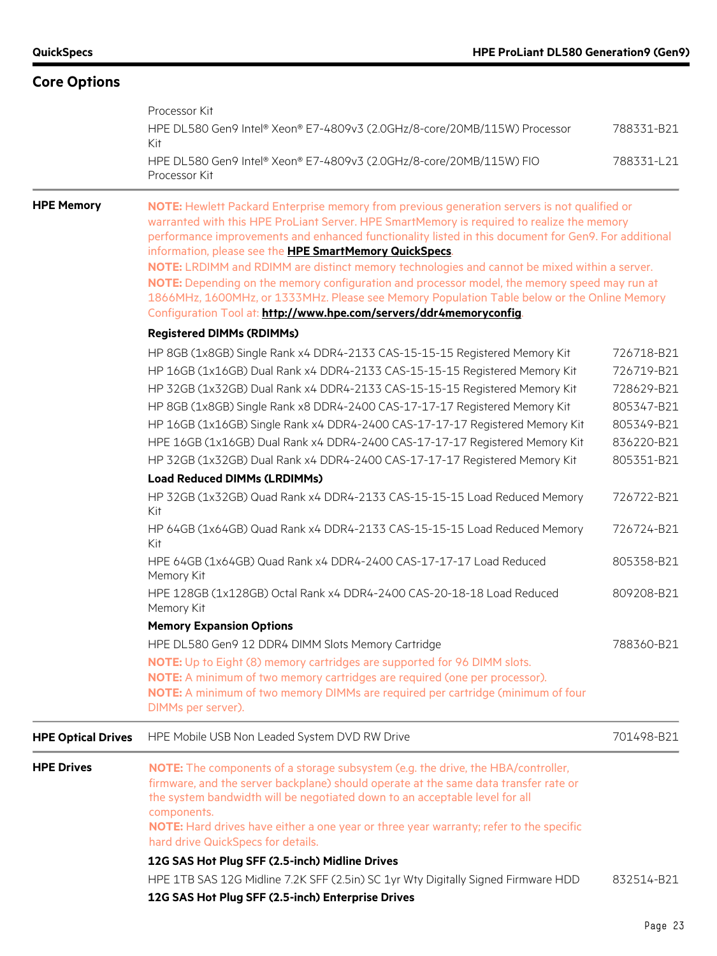|                           | Processor Kit<br>HPE DL580 Gen9 Intel® Xeon® E7-4809v3 (2.0GHz/8-core/20MB/115W) Processor<br>Kit                                                                                                                                                                                                                                                                                                                                                                                                                                                                                                                                                                                                                                                                                                                                                                                                                                                                                                                                                  | 788331-B21                                                                                                                                                           |  |  |
|---------------------------|----------------------------------------------------------------------------------------------------------------------------------------------------------------------------------------------------------------------------------------------------------------------------------------------------------------------------------------------------------------------------------------------------------------------------------------------------------------------------------------------------------------------------------------------------------------------------------------------------------------------------------------------------------------------------------------------------------------------------------------------------------------------------------------------------------------------------------------------------------------------------------------------------------------------------------------------------------------------------------------------------------------------------------------------------|----------------------------------------------------------------------------------------------------------------------------------------------------------------------|--|--|
|                           | HPE DL580 Gen9 Intel® Xeon® E7-4809v3 (2.0GHz/8-core/20MB/115W) FIO<br>Processor Kit                                                                                                                                                                                                                                                                                                                                                                                                                                                                                                                                                                                                                                                                                                                                                                                                                                                                                                                                                               | 788331-L21                                                                                                                                                           |  |  |
| <b>HPE Memory</b>         | NOTE: Hewlett Packard Enterprise memory from previous generation servers is not qualified or<br>warranted with this HPE ProLiant Server. HPE SmartMemory is required to realize the memory<br>performance improvements and enhanced functionality listed in this document for Gen9. For additional<br>information, please see the HPE SmartMemory QuickSpecs.<br>NOTE: LRDIMM and RDIMM are distinct memory technologies and cannot be mixed within a server.<br>NOTE: Depending on the memory configuration and processor model, the memory speed may run at<br>1866MHz, 1600MHz, or 1333MHz. Please see Memory Population Table below or the Online Memory<br>Configuration Tool at: http://www.hpe.com/servers/ddr4memoryconfig.                                                                                                                                                                                                                                                                                                                |                                                                                                                                                                      |  |  |
|                           | <b>Registered DIMMs (RDIMMs)</b>                                                                                                                                                                                                                                                                                                                                                                                                                                                                                                                                                                                                                                                                                                                                                                                                                                                                                                                                                                                                                   |                                                                                                                                                                      |  |  |
|                           | HP 8GB (1x8GB) Single Rank x4 DDR4-2133 CAS-15-15-15 Registered Memory Kit<br>HP 16GB (1x16GB) Dual Rank x4 DDR4-2133 CAS-15-15-15 Registered Memory Kit<br>HP 32GB (1x32GB) Dual Rank x4 DDR4-2133 CAS-15-15-15 Registered Memory Kit<br>HP 8GB (1x8GB) Single Rank x8 DDR4-2400 CAS-17-17-17 Registered Memory Kit<br>HP 16GB (1x16GB) Single Rank x4 DDR4-2400 CAS-17-17-17 Registered Memory Kit<br>HPE 16GB (1x16GB) Dual Rank x4 DDR4-2400 CAS-17-17-17 Registered Memory Kit<br>HP 32GB (1x32GB) Dual Rank x4 DDR4-2400 CAS-17-17-17 Registered Memory Kit<br><b>Load Reduced DIMMs (LRDIMMs)</b><br>HP 32GB (1x32GB) Quad Rank x4 DDR4-2133 CAS-15-15-15 Load Reduced Memory<br>Kit<br>HP 64GB (1x64GB) Quad Rank x4 DDR4-2133 CAS-15-15-15 Load Reduced Memory<br>Kit<br>HPE 64GB (1x64GB) Quad Rank x4 DDR4-2400 CAS-17-17-17 Load Reduced<br>Memory Kit<br>HPE 128GB (1x128GB) Octal Rank x4 DDR4-2400 CAS-20-18-18 Load Reduced<br>Memory Kit<br><b>Memory Expansion Options</b><br>HPE DL580 Gen9 12 DDR4 DIMM Slots Memory Cartridge | 726718-B21<br>726719-B21<br>728629-B21<br>805347-B21<br>805349-B21<br>836220-B21<br>805351-B21<br>726722-B21<br>726724-B21<br>805358-B21<br>809208-B21<br>788360-B21 |  |  |
|                           | <b>NOTE:</b> Up to Eight (8) memory cartridges are supported for 96 DIMM slots.<br>NOTE: A minimum of two memory cartridges are required (one per processor).<br>NOTE: A minimum of two memory DIMMs are required per cartridge (minimum of four<br>DIMMs per server).                                                                                                                                                                                                                                                                                                                                                                                                                                                                                                                                                                                                                                                                                                                                                                             |                                                                                                                                                                      |  |  |
| <b>HPE Optical Drives</b> | HPE Mobile USB Non Leaded System DVD RW Drive                                                                                                                                                                                                                                                                                                                                                                                                                                                                                                                                                                                                                                                                                                                                                                                                                                                                                                                                                                                                      | 701498-B21                                                                                                                                                           |  |  |
| <b>HPE Drives</b>         | NOTE: The components of a storage subsystem (e.g. the drive, the HBA/controller,<br>firmware, and the server backplane) should operate at the same data transfer rate or<br>the system bandwidth will be negotiated down to an acceptable level for all<br>components.<br>NOTE: Hard drives have either a one year or three year warranty; refer to the specific<br>hard drive QuickSpecs for details.<br>12G SAS Hot Plug SFF (2.5-inch) Midline Drives                                                                                                                                                                                                                                                                                                                                                                                                                                                                                                                                                                                           |                                                                                                                                                                      |  |  |
|                           | HPE 1TB SAS 12G Midline 7.2K SFF (2.5in) SC 1yr Wty Digitally Signed Firmware HDD<br>12G SAS Hot Plug SFF (2.5-inch) Enterprise Drives                                                                                                                                                                                                                                                                                                                                                                                                                                                                                                                                                                                                                                                                                                                                                                                                                                                                                                             | 832514-B21                                                                                                                                                           |  |  |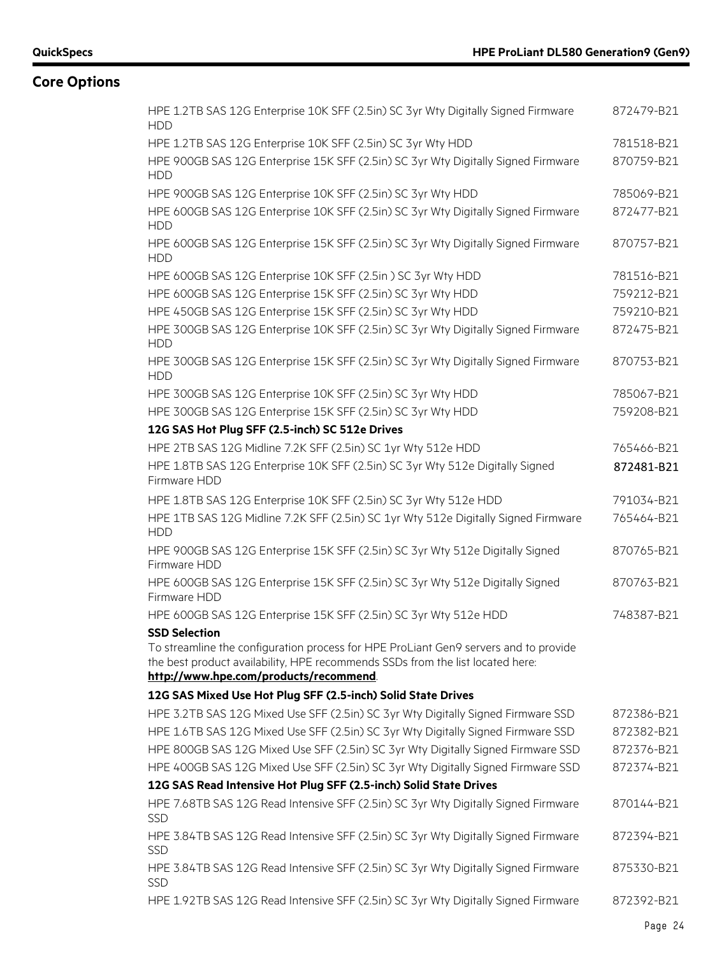| HPE 1.2TB SAS 12G Enterprise 10K SFF (2.5in) SC 3yr Wty Digitally Signed Firmware<br><b>HDD</b>                                                                                                                 | 872479-B21 |
|-----------------------------------------------------------------------------------------------------------------------------------------------------------------------------------------------------------------|------------|
| HPE 1.2TB SAS 12G Enterprise 10K SFF (2.5in) SC 3yr Wty HDD                                                                                                                                                     | 781518-B21 |
| HPE 900GB SAS 12G Enterprise 15K SFF (2.5in) SC 3yr Wty Digitally Signed Firmware<br><b>HDD</b>                                                                                                                 | 870759-B21 |
| HPE 900GB SAS 12G Enterprise 10K SFF (2.5in) SC 3yr Wty HDD                                                                                                                                                     | 785069-B21 |
| HPE 600GB SAS 12G Enterprise 10K SFF (2.5in) SC 3yr Wty Digitally Signed Firmware<br><b>HDD</b>                                                                                                                 | 872477-B21 |
| HPE 600GB SAS 12G Enterprise 15K SFF (2.5in) SC 3yr Wty Digitally Signed Firmware<br><b>HDD</b>                                                                                                                 | 870757-B21 |
| HPE 600GB SAS 12G Enterprise 10K SFF (2.5in) SC 3yr Wty HDD                                                                                                                                                     | 781516-B21 |
| HPE 600GB SAS 12G Enterprise 15K SFF (2.5in) SC 3yr Wty HDD                                                                                                                                                     | 759212-B21 |
| HPE 450GB SAS 12G Enterprise 15K SFF (2.5in) SC 3yr Wty HDD                                                                                                                                                     | 759210-B21 |
| HPE 300GB SAS 12G Enterprise 10K SFF (2.5in) SC 3yr Wty Digitally Signed Firmware<br><b>HDD</b>                                                                                                                 | 872475-B21 |
| HPE 300GB SAS 12G Enterprise 15K SFF (2.5in) SC 3yr Wty Digitally Signed Firmware<br><b>HDD</b>                                                                                                                 | 870753-B21 |
| HPE 300GB SAS 12G Enterprise 10K SFF (2.5in) SC 3yr Wty HDD                                                                                                                                                     | 785067-B21 |
| HPE 300GB SAS 12G Enterprise 15K SFF (2.5in) SC 3yr Wty HDD                                                                                                                                                     | 759208-B21 |
| 12G SAS Hot Plug SFF (2.5-inch) SC 512e Drives                                                                                                                                                                  |            |
| HPE 2TB SAS 12G Midline 7.2K SFF (2.5in) SC 1yr Wty 512e HDD                                                                                                                                                    | 765466-B21 |
| HPE 1.8TB SAS 12G Enterprise 10K SFF (2.5in) SC 3yr Wty 512e Digitally Signed<br>Firmware HDD                                                                                                                   | 872481-B21 |
| HPE 1.8TB SAS 12G Enterprise 10K SFF (2.5in) SC 3yr Wty 512e HDD                                                                                                                                                | 791034-B21 |
| HPE 1TB SAS 12G Midline 7.2K SFF (2.5in) SC 1yr Wty 512e Digitally Signed Firmware<br><b>HDD</b>                                                                                                                | 765464-B21 |
| HPE 900GB SAS 12G Enterprise 15K SFF (2.5in) SC 3yr Wty 512e Digitally Signed<br>Firmware HDD                                                                                                                   | 870765-B21 |
| HPE 600GB SAS 12G Enterprise 15K SFF (2.5in) SC 3yr Wty 512e Digitally Signed<br>Firmware HDD                                                                                                                   | 870763-B21 |
| HPE 600GB SAS 12G Enterprise 15K SFF (2.5in) SC 3yr Wty 512e HDD                                                                                                                                                | 748387-B21 |
| <b>SSD Selection</b>                                                                                                                                                                                            |            |
| To streamline the configuration process for HPE ProLiant Gen9 servers and to provide<br>the best product availability, HPE recommends SSDs from the list located here:<br>http://www.hpe.com/products/recommend |            |
| 12G SAS Mixed Use Hot Plug SFF (2.5-inch) Solid State Drives                                                                                                                                                    |            |
| HPE 3.2TB SAS 12G Mixed Use SFF (2.5in) SC 3yr Wty Digitally Signed Firmware SSD                                                                                                                                | 872386-B21 |
| HPE 1.6TB SAS 12G Mixed Use SFF (2.5in) SC 3yr Wty Digitally Signed Firmware SSD                                                                                                                                | 872382-B21 |
| HPE 800GB SAS 12G Mixed Use SFF (2.5in) SC 3yr Wty Digitally Signed Firmware SSD                                                                                                                                | 872376-B21 |
| HPE 400GB SAS 12G Mixed Use SFF (2.5in) SC 3yr Wty Digitally Signed Firmware SSD                                                                                                                                | 872374-B21 |
| 12G SAS Read Intensive Hot Plug SFF (2.5-inch) Solid State Drives                                                                                                                                               |            |
| HPE 7.68TB SAS 12G Read Intensive SFF (2.5in) SC 3yr Wty Digitally Signed Firmware<br><b>SSD</b>                                                                                                                | 870144-B21 |
| HPE 3.84TB SAS 12G Read Intensive SFF (2.5in) SC 3yr Wty Digitally Signed Firmware<br><b>SSD</b>                                                                                                                | 872394-B21 |
| HPE 3.84TB SAS 12G Read Intensive SFF (2.5in) SC 3yr Wty Digitally Signed Firmware<br>SSD                                                                                                                       | 875330-B21 |
| HPE 1.92TB SAS 12G Read Intensive SFF (2.5in) SC 3yr Wty Digitally Signed Firmware                                                                                                                              | 872392-B21 |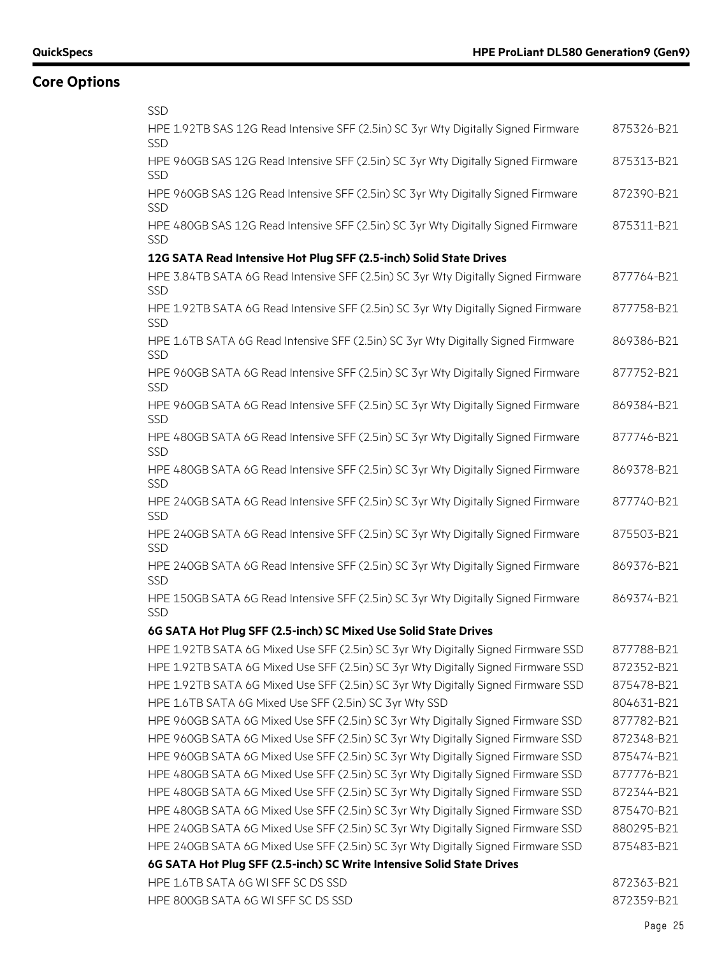| <b>SSD</b>                                                                                       |            |
|--------------------------------------------------------------------------------------------------|------------|
| HPE 1.92TB SAS 12G Read Intensive SFF (2.5in) SC 3yr Wty Digitally Signed Firmware<br><b>SSD</b> | 875326-B21 |
| HPE 960GB SAS 12G Read Intensive SFF (2.5in) SC 3yr Wty Digitally Signed Firmware<br><b>SSD</b>  | 875313-B21 |
| HPE 960GB SAS 12G Read Intensive SFF (2.5in) SC 3yr Wty Digitally Signed Firmware<br><b>SSD</b>  | 872390-B21 |
| HPE 480GB SAS 12G Read Intensive SFF (2.5in) SC 3yr Wty Digitally Signed Firmware<br>SSD         | 875311-B21 |
| 12G SATA Read Intensive Hot Plug SFF (2.5-inch) Solid State Drives                               |            |
| HPE 3.84TB SATA 6G Read Intensive SFF (2.5in) SC 3yr Wty Digitally Signed Firmware<br>SSD        | 877764-B21 |
| HPE 1.92TB SATA 6G Read Intensive SFF (2.5in) SC 3yr Wty Digitally Signed Firmware<br><b>SSD</b> | 877758-B21 |
| HPE 1.6TB SATA 6G Read Intensive SFF (2.5in) SC 3yr Wty Digitally Signed Firmware<br>SSD         | 869386-B21 |
| HPE 960GB SATA 6G Read Intensive SFF (2.5in) SC 3yr Wty Digitally Signed Firmware<br><b>SSD</b>  | 877752-B21 |
| HPE 960GB SATA 6G Read Intensive SFF (2.5in) SC 3yr Wty Digitally Signed Firmware<br><b>SSD</b>  | 869384-B21 |
| HPE 480GB SATA 6G Read Intensive SFF (2.5in) SC 3yr Wty Digitally Signed Firmware<br><b>SSD</b>  | 877746-B21 |
| HPE 480GB SATA 6G Read Intensive SFF (2.5in) SC 3yr Wty Digitally Signed Firmware<br><b>SSD</b>  | 869378-B21 |
| HPE 240GB SATA 6G Read Intensive SFF (2.5in) SC 3yr Wty Digitally Signed Firmware<br><b>SSD</b>  | 877740-B21 |
| HPE 240GB SATA 6G Read Intensive SFF (2.5in) SC 3yr Wty Digitally Signed Firmware<br><b>SSD</b>  | 875503-B21 |
| HPE 240GB SATA 6G Read Intensive SFF (2.5in) SC 3yr Wty Digitally Signed Firmware<br>SSD         | 869376-B21 |
| HPE 150GB SATA 6G Read Intensive SFF (2.5in) SC 3yr Wty Digitally Signed Firmware<br><b>SSD</b>  | 869374-B21 |
| 6G SATA Hot Plug SFF (2.5-inch) SC Mixed Use Solid State Drives                                  |            |
| HPE 1.92TB SATA 6G Mixed Use SFF (2.5in) SC 3yr Wty Digitally Signed Firmware SSD                | 877788-B21 |
| HPE 1.92TB SATA 6G Mixed Use SFF (2.5in) SC 3yr Wty Digitally Signed Firmware SSD                | 872352-B21 |
| HPE 1.92TB SATA 6G Mixed Use SFF (2.5in) SC 3yr Wty Digitally Signed Firmware SSD                | 875478-B21 |
| HPE 1.6TB SATA 6G Mixed Use SFF (2.5in) SC 3yr Wty SSD                                           | 804631-B21 |
| HPE 960GB SATA 6G Mixed Use SFF (2.5in) SC 3yr Wty Digitally Signed Firmware SSD                 | 877782-B21 |
| HPE 960GB SATA 6G Mixed Use SFF (2.5in) SC 3yr Wty Digitally Signed Firmware SSD                 | 872348-B21 |
| HPE 960GB SATA 6G Mixed Use SFF (2.5in) SC 3yr Wty Digitally Signed Firmware SSD                 | 875474-B21 |
| HPE 480GB SATA 6G Mixed Use SFF (2.5in) SC 3yr Wty Digitally Signed Firmware SSD                 | 877776-B21 |
| HPE 480GB SATA 6G Mixed Use SFF (2.5in) SC 3yr Wty Digitally Signed Firmware SSD                 | 872344-B21 |
| HPE 480GB SATA 6G Mixed Use SFF (2.5in) SC 3yr Wty Digitally Signed Firmware SSD                 | 875470-B21 |
| HPE 240GB SATA 6G Mixed Use SFF (2.5in) SC 3yr Wty Digitally Signed Firmware SSD                 | 880295-B21 |
| HPE 240GB SATA 6G Mixed Use SFF (2.5in) SC 3yr Wty Digitally Signed Firmware SSD                 | 875483-B21 |
| 6G SATA Hot Plug SFF (2.5-inch) SC Write Intensive Solid State Drives                            |            |
| HPE 1.6TB SATA 6G WI SFF SC DS SSD                                                               | 872363-B21 |
| HPE 800GB SATA 6G WI SFF SC DS SSD                                                               | 872359-B21 |
|                                                                                                  |            |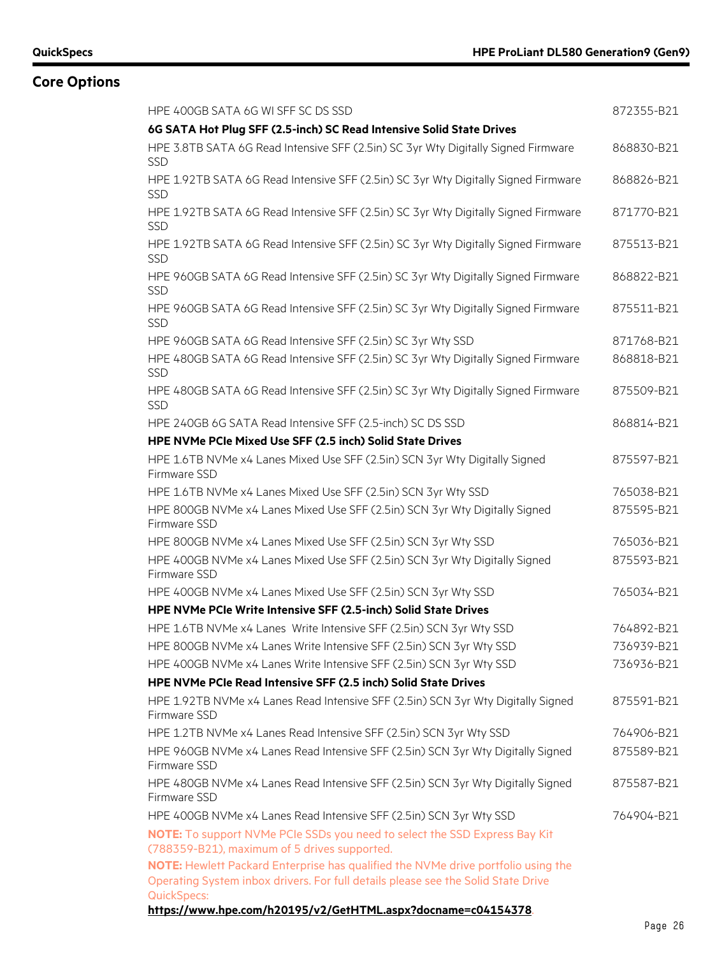| HPE 400GB SATA 6G WI SFF SC DS SSD                                                                                         | 872355-B21 |
|----------------------------------------------------------------------------------------------------------------------------|------------|
| 6G SATA Hot Plug SFF (2.5-inch) SC Read Intensive Solid State Drives                                                       |            |
| HPE 3.8TB SATA 6G Read Intensive SFF (2.5in) SC 3yr Wty Digitally Signed Firmware<br><b>SSD</b>                            | 868830-B21 |
| HPE 1.92TB SATA 6G Read Intensive SFF (2.5in) SC 3yr Wty Digitally Signed Firmware<br><b>SSD</b>                           | 868826-B21 |
| HPE 1.92TB SATA 6G Read Intensive SFF (2.5in) SC 3yr Wty Digitally Signed Firmware<br><b>SSD</b>                           | 871770-B21 |
| HPE 1.92TB SATA 6G Read Intensive SFF (2.5in) SC 3yr Wty Digitally Signed Firmware<br><b>SSD</b>                           | 875513-B21 |
| HPE 960GB SATA 6G Read Intensive SFF (2.5in) SC 3yr Wty Digitally Signed Firmware<br><b>SSD</b>                            | 868822-B21 |
| HPE 960GB SATA 6G Read Intensive SFF (2.5in) SC 3yr Wty Digitally Signed Firmware<br><b>SSD</b>                            | 875511-B21 |
| HPE 960GB SATA 6G Read Intensive SFF (2.5in) SC 3yr Wty SSD                                                                | 871768-B21 |
| HPE 480GB SATA 6G Read Intensive SFF (2.5in) SC 3yr Wty Digitally Signed Firmware<br><b>SSD</b>                            | 868818-B21 |
| HPE 480GB SATA 6G Read Intensive SFF (2.5in) SC 3yr Wty Digitally Signed Firmware<br><b>SSD</b>                            | 875509-B21 |
| HPE 240GB 6G SATA Read Intensive SFF (2.5-inch) SC DS SSD                                                                  | 868814-B21 |
| HPE NVMe PCIe Mixed Use SFF (2.5 inch) Solid State Drives                                                                  |            |
| HPE 1.6TB NVMe x4 Lanes Mixed Use SFF (2.5in) SCN 3yr Wty Digitally Signed<br>Firmware SSD                                 | 875597-B21 |
| HPE 1.6TB NVMe x4 Lanes Mixed Use SFF (2.5in) SCN 3yr Wty SSD                                                              | 765038-B21 |
| HPE 800GB NVMe x4 Lanes Mixed Use SFF (2.5in) SCN 3yr Wty Digitally Signed<br>Firmware SSD                                 | 875595-B21 |
| HPE 800GB NVMe x4 Lanes Mixed Use SFF (2.5in) SCN 3yr Wty SSD                                                              | 765036-B21 |
| HPE 400GB NVMe x4 Lanes Mixed Use SFF (2.5in) SCN 3yr Wty Digitally Signed<br>Firmware SSD                                 | 875593-B21 |
| HPE 400GB NVMe x4 Lanes Mixed Use SFF (2.5in) SCN 3yr Wty SSD                                                              | 765034-B21 |
| HPE NVMe PCIe Write Intensive SFF (2.5-inch) Solid State Drives                                                            |            |
| HPE 1.6TB NVMe x4 Lanes Write Intensive SFF (2.5in) SCN 3yr Wty SSD                                                        | 764892-B21 |
| HPE 800GB NVMe x4 Lanes Write Intensive SFF (2.5in) SCN 3yr Wty SSD                                                        | 736939-B21 |
| HPE 400GB NVMe x4 Lanes Write Intensive SFF (2.5in) SCN 3yr Wty SSD                                                        | 736936-B21 |
| HPE NVMe PCIe Read Intensive SFF (2.5 inch) Solid State Drives                                                             |            |
| HPE 1.92TB NVMe x4 Lanes Read Intensive SFF (2.5in) SCN 3yr Wty Digitally Signed<br>Firmware SSD                           | 875591-B21 |
| HPE 1.2TB NVMe x4 Lanes Read Intensive SFF (2.5in) SCN 3yr Wty SSD                                                         | 764906-B21 |
| HPE 960GB NVMe x4 Lanes Read Intensive SFF (2.5in) SCN 3yr Wty Digitally Signed<br>Firmware SSD                            | 875589-B21 |
| HPE 480GB NVMe x4 Lanes Read Intensive SFF (2.5in) SCN 3yr Wty Digitally Signed<br>Firmware SSD                            | 875587-B21 |
| HPE 400GB NVMe x4 Lanes Read Intensive SFF (2.5in) SCN 3yr Wty SSD                                                         | 764904-B21 |
| NOTE: To support NVMe PCIe SSDs you need to select the SSD Express Bay Kit<br>(788359-B21), maximum of 5 drives supported. |            |
| NOTE: Hewlett Packard Enterprise has qualified the NVMe drive portfolio using the                                          |            |
| Operating System inbox drivers. For full details please see the Solid State Drive                                          |            |
| <b>QuickSpecs:</b><br>https://www.hpe.com/h20195/v2/GetHTML.aspx?docname=c04154378.                                        |            |
|                                                                                                                            |            |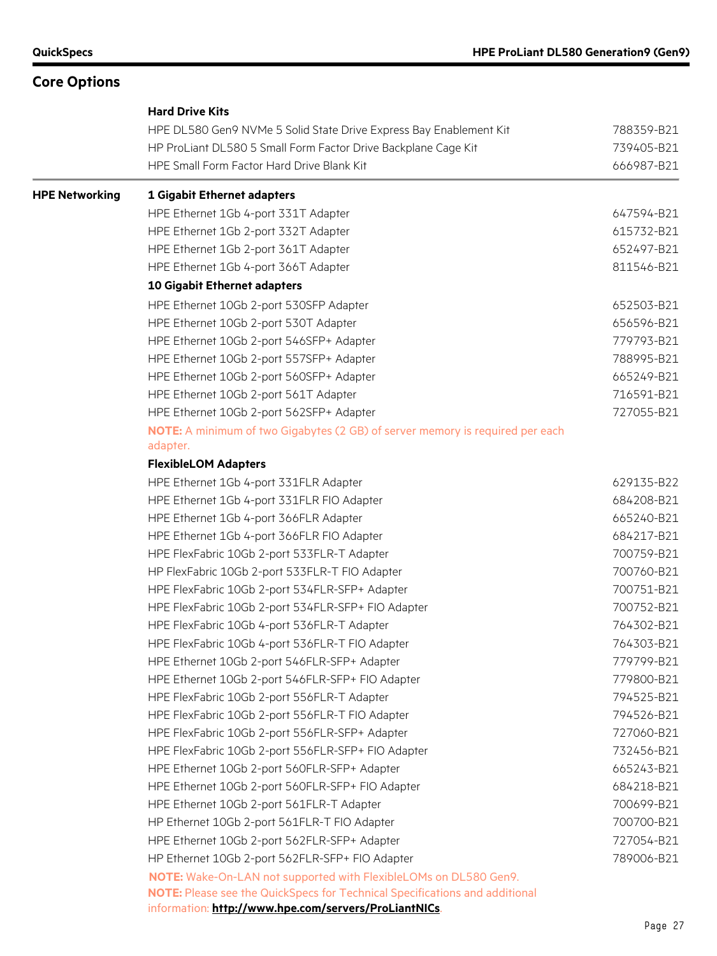|                       | <b>Hard Drive Kits</b>                                                                                       |                          |
|-----------------------|--------------------------------------------------------------------------------------------------------------|--------------------------|
|                       | HPE DL580 Gen9 NVMe 5 Solid State Drive Express Bay Enablement Kit                                           | 788359-B21               |
|                       | HP ProLiant DL580 5 Small Form Factor Drive Backplane Cage Kit<br>HPE Small Form Factor Hard Drive Blank Kit | 739405-B21<br>666987-B21 |
|                       |                                                                                                              |                          |
| <b>HPE Networking</b> | 1 Gigabit Ethernet adapters                                                                                  |                          |
|                       | HPE Ethernet 1Gb 4-port 331T Adapter                                                                         | 647594-B21               |
|                       | HPE Ethernet 1Gb 2-port 332T Adapter                                                                         | 615732-B21               |
|                       | HPE Ethernet 1Gb 2-port 361T Adapter                                                                         | 652497-B21               |
|                       | HPE Ethernet 1Gb 4-port 366T Adapter                                                                         | 811546-B21               |
|                       | 10 Gigabit Ethernet adapters                                                                                 |                          |
|                       | HPE Ethernet 10Gb 2-port 530SFP Adapter                                                                      | 652503-B21               |
|                       | HPE Ethernet 10Gb 2-port 530T Adapter                                                                        | 656596-B21               |
|                       | HPE Ethernet 10Gb 2-port 546SFP+ Adapter                                                                     | 779793-B21               |
|                       | HPE Ethernet 10Gb 2-port 557SFP+ Adapter                                                                     | 788995-B21               |
|                       | HPE Ethernet 10Gb 2-port 560SFP+ Adapter                                                                     | 665249-B21               |
|                       | HPE Ethernet 10Gb 2-port 561T Adapter                                                                        | 716591-B21               |
|                       | HPE Ethernet 10Gb 2-port 562SFP+ Adapter                                                                     | 727055-B21               |
|                       | NOTE: A minimum of two Gigabytes (2 GB) of server memory is required per each                                |                          |
|                       | adapter.                                                                                                     |                          |
|                       | <b>FlexibleLOM Adapters</b>                                                                                  |                          |
|                       | HPE Ethernet 1Gb 4-port 331FLR Adapter                                                                       | 629135-B22               |
|                       | HPE Ethernet 1Gb 4-port 331FLR FIO Adapter                                                                   | 684208-B21               |
|                       | HPE Ethernet 1Gb 4-port 366FLR Adapter                                                                       | 665240-B21               |
|                       | HPE Ethernet 1Gb 4-port 366FLR FIO Adapter                                                                   | 684217-B21               |
|                       | HPE FlexFabric 10Gb 2-port 533FLR-T Adapter                                                                  | 700759-B21               |
|                       | HP FlexFabric 10Gb 2-port 533FLR-T FIO Adapter                                                               | 700760-B21               |
|                       | HPE FlexFabric 10Gb 2-port 534FLR-SFP+ Adapter                                                               | 700751-B21               |
|                       | HPE FlexFabric 10Gb 2-port 534FLR-SFP+ FIO Adapter                                                           | 700752-B21               |
|                       | HPE FlexFabric 10Gb 4-port 536FLR-T Adapter                                                                  | 764302-B21               |
|                       | HPE FlexFabric 10Gb 4-port 536FLR-T FIO Adapter                                                              | 764303-B21               |
|                       | HPE Ethernet 10Gb 2-port 546FLR-SFP+ Adapter                                                                 | 779799-B21               |
|                       | HPE Ethernet 10Gb 2-port 546FLR-SFP+ FIO Adapter                                                             | 779800-B21               |
|                       | HPE FlexFabric 10Gb 2-port 556FLR-T Adapter                                                                  | 794525-B21               |
|                       | HPE FlexFabric 10Gb 2-port 556FLR-T FIO Adapter                                                              | 794526-B21               |
|                       | HPE FlexFabric 10Gb 2-port 556FLR-SFP+ Adapter                                                               | 727060-B21               |
|                       | HPE FlexFabric 10Gb 2-port 556FLR-SFP+ FIO Adapter                                                           | 732456-B21               |
|                       | HPE Ethernet 10Gb 2-port 560FLR-SFP+ Adapter                                                                 | 665243-B21               |
|                       | HPE Ethernet 10Gb 2-port 560FLR-SFP+ FIO Adapter                                                             | 684218-B21               |
|                       | HPE Ethernet 10Gb 2-port 561FLR-T Adapter                                                                    | 700699-B21               |
|                       | HP Ethernet 10Gb 2-port 561FLR-T FIO Adapter                                                                 | 700700-B21               |
|                       | HPE Ethernet 10Gb 2-port 562FLR-SFP+ Adapter                                                                 | 727054-B21               |
|                       | HP Ethernet 10Gb 2-port 562FLR-SFP+ FIO Adapter                                                              | 789006-B21               |
|                       | NOTE: Wake-On-LAN not supported with FlexibleLOMs on DL580 Gen9.                                             |                          |
|                       | <b>NOTE:</b> Please see the QuickSpecs for Technical Specifications and additional                           |                          |
|                       | information: http://www.hpe.com/servers/ProLiantNICs.                                                        |                          |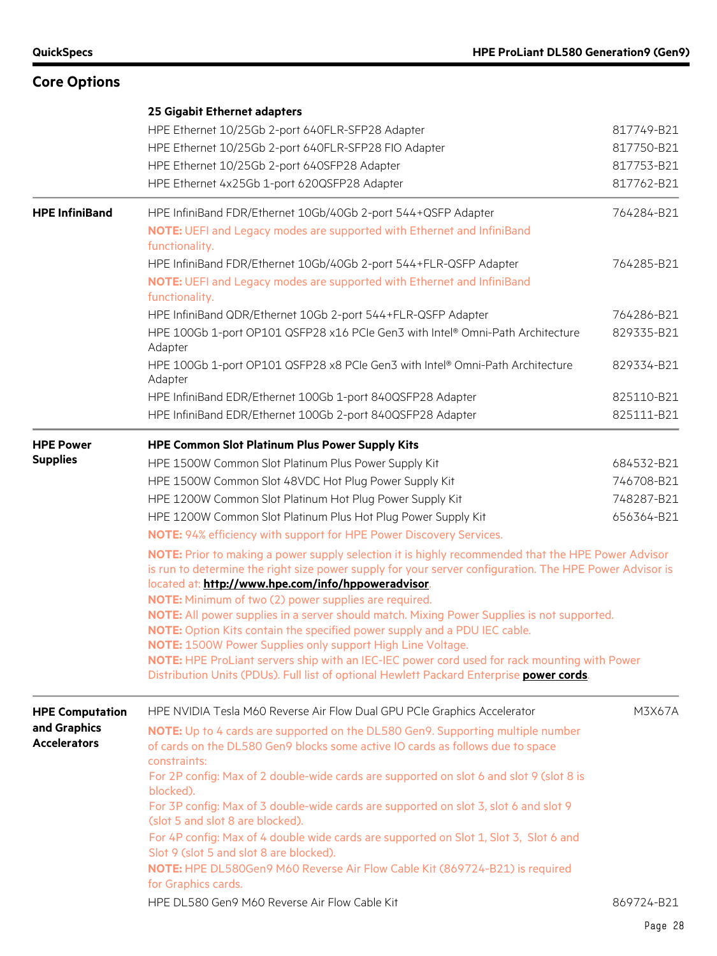|                        | 25 Gigabit Ethernet adapters                                                                                                                                   |            |
|------------------------|----------------------------------------------------------------------------------------------------------------------------------------------------------------|------------|
|                        | HPE Ethernet 10/25Gb 2-port 640FLR-SFP28 Adapter                                                                                                               | 817749-B21 |
|                        | HPE Ethernet 10/25Gb 2-port 640FLR-SFP28 FIO Adapter                                                                                                           | 817750-B21 |
|                        | HPE Ethernet 10/25Gb 2-port 640SFP28 Adapter                                                                                                                   | 817753-B21 |
|                        | HPE Ethernet 4x25Gb 1-port 620QSFP28 Adapter                                                                                                                   | 817762-B21 |
|                        |                                                                                                                                                                |            |
| <b>HPE InfiniBand</b>  | HPE InfiniBand FDR/Ethernet 10Gb/40Gb 2-port 544+QSFP Adapter                                                                                                  | 764284-B21 |
|                        | NOTE: UEFI and Legacy modes are supported with Ethernet and InfiniBand<br>functionality.                                                                       |            |
|                        | HPE InfiniBand FDR/Ethernet 10Gb/40Gb 2-port 544+FLR-QSFP Adapter                                                                                              | 764285-B21 |
|                        | NOTE: UEFI and Legacy modes are supported with Ethernet and InfiniBand<br>functionality.                                                                       |            |
|                        | HPE InfiniBand QDR/Ethernet 10Gb 2-port 544+FLR-QSFP Adapter                                                                                                   | 764286-B21 |
|                        | HPE 100Gb 1-port OP101 QSFP28 x16 PCle Gen3 with Intel® Omni-Path Architecture<br>Adapter                                                                      | 829335-B21 |
|                        | HPE 100Gb 1-port OP101 QSFP28 x8 PCIe Gen3 with Intel® Omni-Path Architecture<br>Adapter                                                                       | 829334-B21 |
|                        | HPE InfiniBand EDR/Ethernet 100Gb 1-port 840QSFP28 Adapter                                                                                                     | 825110-B21 |
|                        | HPE InfiniBand EDR/Ethernet 100Gb 2-port 840QSFP28 Adapter                                                                                                     | 825111-B21 |
| <b>HPE Power</b>       | <b>HPE Common Slot Platinum Plus Power Supply Kits</b>                                                                                                         |            |
| <b>Supplies</b>        | HPE 1500W Common Slot Platinum Plus Power Supply Kit                                                                                                           | 684532-B21 |
|                        | HPE 1500W Common Slot 48VDC Hot Plug Power Supply Kit                                                                                                          | 746708-B21 |
|                        | HPE 1200W Common Slot Platinum Hot Plug Power Supply Kit                                                                                                       | 748287-B21 |
|                        | HPE 1200W Common Slot Platinum Plus Hot Plug Power Supply Kit                                                                                                  | 656364-B21 |
|                        | NOTE: 94% efficiency with support for HPE Power Discovery Services.                                                                                            |            |
|                        | NOTE: Prior to making a power supply selection it is highly recommended that the HPE Power Advisor                                                             |            |
|                        | is run to determine the right size power supply for your server configuration. The HPE Power Advisor is<br>located at: http://www.hpe.com/info/hppoweradvisor. |            |
|                        | NOTE: Minimum of two (2) power supplies are required.                                                                                                          |            |
|                        | NOTE: All power supplies in a server should match. Mixing Power Supplies is not supported.                                                                     |            |
|                        | NOTE: Option Kits contain the specified power supply and a PDU IEC cable.                                                                                      |            |
|                        | <b>NOTE:</b> 1500W Power Supplies only support High Line Voltage.                                                                                              |            |
|                        | NOTE: HPE ProLiant servers ship with an IEC-IEC power cord used for rack mounting with Power                                                                   |            |
|                        | Distribution Units (PDUs). Full list of optional Hewlett Packard Enterprise power cords.                                                                       |            |
| <b>HPE Computation</b> | HPE NVIDIA Tesla M60 Reverse Air Flow Dual GPU PCIe Graphics Accelerator                                                                                       | M3X67A     |
| and Graphics           | NOTE: Up to 4 cards are supported on the DL580 Gen9. Supporting multiple number                                                                                |            |
| <b>Accelerators</b>    | of cards on the DL580 Gen9 blocks some active IO cards as follows due to space                                                                                 |            |
|                        | constraints:                                                                                                                                                   |            |
|                        | For 2P config: Max of 2 double-wide cards are supported on slot 6 and slot 9 (slot 8 is<br>blocked).                                                           |            |
|                        | For 3P config: Max of 3 double-wide cards are supported on slot 3, slot 6 and slot 9                                                                           |            |
|                        | (slot 5 and slot 8 are blocked).                                                                                                                               |            |
|                        | For 4P config: Max of 4 double wide cards are supported on Slot 1, Slot 3, Slot 6 and                                                                          |            |
|                        | Slot 9 (slot 5 and slot 8 are blocked).                                                                                                                        |            |
|                        | NOTE: HPE DL580Gen9 M60 Reverse Air Flow Cable Kit (869724-B21) is required<br>for Graphics cards.                                                             |            |
|                        | HPE DL580 Gen9 M60 Reverse Air Flow Cable Kit                                                                                                                  | 869724-B21 |
|                        |                                                                                                                                                                |            |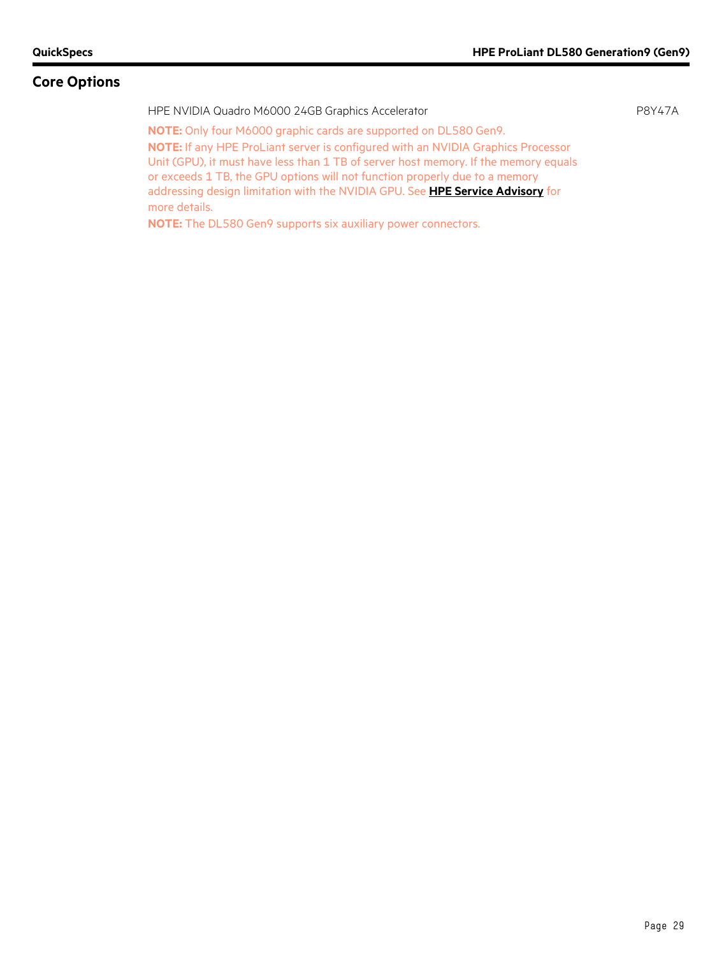HPE NVIDIA Quadro M6000 24GB Graphics Accelerator P8Y47A **NOTE:** Only four M6000 graphic cards are supported on DL580 Gen9. **NOTE:** If any HPE ProLiant server is configured with an NVIDIA Graphics Processor Unit (GPU), it must have less than 1 TB of server host memory. If the memory equals or exceeds 1 TB, the GPU options will not function properly due to a memory addressing design limitation with the NVIDIA GPU. See **[HPE Service Advisory](http://h20566.www2.hp.com/hpsc/doc/public/display?docId=emr_na-c04722720)** for more details.

**NOTE:** The DL580 Gen9 supports six auxiliary power connectors.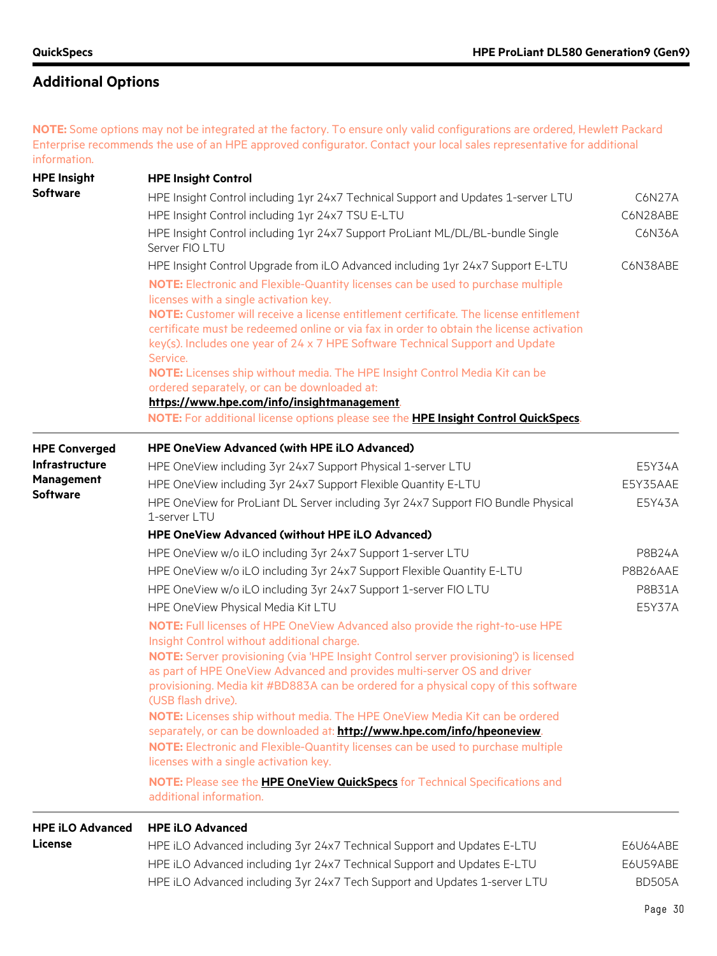## **Additional Options**

**NOTE:** Some options may not be integrated at the factory. To ensure only valid configurations are ordered, Hewlett Packard Enterprise recommends the use of an HPE approved configurator. Contact your local sales representative for additional information.

| <b>HPE Insight</b>      | <b>HPE Insight Control</b>                                                                                                                                                                                                                                                                                                                                                                                                                                                                                                                                                                                                                                                        |                    |
|-------------------------|-----------------------------------------------------------------------------------------------------------------------------------------------------------------------------------------------------------------------------------------------------------------------------------------------------------------------------------------------------------------------------------------------------------------------------------------------------------------------------------------------------------------------------------------------------------------------------------------------------------------------------------------------------------------------------------|--------------------|
| <b>Software</b>         | HPE Insight Control including 1yr 24x7 Technical Support and Updates 1-server LTU<br>HPE Insight Control including 1yr 24x7 TSU E-LTU                                                                                                                                                                                                                                                                                                                                                                                                                                                                                                                                             | C6N27A<br>C6N28ABE |
|                         | HPE Insight Control including 1yr 24x7 Support ProLiant ML/DL/BL-bundle Single<br>Server FIO LTU                                                                                                                                                                                                                                                                                                                                                                                                                                                                                                                                                                                  | C6N36A             |
|                         | HPE Insight Control Upgrade from iLO Advanced including 1yr 24x7 Support E-LTU                                                                                                                                                                                                                                                                                                                                                                                                                                                                                                                                                                                                    | C6N38ABE           |
|                         | NOTE: Electronic and Flexible-Quantity licenses can be used to purchase multiple<br>licenses with a single activation key.<br>NOTE: Customer will receive a license entitlement certificate. The license entitlement<br>certificate must be redeemed online or via fax in order to obtain the license activation<br>key(s). Includes one year of 24 x 7 HPE Software Technical Support and Update<br>Service.<br>NOTE: Licenses ship without media. The HPE Insight Control Media Kit can be<br>ordered separately, or can be downloaded at:<br>https://www.hpe.com/info/insightmanagement<br>NOTE: For additional license options please see the HPE Insight Control QuickSpecs. |                    |
| <b>HPE Converged</b>    | <b>HPE OneView Advanced (with HPE iLO Advanced)</b>                                                                                                                                                                                                                                                                                                                                                                                                                                                                                                                                                                                                                               |                    |
| <b>Infrastructure</b>   | HPE OneView including 3yr 24x7 Support Physical 1-server LTU                                                                                                                                                                                                                                                                                                                                                                                                                                                                                                                                                                                                                      | E5Y34A             |
| <b>Management</b>       | HPE OneView including 3yr 24x7 Support Flexible Quantity E-LTU                                                                                                                                                                                                                                                                                                                                                                                                                                                                                                                                                                                                                    | E5Y35AAE           |
| <b>Software</b>         | HPE OneView for ProLiant DL Server including 3yr 24x7 Support FIO Bundle Physical<br>1-server LTU                                                                                                                                                                                                                                                                                                                                                                                                                                                                                                                                                                                 | E5Y43A             |
|                         | HPE OneView Advanced (without HPE iLO Advanced)                                                                                                                                                                                                                                                                                                                                                                                                                                                                                                                                                                                                                                   |                    |
|                         | HPE OneView w/o iLO including 3yr 24x7 Support 1-server LTU                                                                                                                                                                                                                                                                                                                                                                                                                                                                                                                                                                                                                       | <b>P8B24A</b>      |
|                         | HPE OneView w/o iLO including 3yr 24x7 Support Flexible Quantity E-LTU                                                                                                                                                                                                                                                                                                                                                                                                                                                                                                                                                                                                            | P8B26AAE           |
|                         | HPE OneView w/o iLO including 3yr 24x7 Support 1-server FIO LTU                                                                                                                                                                                                                                                                                                                                                                                                                                                                                                                                                                                                                   | P8B31A             |
|                         | HPE OneView Physical Media Kit LTU                                                                                                                                                                                                                                                                                                                                                                                                                                                                                                                                                                                                                                                | E5Y37A             |
|                         | NOTE: Full licenses of HPE OneView Advanced also provide the right-to-use HPE<br>Insight Control without additional charge.                                                                                                                                                                                                                                                                                                                                                                                                                                                                                                                                                       |                    |
|                         | NOTE: Server provisioning (via 'HPE Insight Control server provisioning') is licensed<br>as part of HPE OneView Advanced and provides multi-server OS and driver<br>provisioning. Media kit #BD883A can be ordered for a physical copy of this software<br>(USB flash drive).                                                                                                                                                                                                                                                                                                                                                                                                     |                    |
|                         | NOTE: Licenses ship without media. The HPE OneView Media Kit can be ordered<br>separately, or can be downloaded at: http://www.hpe.com/info/hpeoneview.                                                                                                                                                                                                                                                                                                                                                                                                                                                                                                                           |                    |
|                         | NOTE: Electronic and Flexible-Quantity licenses can be used to purchase multiple<br>licenses with a single activation key.                                                                                                                                                                                                                                                                                                                                                                                                                                                                                                                                                        |                    |
|                         | NOTE: Please see the HPE OneView QuickSpecs for Technical Specifications and<br>additional information.                                                                                                                                                                                                                                                                                                                                                                                                                                                                                                                                                                           |                    |
| <b>HPE iLO Advanced</b> | <b>HPE iLO Advanced</b>                                                                                                                                                                                                                                                                                                                                                                                                                                                                                                                                                                                                                                                           |                    |
| License                 | HPF il Q Advanced including 3yr 24x7 Technical Support and Undates F-LTU                                                                                                                                                                                                                                                                                                                                                                                                                                                                                                                                                                                                          | F6U64ARF           |

| HPE iLO Advanced including 3yr 24x7 Technical Support and Updates E-LTU   | E6U64ABE      |
|---------------------------------------------------------------------------|---------------|
| HPE iLO Advanced including 1yr 24x7 Technical Support and Updates E-LTU   | E6U59ABE      |
| HPE iLO Advanced including 3yr 24x7 Tech Support and Updates 1-server LTU | <b>BD505A</b> |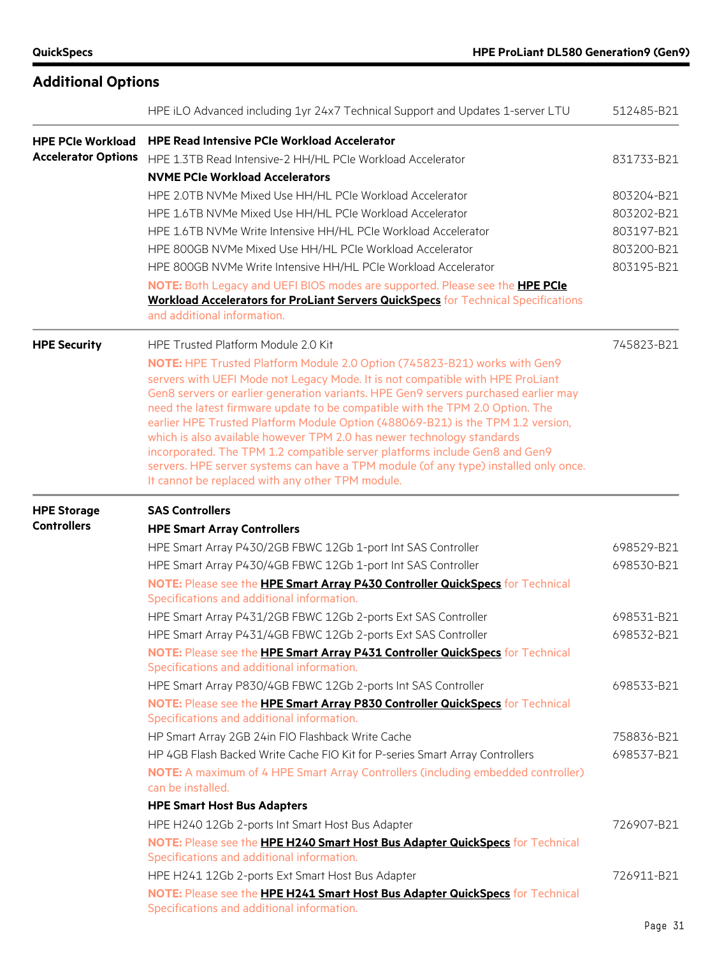| <b>Additional Options</b>                |                                                                                                                                                                                                                                                                                                                                                                                                                                                                                                                                                                                                                                                                                                                             |            |
|------------------------------------------|-----------------------------------------------------------------------------------------------------------------------------------------------------------------------------------------------------------------------------------------------------------------------------------------------------------------------------------------------------------------------------------------------------------------------------------------------------------------------------------------------------------------------------------------------------------------------------------------------------------------------------------------------------------------------------------------------------------------------------|------------|
|                                          | HPE iLO Advanced including 1yr 24x7 Technical Support and Updates 1-server LTU                                                                                                                                                                                                                                                                                                                                                                                                                                                                                                                                                                                                                                              | 512485-B21 |
| <b>HPE PCIe Workload</b>                 | <b>HPE Read Intensive PCIe Workload Accelerator</b>                                                                                                                                                                                                                                                                                                                                                                                                                                                                                                                                                                                                                                                                         |            |
| <b>Accelerator Options</b>               | HPE 1.3TB Read Intensive-2 HH/HL PCIe Workload Accelerator                                                                                                                                                                                                                                                                                                                                                                                                                                                                                                                                                                                                                                                                  | 831733-B21 |
|                                          | <b>NVME PCIe Workload Accelerators</b>                                                                                                                                                                                                                                                                                                                                                                                                                                                                                                                                                                                                                                                                                      |            |
|                                          | HPE 2.0TB NVMe Mixed Use HH/HL PCIe Workload Accelerator                                                                                                                                                                                                                                                                                                                                                                                                                                                                                                                                                                                                                                                                    | 803204-B21 |
|                                          | HPE 1.6TB NVMe Mixed Use HH/HL PCIe Workload Accelerator                                                                                                                                                                                                                                                                                                                                                                                                                                                                                                                                                                                                                                                                    | 803202-B21 |
|                                          | HPE 1.6TB NVMe Write Intensive HH/HL PCIe Workload Accelerator                                                                                                                                                                                                                                                                                                                                                                                                                                                                                                                                                                                                                                                              | 803197-B21 |
|                                          | HPE 800GB NVMe Mixed Use HH/HL PCIe Workload Accelerator                                                                                                                                                                                                                                                                                                                                                                                                                                                                                                                                                                                                                                                                    | 803200-B21 |
|                                          | HPE 800GB NVMe Write Intensive HH/HL PCIe Workload Accelerator                                                                                                                                                                                                                                                                                                                                                                                                                                                                                                                                                                                                                                                              | 803195-B21 |
|                                          | NOTE: Both Legacy and UEFI BIOS modes are supported. Please see the HPE PCIe<br><b>Workload Accelerators for ProLiant Servers QuickSpecs</b> for Technical Specifications                                                                                                                                                                                                                                                                                                                                                                                                                                                                                                                                                   |            |
|                                          | and additional information.                                                                                                                                                                                                                                                                                                                                                                                                                                                                                                                                                                                                                                                                                                 |            |
| <b>HPE Security</b>                      | HPE Trusted Platform Module 2.0 Kit                                                                                                                                                                                                                                                                                                                                                                                                                                                                                                                                                                                                                                                                                         | 745823-B21 |
|                                          | NOTE: HPE Trusted Platform Module 2.0 Option (745823-B21) works with Gen9<br>servers with UEFI Mode not Legacy Mode. It is not compatible with HPE ProLiant<br>Gen8 servers or earlier generation variants. HPE Gen9 servers purchased earlier may<br>need the latest firmware update to be compatible with the TPM 2.0 Option. The<br>earlier HPE Trusted Platform Module Option (488069-B21) is the TPM 1.2 version,<br>which is also available however TPM 2.0 has newer technology standards<br>incorporated. The TPM 1.2 compatible server platforms include Gen8 and Gen9<br>servers. HPE server systems can have a TPM module (of any type) installed only once.<br>It cannot be replaced with any other TPM module. |            |
| <b>HPE Storage</b><br><b>Controllers</b> | <b>SAS Controllers</b><br><b>HPE Smart Array Controllers</b>                                                                                                                                                                                                                                                                                                                                                                                                                                                                                                                                                                                                                                                                |            |
|                                          | HPE Smart Array P430/2GB FBWC 12Gb 1-port Int SAS Controller                                                                                                                                                                                                                                                                                                                                                                                                                                                                                                                                                                                                                                                                | 698529-B21 |
|                                          | HPE Smart Array P430/4GB FBWC 12Gb 1-port Int SAS Controller                                                                                                                                                                                                                                                                                                                                                                                                                                                                                                                                                                                                                                                                | 698530-B21 |
|                                          | NOTE: Please see the HPE Smart Array P430 Controller QuickSpecs for Technical                                                                                                                                                                                                                                                                                                                                                                                                                                                                                                                                                                                                                                               |            |
|                                          | Specifications and additional information.                                                                                                                                                                                                                                                                                                                                                                                                                                                                                                                                                                                                                                                                                  |            |
|                                          | HPE Smart Array P431/2GB FBWC 12Gb 2-ports Ext SAS Controller                                                                                                                                                                                                                                                                                                                                                                                                                                                                                                                                                                                                                                                               | 698531-B21 |
|                                          | HPE Smart Array P431/4GB FBWC 12Gb 2-ports Ext SAS Controller                                                                                                                                                                                                                                                                                                                                                                                                                                                                                                                                                                                                                                                               | 698532-B21 |
|                                          | NOTE: Please see the HPE Smart Array P431 Controller QuickSpecs for Technical                                                                                                                                                                                                                                                                                                                                                                                                                                                                                                                                                                                                                                               |            |
|                                          | Specifications and additional information.                                                                                                                                                                                                                                                                                                                                                                                                                                                                                                                                                                                                                                                                                  |            |
|                                          | HPE Smart Array P830/4GB FBWC 12Gb 2-ports Int SAS Controller                                                                                                                                                                                                                                                                                                                                                                                                                                                                                                                                                                                                                                                               | 698533-B21 |
|                                          | NOTE: Please see the HPE Smart Array P830 Controller QuickSpecs for Technical<br>Specifications and additional information.                                                                                                                                                                                                                                                                                                                                                                                                                                                                                                                                                                                                 |            |
|                                          | HP Smart Array 2GB 24in FIO Flashback Write Cache                                                                                                                                                                                                                                                                                                                                                                                                                                                                                                                                                                                                                                                                           | 758836-B21 |
|                                          | HP 4GB Flash Backed Write Cache FIO Kit for P-series Smart Array Controllers                                                                                                                                                                                                                                                                                                                                                                                                                                                                                                                                                                                                                                                | 698537-B21 |
|                                          | NOTE: A maximum of 4 HPE Smart Array Controllers (including embedded controller)<br>can be installed.                                                                                                                                                                                                                                                                                                                                                                                                                                                                                                                                                                                                                       |            |
|                                          | <b>HPE Smart Host Bus Adapters</b>                                                                                                                                                                                                                                                                                                                                                                                                                                                                                                                                                                                                                                                                                          |            |
|                                          | HPE H240 12Gb 2-ports Int Smart Host Bus Adapter                                                                                                                                                                                                                                                                                                                                                                                                                                                                                                                                                                                                                                                                            | 726907-B21 |
|                                          | NOTE: Please see the HPE H240 Smart Host Bus Adapter QuickSpecs for Technical                                                                                                                                                                                                                                                                                                                                                                                                                                                                                                                                                                                                                                               |            |
|                                          | Specifications and additional information.                                                                                                                                                                                                                                                                                                                                                                                                                                                                                                                                                                                                                                                                                  |            |
|                                          | HPE H241 12Gb 2-ports Ext Smart Host Bus Adapter                                                                                                                                                                                                                                                                                                                                                                                                                                                                                                                                                                                                                                                                            | 726911-B21 |
|                                          | NOTE: Please see the <b>HPE H241 Smart Host Bus Adapter QuickSpecs</b> for Technical<br>Specifications and additional information.                                                                                                                                                                                                                                                                                                                                                                                                                                                                                                                                                                                          |            |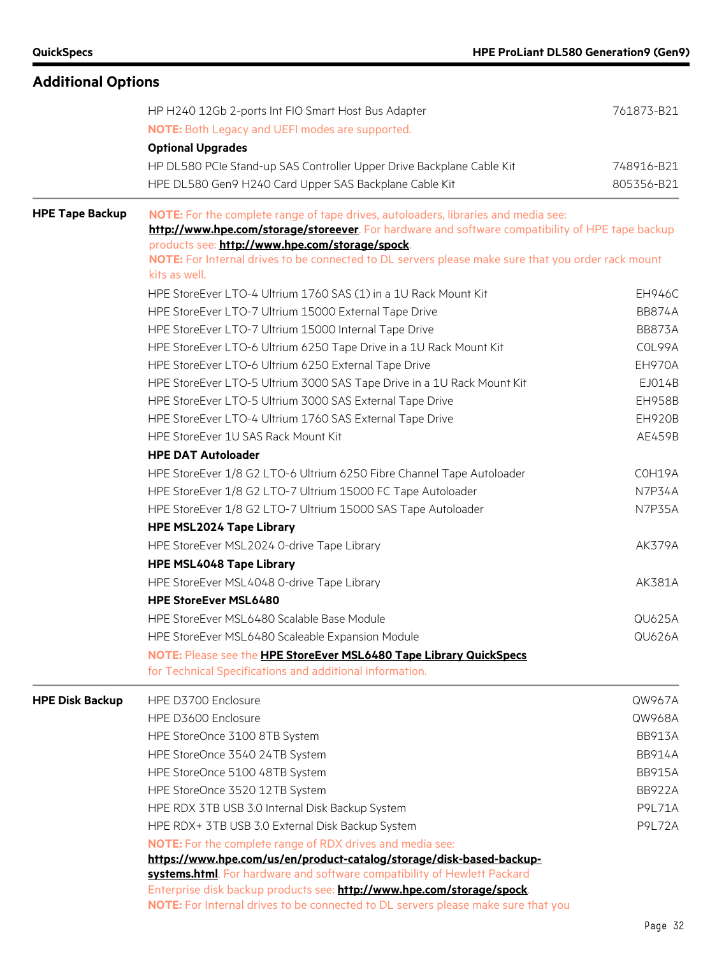| <b>Additional Options</b> |                                                                                                                                                             |                          |
|---------------------------|-------------------------------------------------------------------------------------------------------------------------------------------------------------|--------------------------|
|                           | HP H240 12Gb 2-ports Int FIO Smart Host Bus Adapter                                                                                                         | 761873-B21               |
|                           | <b>NOTE:</b> Both Legacy and UEFI modes are supported.                                                                                                      |                          |
|                           | <b>Optional Upgrades</b>                                                                                                                                    |                          |
|                           | HP DL580 PCIe Stand-up SAS Controller Upper Drive Backplane Cable Kit                                                                                       | 748916-B21<br>805356-B21 |
|                           | HPE DL580 Gen9 H240 Card Upper SAS Backplane Cable Kit                                                                                                      |                          |
| <b>HPE Tape Backup</b>    | NOTE: For the complete range of tape drives, autoloaders, libraries and media see:                                                                          |                          |
|                           | http://www.hpe.com/storage/storeever. For hardware and software compatibility of HPE tape backup                                                            |                          |
|                           | products see: http://www.hpe.com/storage/spock.                                                                                                             |                          |
|                           | NOTE: For Internal drives to be connected to DL servers please make sure that you order rack mount<br>kits as well.                                         |                          |
|                           | HPE StoreEver LTO-4 Ultrium 1760 SAS (1) in a 1U Rack Mount Kit                                                                                             | EH946C                   |
|                           | HPE StoreEver LTO-7 Ultrium 15000 External Tape Drive                                                                                                       | <b>BB874A</b>            |
|                           | HPE StoreEver LTO-7 Ultrium 15000 Internal Tape Drive                                                                                                       | <b>BB873A</b>            |
|                           | HPE StoreEver LTO-6 Ultrium 6250 Tape Drive in a 1U Rack Mount Kit                                                                                          | COL99A                   |
|                           | HPE StoreEver LTO-6 Ultrium 6250 External Tape Drive                                                                                                        | EH970A                   |
|                           | HPE StoreEver LTO-5 Ultrium 3000 SAS Tape Drive in a 1U Rack Mount Kit                                                                                      | EJ014B                   |
|                           | HPE StoreEver LTO-5 Ultrium 3000 SAS External Tape Drive                                                                                                    | <b>EH958B</b>            |
|                           | HPE StoreEver LTO-4 Ultrium 1760 SAS External Tape Drive                                                                                                    | <b>EH920B</b>            |
|                           | HPE StoreEver 1U SAS Rack Mount Kit                                                                                                                         | AE459B                   |
|                           | <b>HPE DAT Autoloader</b>                                                                                                                                   |                          |
|                           | HPE StoreEver 1/8 G2 LTO-6 Ultrium 6250 Fibre Channel Tape Autoloader                                                                                       | COH19A                   |
|                           | HPE StoreEver 1/8 G2 LTO-7 Ultrium 15000 FC Tape Autoloader                                                                                                 | <b>N7P34A</b>            |
|                           | HPE StoreEver 1/8 G2 LTO-7 Ultrium 15000 SAS Tape Autoloader                                                                                                | N7P35A                   |
|                           | <b>HPE MSL2024 Tape Library</b>                                                                                                                             |                          |
|                           | HPE StoreEver MSL2024 0-drive Tape Library                                                                                                                  | <b>AK379A</b>            |
|                           | <b>HPE MSL4048 Tape Library</b>                                                                                                                             |                          |
|                           | HPE StoreEver MSL4048 0-drive Tape Library                                                                                                                  | AK381A                   |
|                           | <b>HPE StoreEver MSL6480</b>                                                                                                                                |                          |
|                           | HPE StoreEver MSL6480 Scalable Base Module                                                                                                                  | <b>QU625A</b>            |
|                           | HPE StoreEver MSL6480 Scaleable Expansion Module                                                                                                            | <b>QU626A</b>            |
|                           | NOTE: Please see the HPE StoreEver MSL6480 Tape Library QuickSpecs                                                                                          |                          |
|                           | for Technical Specifications and additional information.                                                                                                    |                          |
| <b>HPE Disk Backup</b>    | HPE D3700 Enclosure                                                                                                                                         | QW967A                   |
|                           | HPE D3600 Enclosure                                                                                                                                         | QW968A                   |
|                           | HPE StoreOnce 3100 8TB System                                                                                                                               | <b>BB913A</b>            |
|                           | HPE StoreOnce 3540 24TB System                                                                                                                              | <b>BB914A</b>            |
|                           | HPE StoreOnce 5100 48TB System                                                                                                                              | <b>BB915A</b>            |
|                           | HPE StoreOnce 3520 12TB System                                                                                                                              | <b>BB922A</b>            |
|                           | HPE RDX 3TB USB 3.0 Internal Disk Backup System                                                                                                             | <b>P9L71A</b>            |
|                           | HPE RDX+ 3TB USB 3.0 External Disk Backup System                                                                                                            | <b>P9L72A</b>            |
|                           | <b>NOTE:</b> For the complete range of RDX drives and media see:                                                                                            |                          |
|                           | https://www.hpe.com/us/en/product-catalog/storage/disk-based-backup-                                                                                        |                          |
|                           | systems.html. For hardware and software compatibility of Hewlett Packard                                                                                    |                          |
|                           | Enterprise disk backup products see: http://www.hpe.com/storage/spock.<br>NOTE: For Internal drives to be connected to DL servers please make sure that you |                          |
|                           |                                                                                                                                                             |                          |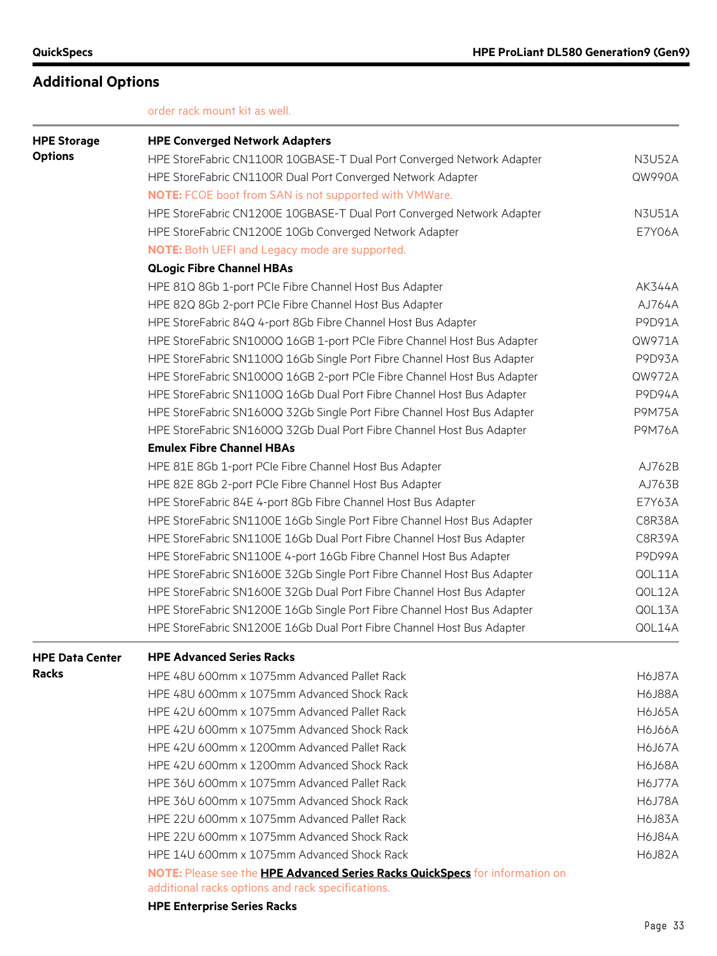order rack mount kit as well.

| <b>HPE Storage</b>     | <b>HPE Converged Network Adapters</b>                                               |               |
|------------------------|-------------------------------------------------------------------------------------|---------------|
| <b>Options</b>         | HPE StoreFabric CN1100R 10GBASE-T Dual Port Converged Network Adapter               | <b>N3U52A</b> |
|                        | HPE StoreFabric CN1100R Dual Port Converged Network Adapter                         | QW990A        |
|                        | <b>NOTE:</b> FCOE boot from SAN is not supported with VMWare.                       |               |
|                        | HPE StoreFabric CN1200E 10GBASE-T Dual Port Converged Network Adapter               | <b>N3U51A</b> |
|                        | HPE StoreFabric CN1200E 10Gb Converged Network Adapter                              | <b>E7Y06A</b> |
|                        | NOTE: Both UEFI and Legacy mode are supported.                                      |               |
|                        | <b>QLogic Fibre Channel HBAs</b>                                                    |               |
|                        | HPE 81Q 8Gb 1-port PCIe Fibre Channel Host Bus Adapter                              | <b>AK344A</b> |
|                        | HPE 82Q 8Gb 2-port PCIe Fibre Channel Host Bus Adapter                              | AJ764A        |
|                        | HPE StoreFabric 84Q 4-port 8Gb Fibre Channel Host Bus Adapter                       | P9D91A        |
|                        | HPE StoreFabric SN1000Q 16GB 1-port PCIe Fibre Channel Host Bus Adapter             | QW971A        |
|                        | HPE StoreFabric SN1100Q 16Gb Single Port Fibre Channel Host Bus Adapter             | <b>P9D93A</b> |
|                        | HPE StoreFabric SN1000Q 16GB 2-port PCIe Fibre Channel Host Bus Adapter             | QW972A        |
|                        | HPE StoreFabric SN1100Q 16Gb Dual Port Fibre Channel Host Bus Adapter               | <b>P9D94A</b> |
|                        | HPE StoreFabric SN1600Q 32Gb Single Port Fibre Channel Host Bus Adapter             | <b>P9M75A</b> |
|                        | HPE StoreFabric SN1600Q 32Gb Dual Port Fibre Channel Host Bus Adapter               | <b>P9M76A</b> |
|                        | <b>Emulex Fibre Channel HBAs</b>                                                    |               |
|                        | HPE 81E 8Gb 1-port PCIe Fibre Channel Host Bus Adapter                              | AJ762B        |
|                        | HPE 82E 8Gb 2-port PCIe Fibre Channel Host Bus Adapter                              | AJ763B        |
|                        | HPE StoreFabric 84E 4-port 8Gb Fibre Channel Host Bus Adapter                       | E7Y63A        |
|                        | HPE StoreFabric SN1100E 16Gb Single Port Fibre Channel Host Bus Adapter             | <b>C8R38A</b> |
|                        | HPE StoreFabric SN1100E 16Gb Dual Port Fibre Channel Host Bus Adapter               | <b>C8R39A</b> |
|                        | HPE StoreFabric SN1100E 4-port 16Gb Fibre Channel Host Bus Adapter                  | <b>P9D99A</b> |
|                        | HPE StoreFabric SN1600E 32Gb Single Port Fibre Channel Host Bus Adapter             | QOL11A        |
|                        | HPE StoreFabric SN1600E 32Gb Dual Port Fibre Channel Host Bus Adapter               | QOL12A        |
|                        | HPE StoreFabric SN1200E 16Gb Single Port Fibre Channel Host Bus Adapter             | QOL13A        |
|                        | HPE StoreFabric SN1200E 16Gb Dual Port Fibre Channel Host Bus Adapter               | QOL14A        |
| <b>HPE Data Center</b> | <b>HPE Advanced Series Racks</b>                                                    |               |
| <b>Racks</b>           | HPE 48U 600mm x 1075mm Advanced Pallet Rack                                         | <b>H6J87A</b> |
|                        | HPE 48U 600mm x 1075mm Advanced Shock Rack                                          | <b>H6J88A</b> |
|                        | HPE 42U 600mm x 1075mm Advanced Pallet Rack                                         | <b>H6J65A</b> |
|                        | HPE 42U 600mm x 1075mm Advanced Shock Rack                                          | <b>H6J66A</b> |
|                        | HPE 42U 600mm x 1200mm Advanced Pallet Rack                                         | H6J67A        |
|                        | HPE 42U 600mm x 1200mm Advanced Shock Rack                                          | H6J68A        |
|                        | HPE 36U 600mm x 1075mm Advanced Pallet Rack                                         | <b>H6J77A</b> |
|                        | HPE 36U 600mm x 1075mm Advanced Shock Rack                                          | <b>H6J78A</b> |
|                        | HPE 22U 600mm x 1075mm Advanced Pallet Rack                                         | <b>H6J83A</b> |
|                        | HPE 22U 600mm x 1075mm Advanced Shock Rack                                          | <b>H6J84A</b> |
|                        | HPE 14U 600mm x 1075mm Advanced Shock Rack                                          | <b>H6J82A</b> |
|                        | NOTE: Please see the <b>HPE Advanced Series Racks QuickSpecs</b> for information on |               |
|                        | additional racks options and rack specifications.                                   |               |

**HPE Enterprise Series Racks**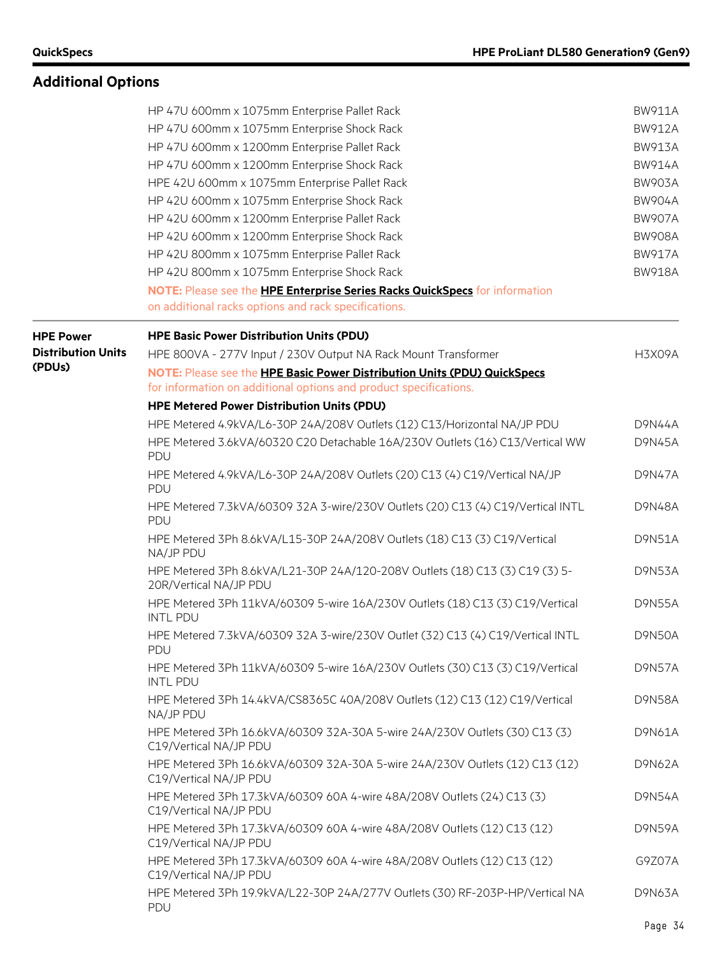# **Additional Options**

|                           | HP 47U 600mm x 1075mm Enterprise Pallet Rack                                                                                                  | <b>BW911A</b> |
|---------------------------|-----------------------------------------------------------------------------------------------------------------------------------------------|---------------|
|                           | HP 47U 600mm x 1075mm Enterprise Shock Rack                                                                                                   | <b>BW912A</b> |
|                           | HP 47U 600mm x 1200mm Enterprise Pallet Rack                                                                                                  | <b>BW913A</b> |
|                           | HP 47U 600mm x 1200mm Enterprise Shock Rack<br>HPE 42U 600mm x 1075mm Enterprise Pallet Rack<br>HP 42U 600mm x 1075mm Enterprise Shock Rack   | <b>BW914A</b> |
|                           |                                                                                                                                               | <b>BW903A</b> |
|                           |                                                                                                                                               | <b>BW904A</b> |
|                           | HP 42U 600mm x 1200mm Enterprise Pallet Rack                                                                                                  | <b>BW907A</b> |
|                           | HP 42U 600mm x 1200mm Enterprise Shock Rack                                                                                                   | <b>BW908A</b> |
|                           | HP 42U 800mm x 1075mm Enterprise Pallet Rack                                                                                                  | <b>BW917A</b> |
|                           | HP 42U 800mm x 1075mm Enterprise Shock Rack                                                                                                   | <b>BW918A</b> |
|                           | NOTE: Please see the HPE Enterprise Series Racks QuickSpecs for information                                                                   |               |
|                           | on additional racks options and rack specifications.                                                                                          |               |
| <b>HPE Power</b>          | <b>HPE Basic Power Distribution Units (PDU)</b>                                                                                               |               |
| <b>Distribution Units</b> | HPE 800VA - 277V Input / 230V Output NA Rack Mount Transformer                                                                                | <b>H3X09A</b> |
| (PDUs)                    | NOTE: Please see the HPE Basic Power Distribution Units (PDU) QuickSpecs<br>for information on additional options and product specifications. |               |
|                           | <b>HPE Metered Power Distribution Units (PDU)</b>                                                                                             |               |
|                           | HPE Metered 4.9kVA/L6-30P 24A/208V Outlets (12) C13/Horizontal NA/JP PDU                                                                      | <b>D9N44A</b> |
|                           | HPE Metered 3.6kVA/60320 C20 Detachable 16A/230V Outlets (16) C13/Vertical WW<br>PDU                                                          | <b>D9N45A</b> |
|                           | HPE Metered 4.9kVA/L6-30P 24A/208V Outlets (20) C13 (4) C19/Vertical NA/JP<br>PDU                                                             | <b>D9N47A</b> |
|                           | HPE Metered 7.3kVA/60309 32A 3-wire/230V Outlets (20) C13 (4) C19/Vertical INTL<br>PDU                                                        | D9N48A        |
|                           | HPE Metered 3Ph 8.6kVA/L15-30P 24A/208V Outlets (18) C13 (3) C19/Vertical<br>NA/JP PDU                                                        | <b>D9N51A</b> |
|                           | HPE Metered 3Ph 8.6kVA/L21-30P 24A/120-208V Outlets (18) C13 (3) C19 (3) 5-<br>20R/Vertical NA/JP PDU                                         | D9N53A        |
|                           | HPE Metered 3Ph 11kVA/60309 5-wire 16A/230V Outlets (18) C13 (3) C19/Vertical<br><b>INTL PDU</b>                                              | <b>D9N55A</b> |
|                           | HPE Metered 7.3kVA/60309 32A 3-wire/230V Outlet (32) C13 (4) C19/Vertical INTL<br>PDU                                                         | <b>D9N50A</b> |
|                           | HPE Metered 3Ph 11kVA/60309 5-wire 16A/230V Outlets (30) C13 (3) C19/Vertical<br><b>INTL PDU</b>                                              | <b>D9N57A</b> |
|                           | HPE Metered 3Ph 14.4kVA/CS8365C 40A/208V Outlets (12) C13 (12) C19/Vertical<br>NA/JP PDU                                                      | <b>D9N58A</b> |
|                           | HPE Metered 3Ph 16.6kVA/60309 32A-30A 5-wire 24A/230V Outlets (30) C13 (3)<br>C19/Vertical NA/JP PDU                                          | D9N61A        |
|                           | HPE Metered 3Ph 16.6kVA/60309 32A-30A 5-wire 24A/230V Outlets (12) C13 (12)<br>C19/Vertical NA/JP PDU                                         | D9N62A        |
|                           | HPE Metered 3Ph 17.3kVA/60309 60A 4-wire 48A/208V Outlets (24) C13 (3)<br>C19/Vertical NA/JP PDU                                              | <b>D9N54A</b> |
|                           | HPE Metered 3Ph 17.3kVA/60309 60A 4-wire 48A/208V Outlets (12) C13 (12)<br>C19/Vertical NA/JP PDU                                             | <b>D9N59A</b> |
|                           | HPE Metered 3Ph 17.3kVA/60309 60A 4-wire 48A/208V Outlets (12) C13 (12)<br>C19/Vertical NA/JP PDU                                             | G9Z07A        |
|                           | HPE Metered 3Ph 19.9kVA/L22-30P 24A/277V Outlets (30) RF-203P-HP/Vertical NA<br>PDU                                                           | D9N63A        |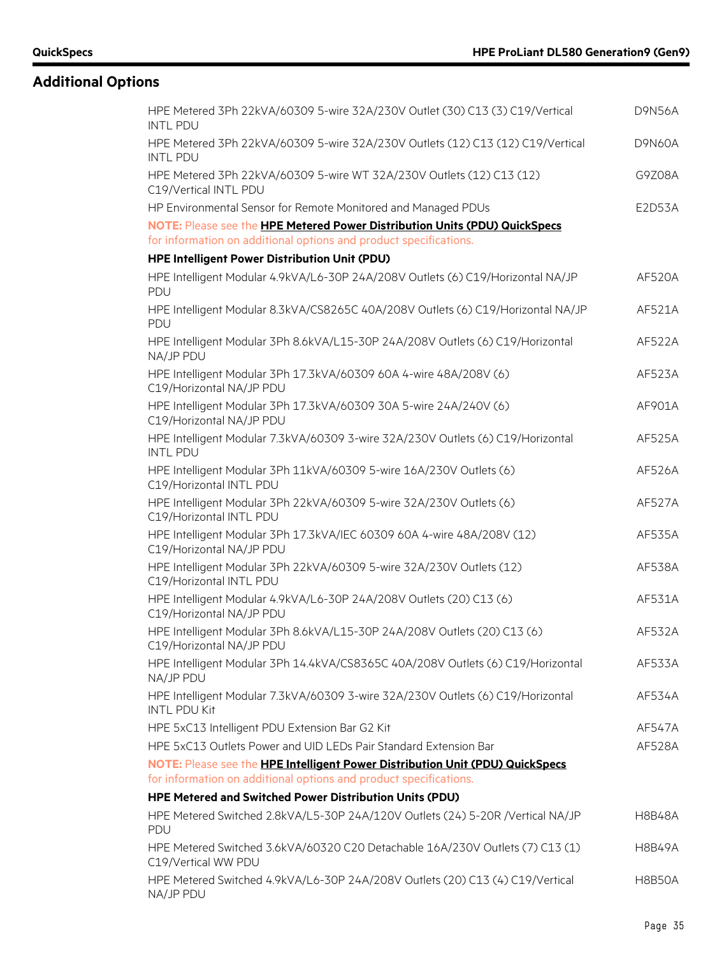# **Additional Options**

| HPE Metered 3Ph 22kVA/60309 5-wire 32A/230V Outlet (30) C13 (3) C19/Vertical<br><b>INTL PDU</b>        | <b>D9N56A</b> |
|--------------------------------------------------------------------------------------------------------|---------------|
| HPE Metered 3Ph 22kVA/60309 5-wire 32A/230V Outlets (12) C13 (12) C19/Vertical<br><b>INTL PDU</b>      | <b>D9N60A</b> |
| HPE Metered 3Ph 22kVA/60309 5-wire WT 32A/230V Outlets (12) C13 (12)<br>C19/Vertical INTL PDU          | G9Z08A        |
| HP Environmental Sensor for Remote Monitored and Managed PDUs                                          | E2D53A        |
| NOTE: Please see the HPE Metered Power Distribution Units (PDU) QuickSpecs                             |               |
| for information on additional options and product specifications.                                      |               |
| HPE Intelligent Power Distribution Unit (PDU)                                                          |               |
| HPE Intelligent Modular 4.9kVA/L6-30P 24A/208V Outlets (6) C19/Horizontal NA/JP<br><b>PDU</b>          | AF520A        |
| HPE Intelligent Modular 8.3kVA/CS8265C 40A/208V Outlets (6) C19/Horizontal NA/JP<br>PDU                | AF521A        |
| HPE Intelligent Modular 3Ph 8.6kVA/L15-30P 24A/208V Outlets (6) C19/Horizontal<br>NA/JP PDU            | AF522A        |
| HPE Intelligent Modular 3Ph 17.3kVA/60309 60A 4-wire 48A/208V (6)<br>C19/Horizontal NA/JP PDU          | AF523A        |
| HPE Intelligent Modular 3Ph 17.3kVA/60309 30A 5-wire 24A/240V (6)<br>C19/Horizontal NA/JP PDU          | AF901A        |
| HPE Intelligent Modular 7.3kVA/60309 3-wire 32A/230V Outlets (6) C19/Horizontal<br><b>INTL PDU</b>     | AF525A        |
| HPE Intelligent Modular 3Ph 11kVA/60309 5-wire 16A/230V Outlets (6)<br>C19/Horizontal INTL PDU         | AF526A        |
| HPE Intelligent Modular 3Ph 22kVA/60309 5-wire 32A/230V Outlets (6)<br>C19/Horizontal INTL PDU         | <b>AF527A</b> |
| HPE Intelligent Modular 3Ph 17.3kVA/IEC 60309 60A 4-wire 48A/208V (12)<br>C19/Horizontal NA/JP PDU     | AF535A        |
| HPE Intelligent Modular 3Ph 22kVA/60309 5-wire 32A/230V Outlets (12)<br>C19/Horizontal INTL PDU        | AF538A        |
| HPE Intelligent Modular 4.9kVA/L6-30P 24A/208V Outlets (20) C13 (6)<br>C19/Horizontal NA/JP PDU        | AF531A        |
| HPE Intelligent Modular 3Ph 8.6kVA/L15-30P 24A/208V Outlets (20) C13 (6)<br>C19/Horizontal NA/JP PDU   | AF532A        |
| HPE Intelligent Modular 3Ph 14.4kVA/CS8365C 40A/208V Outlets (6) C19/Horizontal<br>NA/JP PDU           | AF533A        |
| HPE Intelligent Modular 7.3kVA/60309 3-wire 32A/230V Outlets (6) C19/Horizontal<br><b>INTL PDU Kit</b> | AF534A        |
| HPE 5xC13 Intelligent PDU Extension Bar G2 Kit                                                         | AF547A        |
| HPE 5xC13 Outlets Power and UID LEDs Pair Standard Extension Bar                                       | AF528A        |
| NOTE: Please see the HPE Intelligent Power Distribution Unit (PDU) QuickSpecs                          |               |
| for information on additional options and product specifications.                                      |               |
| HPE Metered and Switched Power Distribution Units (PDU)                                                |               |
| HPE Metered Switched 2.8kVA/L5-30P 24A/120V Outlets (24) 5-20R /Vertical NA/JP<br>PDU                  | H8B48A        |
| HPE Metered Switched 3.6kVA/60320 C20 Detachable 16A/230V Outlets (7) C13 (1)<br>C19/Vertical WW PDU   | H8B49A        |
| HPE Metered Switched 4.9kVA/L6-30P 24A/208V Outlets (20) C13 (4) C19/Vertical<br>NA/JP PDU             | <b>H8B50A</b> |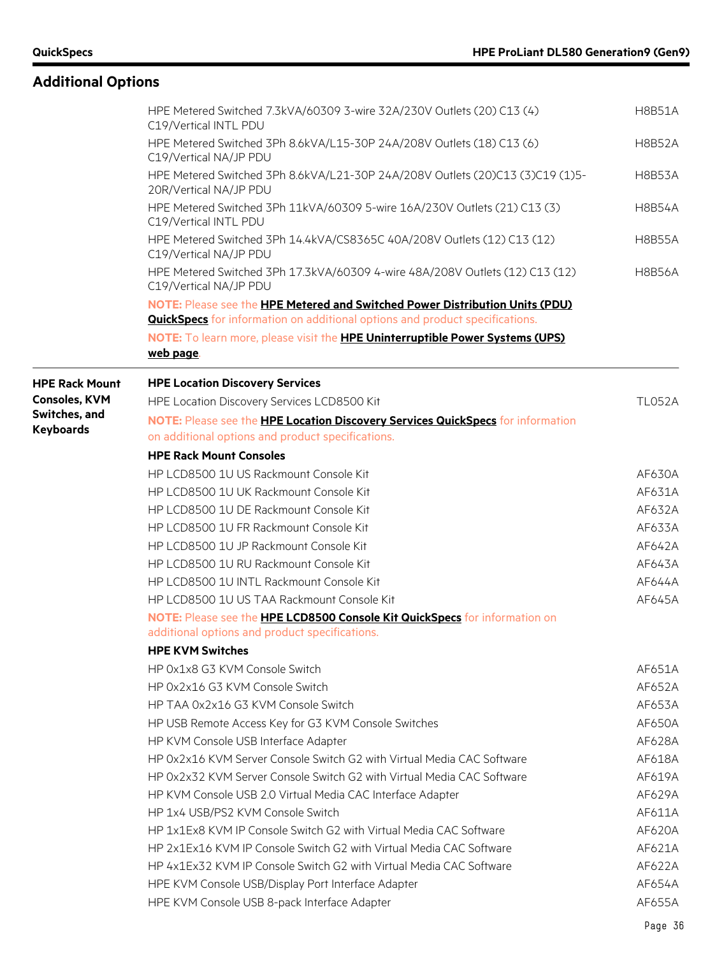| <b>Additional Options</b> |                                                                                                                                                                     |               |
|---------------------------|---------------------------------------------------------------------------------------------------------------------------------------------------------------------|---------------|
|                           | HPE Metered Switched 7.3kVA/60309 3-wire 32A/230V Outlets (20) C13 (4)<br>C19/Vertical INTL PDU                                                                     | <b>H8B51A</b> |
|                           | HPE Metered Switched 3Ph 8.6kVA/L15-30P 24A/208V Outlets (18) C13 (6)<br>C19/Vertical NA/JP PDU                                                                     | <b>H8B52A</b> |
|                           | HPE Metered Switched 3Ph 8.6kVA/L21-30P 24A/208V Outlets (20)C13 (3)C19 (1)5-<br>20R/Vertical NA/JP PDU                                                             | <b>H8B53A</b> |
|                           | HPE Metered Switched 3Ph 11kVA/60309 5-wire 16A/230V Outlets (21) C13 (3)<br>C19/Vertical INTL PDU                                                                  | <b>H8B54A</b> |
|                           | HPE Metered Switched 3Ph 14.4kVA/CS8365C 40A/208V Outlets (12) C13 (12)<br>C19/Vertical NA/JP PDU                                                                   | <b>H8B55A</b> |
|                           | HPE Metered Switched 3Ph 17.3kVA/60309 4-wire 48A/208V Outlets (12) C13 (12)<br>C19/Vertical NA/JP PDU                                                              | <b>H8B56A</b> |
|                           | NOTE: Please see the HPE Metered and Switched Power Distribution Units (PDU)<br><b>QuickSpecs</b> for information on additional options and product specifications. |               |
|                           | NOTE: To learn more, please visit the HPE Uninterruptible Power Systems (UPS)<br>web page.                                                                          |               |
| <b>HPE Rack Mount</b>     | <b>HPE Location Discovery Services</b>                                                                                                                              |               |
| <b>Consoles, KVM</b>      | HPE Location Discovery Services LCD8500 Kit                                                                                                                         | <b>TL052A</b> |
| Switches, and             | NOTE: Please see the HPE Location Discovery Services QuickSpecs for information                                                                                     |               |
| <b>Keyboards</b>          | on additional options and product specifications.                                                                                                                   |               |
|                           | <b>HPE Rack Mount Consoles</b>                                                                                                                                      |               |
|                           | HP LCD8500 1U US Rackmount Console Kit                                                                                                                              | AF630A        |
|                           | HP LCD8500 1U UK Rackmount Console Kit                                                                                                                              | AF631A        |
|                           | HP LCD8500 1U DE Rackmount Console Kit                                                                                                                              | AF632A        |
|                           | HP LCD8500 1U FR Rackmount Console Kit                                                                                                                              | AF633A        |
|                           | HP LCD8500 1U JP Rackmount Console Kit                                                                                                                              | AF642A        |
|                           | HP LCD8500 1U RU Rackmount Console Kit                                                                                                                              | AF643A        |
|                           | HP LCD8500 1U INTL Rackmount Console Kit                                                                                                                            | AF644A        |
|                           | HP LCD8500 1U US TAA Rackmount Console Kit                                                                                                                          | AF645A        |
|                           | NOTE: Please see the HPE LCD8500 Console Kit QuickSpecs for information on<br>additional options and product specifications.                                        |               |
|                           | <b>HPE KVM Switches</b>                                                                                                                                             |               |
|                           | HP 0x1x8 G3 KVM Console Switch                                                                                                                                      | AF651A        |
|                           | HP 0x2x16 G3 KVM Console Switch                                                                                                                                     | AF652A        |
|                           | HP TAA 0x2x16 G3 KVM Console Switch                                                                                                                                 | AF653A        |
|                           | HP USB Remote Access Key for G3 KVM Console Switches                                                                                                                | AF650A        |
|                           | HP KVM Console USB Interface Adapter                                                                                                                                | AF628A        |
|                           | HP 0x2x16 KVM Server Console Switch G2 with Virtual Media CAC Software                                                                                              | AF618A        |
|                           | HP 0x2x32 KVM Server Console Switch G2 with Virtual Media CAC Software                                                                                              | AF619A        |
|                           | HP KVM Console USB 2.0 Virtual Media CAC Interface Adapter                                                                                                          | AF629A        |
|                           | HP 1x4 USB/PS2 KVM Console Switch                                                                                                                                   | AF611A        |
|                           | HP 1x1Ex8 KVM IP Console Switch G2 with Virtual Media CAC Software                                                                                                  | AF620A        |
|                           | HP 2x1Ex16 KVM IP Console Switch G2 with Virtual Media CAC Software                                                                                                 | AF621A        |
|                           | HP 4x1Ex32 KVM IP Console Switch G2 with Virtual Media CAC Software                                                                                                 | AF622A        |
|                           | HPE KVM Console USB/Display Port Interface Adapter                                                                                                                  | AF654A        |
|                           | HPE KVM Console USB 8-pack Interface Adapter                                                                                                                        | AF655A        |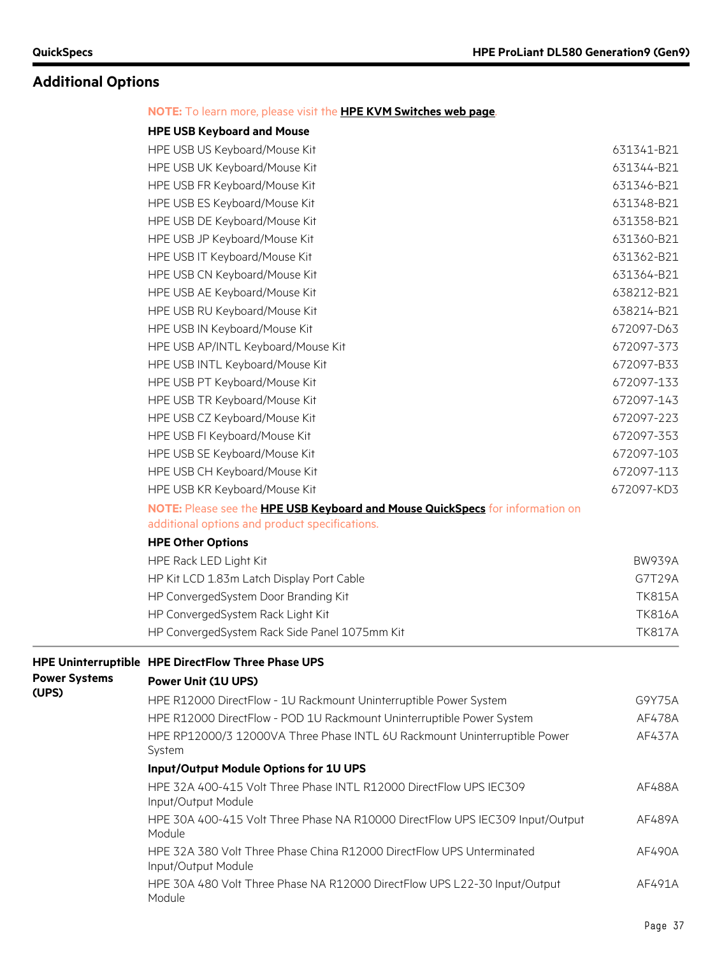System

### **Additional Options**

#### **NOTE:** To learn more, please visit the **[HPE KVM Switches web page](http://h18004.www1.hp.com/products/servers/proliantstorage/racks/console.html)**.

#### **HPE USB Keyboard and Mouse**

|                      | HPE USB US Keyboard/Mouse Kit                                                 | 631341-B21    |
|----------------------|-------------------------------------------------------------------------------|---------------|
|                      | HPE USB UK Keyboard/Mouse Kit                                                 | 631344-B21    |
|                      | HPE USB FR Keyboard/Mouse Kit                                                 | 631346-B21    |
|                      | HPE USB ES Keyboard/Mouse Kit                                                 | 631348-B21    |
|                      | HPE USB DE Keyboard/Mouse Kit                                                 | 631358-B21    |
|                      | HPE USB JP Keyboard/Mouse Kit                                                 | 631360-B21    |
|                      | HPE USB IT Keyboard/Mouse Kit                                                 | 631362-B21    |
|                      | HPE USB CN Keyboard/Mouse Kit                                                 | 631364-B21    |
|                      | HPE USB AE Keyboard/Mouse Kit                                                 | 638212-B21    |
|                      | HPE USB RU Keyboard/Mouse Kit                                                 | 638214-B21    |
|                      | HPE USB IN Keyboard/Mouse Kit                                                 | 672097-D63    |
|                      | HPE USB AP/INTL Keyboard/Mouse Kit                                            | 672097-373    |
|                      | HPE USB INTL Keyboard/Mouse Kit                                               | 672097-B33    |
|                      | HPE USB PT Keyboard/Mouse Kit                                                 | 672097-133    |
|                      | HPE USB TR Keyboard/Mouse Kit                                                 | 672097-143    |
|                      | HPE USB CZ Keyboard/Mouse Kit                                                 | 672097-223    |
|                      | HPE USB FI Keyboard/Mouse Kit                                                 | 672097-353    |
|                      | HPE USB SE Keyboard/Mouse Kit                                                 | 672097-103    |
|                      | HPE USB CH Keyboard/Mouse Kit                                                 | 672097-113    |
|                      | HPE USB KR Keyboard/Mouse Kit                                                 | 672097-KD3    |
|                      | NOTE: Please see the HPE USB Keyboard and Mouse QuickSpecs for information on |               |
|                      | additional options and product specifications.                                |               |
|                      | <b>HPE Other Options</b>                                                      |               |
|                      | HPE Rack LED Light Kit                                                        | <b>BW939A</b> |
|                      | HP Kit LCD 1.83m Latch Display Port Cable                                     | G7T29A        |
|                      | HP ConvergedSystem Door Branding Kit                                          | <b>TK815A</b> |
|                      | HP ConvergedSystem Rack Light Kit                                             | <b>TK816A</b> |
|                      | HP ConvergedSystem Rack Side Panel 1075mm Kit                                 | <b>TK817A</b> |
|                      | HPE Uninterruptible HPE DirectFlow Three Phase UPS                            |               |
| <b>Power Systems</b> | Power Unit (1U UPS)                                                           |               |
| (UPS)                | HPE R12000 DirectFlow - 1U Rackmount Uninterruptible Power System             | G9Y75A        |
|                      | HPE R12000 DirectFlow - POD 1U Rackmount Uninterruptible Power System         | AF478A        |
|                      | HPE RP12000/3 12000VA Three Phase INTL 6U Rackmount Uninterruptible Power     | AF437A        |

| <b>Input/Output Module Options for 1U UPS</b>                                                |        |
|----------------------------------------------------------------------------------------------|--------|
| HPE 32A 400-415 Volt Three Phase INTL R12000 DirectFlow UPS IEC309<br>Input/Output Module    | AF488A |
| HPE 30A 400-415 Volt Three Phase NA R10000 DirectFlow UPS IEC309 Input/Output<br>Module      | AF489A |
| HPE 32A 380 Volt Three Phase China R12000 DirectFlow UPS Unterminated<br>Input/Output Module | AF490A |
| HPE 30A 480 Volt Three Phase NA R12000 DirectFlow UPS L22-30 Input/Output<br>Module          | AF491A |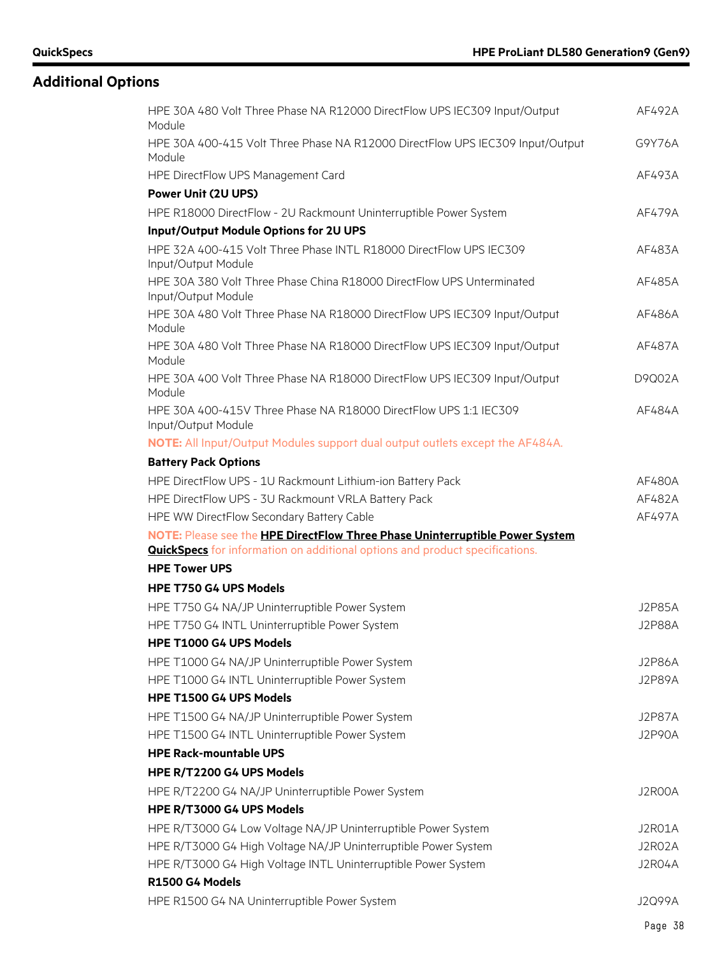# **Additional Options**

| HPE 30A 480 Volt Three Phase NA R12000 DirectFlow UPS IEC309 Input/Output<br>Module          | AF492A        |
|----------------------------------------------------------------------------------------------|---------------|
| HPE 30A 400-415 Volt Three Phase NA R12000 DirectFlow UPS IEC309 Input/Output<br>Module      | G9Y76A        |
| HPE DirectFlow UPS Management Card                                                           | AF493A        |
| <b>Power Unit (2U UPS)</b>                                                                   |               |
| HPE R18000 DirectFlow - 2U Rackmount Uninterruptible Power System                            | AF479A        |
| Input/Output Module Options for 2U UPS                                                       |               |
| HPE 32A 400-415 Volt Three Phase INTL R18000 DirectFlow UPS IEC309<br>Input/Output Module    | AF483A        |
| HPE 30A 380 Volt Three Phase China R18000 DirectFlow UPS Unterminated<br>Input/Output Module | AF485A        |
| HPE 30A 480 Volt Three Phase NA R18000 DirectFlow UPS IEC309 Input/Output<br>Module          | AF486A        |
| HPE 30A 480 Volt Three Phase NA R18000 DirectFlow UPS IEC309 Input/Output<br>Module          | AF487A        |
| HPE 30A 400 Volt Three Phase NA R18000 DirectFlow UPS IEC309 Input/Output<br>Module          | D9Q02A        |
| HPE 30A 400-415V Three Phase NA R18000 DirectFlow UPS 1:1 IEC309<br>Input/Output Module      | AF484A        |
| NOTE: All Input/Output Modules support dual output outlets except the AF484A.                |               |
| <b>Battery Pack Options</b>                                                                  |               |
| HPE DirectFlow UPS - 1U Rackmount Lithium-ion Battery Pack                                   | AF480A        |
| HPE DirectFlow UPS - 3U Rackmount VRLA Battery Pack                                          | AF482A        |
| HPE WW DirectFlow Secondary Battery Cable                                                    | AF497A        |
| NOTE: Please see the HPE DirectFlow Three Phase Uninterruptible Power System                 |               |
| <b>QuickSpecs</b> for information on additional options and product specifications.          |               |
| <b>HPE Tower UPS</b>                                                                         |               |
| <b>HPE T750 G4 UPS Models</b>                                                                |               |
| HPE T750 G4 NA/JP Uninterruptible Power System                                               | <b>J2P85A</b> |
| HPE T750 G4 INTL Uninterruptible Power System                                                | <b>J2P88A</b> |
| HPE T1000 G4 UPS Models                                                                      |               |
| HPE T1000 G4 NA/JP Uninterruptible Power System                                              | <b>J2P86A</b> |
| HPE T1000 G4 INTL Uninterruptible Power System                                               | <b>J2P89A</b> |
| HPE T1500 G4 UPS Models                                                                      |               |
| HPE T1500 G4 NA/JP Uninterruptible Power System                                              | <b>J2P87A</b> |
| HPE T1500 G4 INTL Uninterruptible Power System                                               | <b>J2P90A</b> |
| <b>HPE Rack-mountable UPS</b>                                                                |               |
| HPE R/T2200 G4 UPS Models                                                                    |               |
| HPE R/T2200 G4 NA/JP Uninterruptible Power System                                            | J2R00A        |
| HPE R/T3000 G4 UPS Models                                                                    |               |
| HPE R/T3000 G4 Low Voltage NA/JP Uninterruptible Power System                                | J2R01A        |
| HPE R/T3000 G4 High Voltage NA/JP Uninterruptible Power System                               | J2R02A        |
| HPE R/T3000 G4 High Voltage INTL Uninterruptible Power System                                | J2R04A        |
| R1500 G4 Models                                                                              |               |
| HPE R1500 G4 NA Uninterruptible Power System                                                 | J2Q99A        |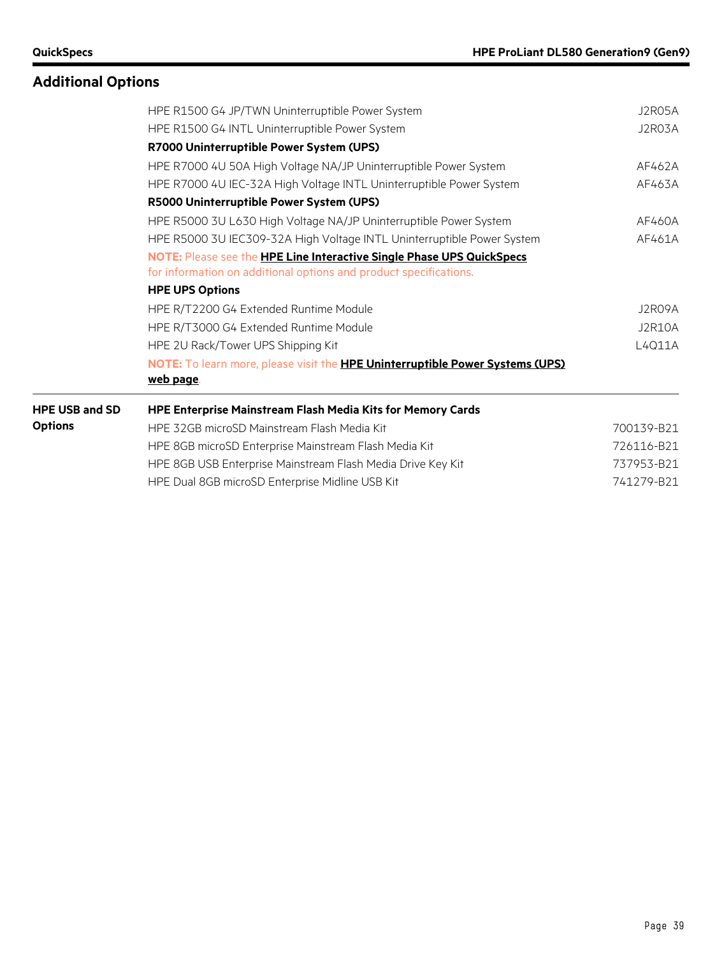# **Additional Options**

|                       | HPE R1500 G4 JP/TWN Uninterruptible Power System                                                                                           | J2R05A        |
|-----------------------|--------------------------------------------------------------------------------------------------------------------------------------------|---------------|
|                       | HPE R1500 G4 INTL Uninterruptible Power System                                                                                             | J2R03A        |
|                       | R7000 Uninterruptible Power System (UPS)                                                                                                   |               |
|                       | HPE R7000 4U 50A High Voltage NA/JP Uninterruptible Power System                                                                           | AF462A        |
|                       | HPE R7000 4U IEC-32A High Voltage INTL Uninterruptible Power System                                                                        | AF463A        |
|                       | R5000 Uninterruptible Power System (UPS)                                                                                                   |               |
|                       | HPE R5000 3U L630 High Voltage NA/JP Uninterruptible Power System                                                                          | AF460A        |
|                       | HPE R5000 3U IEC309-32A High Voltage INTL Uninterruptible Power System                                                                     | AF461A        |
|                       | NOTE: Please see the HPE Line Interactive Single Phase UPS QuickSpecs<br>for information on additional options and product specifications. |               |
|                       | <b>HPE UPS Options</b>                                                                                                                     |               |
|                       | HPE R/T2200 G4 Extended Runtime Module                                                                                                     | J2RO9A        |
|                       | HPE R/T3000 G4 Extended Runtime Module                                                                                                     | <b>J2R10A</b> |
|                       | HPE 2U Rack/Tower UPS Shipping Kit                                                                                                         | L4Q11A        |
|                       | NOTE: To learn more, please visit the HPE Uninterruptible Power Systems (UPS)<br>web page.                                                 |               |
| <b>HPE USB and SD</b> | HPE Enterprise Mainstream Flash Media Kits for Memory Cards                                                                                |               |
| <b>Options</b>        | HPE 32GB microSD Mainstream Flash Media Kit                                                                                                | 700139-B21    |
|                       | HPE 8GB microSD Enterprise Mainstream Flash Media Kit                                                                                      | 726116-B21    |
|                       | HPE 8GB USB Enterprise Mainstream Flash Media Drive Key Kit                                                                                | 737953-B21    |
|                       | HPE Dual 8GB microSD Enterprise Midline USB Kit                                                                                            | 741279-B21    |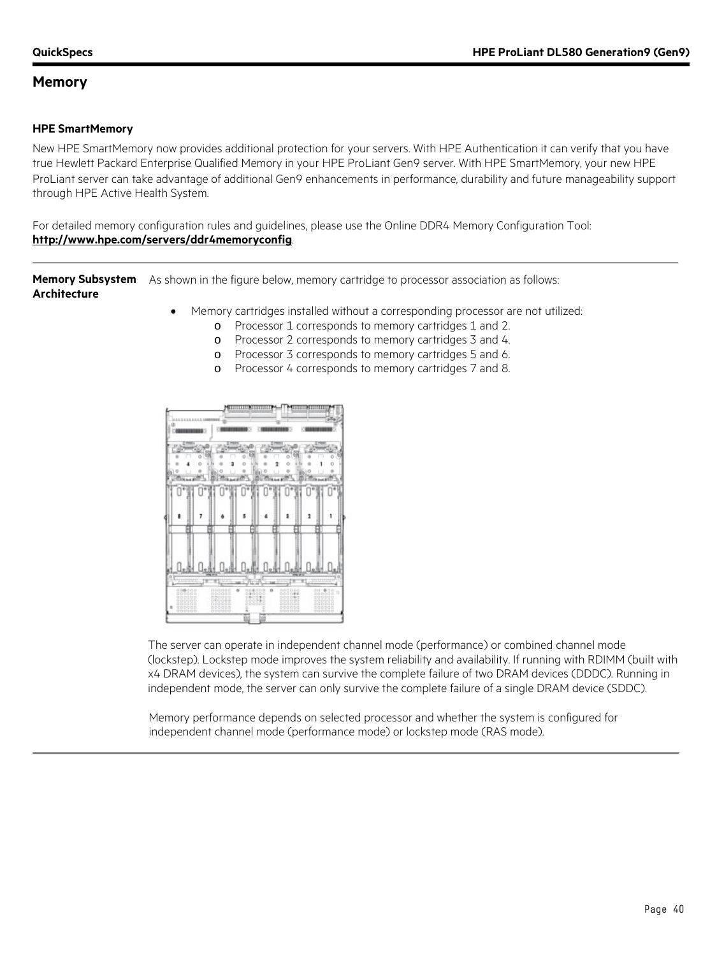#### **HPE SmartMemory**

New HPE SmartMemory now provides additional protection for your servers. With HPE Authentication it can verify that you have true Hewlett Packard Enterprise Qualified Memory in your HPE ProLiant Gen9 server. With HPE SmartMemory, your new HPE ProLiant server can take advantage of additional Gen9 enhancements in performance, durability and future manageability support through HPE Active Health System.

For detailed memory configuration rules and guidelines, please use the Online DDR4 Memory Configuration Tool: **<http://www.hpe.com/servers/ddr4memoryconfig>**.

**Memory Subsystem**  As shown in the figure below, memory cartridge to processor association as follows: **Architecture**

- Memory cartridges installed without a corresponding processor are not utilized:
	- o Processor 1 corresponds to memory cartridges 1 and 2.
	- o Processor 2 corresponds to memory cartridges 3 and 4.
	- o Processor 3 corresponds to memory cartridges 5 and 6.
	- o Processor 4 corresponds to memory cartridges 7 and 8.



The server can operate in independent channel mode (performance) or combined channel mode (lockstep). Lockstep mode improves the system reliability and availability. If running with RDIMM (built with x4 DRAM devices), the system can survive the complete failure of two DRAM devices (DDDC). Running in independent mode, the server can only survive the complete failure of a single DRAM device (SDDC).

Memory performance depends on selected processor and whether the system is configured for independent channel mode (performance mode) or lockstep mode (RAS mode).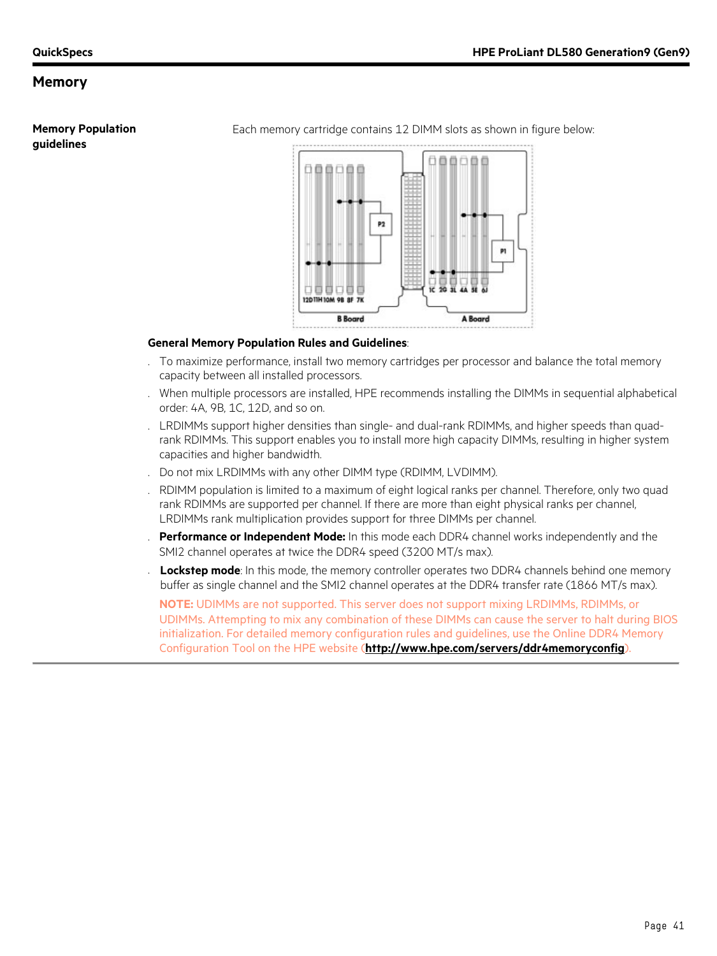**Memory Population guidelines**

Each memory cartridge contains 12 DIMM slots as shown in figure below:



#### **General Memory Population Rules and Guidelines**:

- . To maximize performance, install two memory cartridges per processor and balance the total memory capacity between all installed processors.
- . When multiple processors are installed, HPE recommends installing the DIMMs in sequential alphabetical order: 4A, 9B, 1C, 12D, and so on.
- . LRDIMMs support higher densities than single- and dual-rank RDIMMs, and higher speeds than quadrank RDIMMs. This support enables you to install more high capacity DIMMs, resulting in higher system capacities and higher bandwidth.
- . Do not mix LRDIMMs with any other DIMM type (RDIMM, LVDIMM).
- . RDIMM population is limited to a maximum of eight logical ranks per channel. Therefore, only two quad rank RDIMMs are supported per channel. If there are more than eight physical ranks per channel, LRDIMMs rank multiplication provides support for three DIMMs per channel.
- . **Performance or Independent Mode:** In this mode each DDR4 channel works independently and the SMI2 channel operates at twice the DDR4 speed (3200 MT/s max).
- Lockstep mode: In this mode, the memory controller operates two DDR4 channels behind one memory buffer as single channel and the SMI2 channel operates at the DDR4 transfer rate (1866 MT/s max).

**NOTE:** UDIMMs are not supported. This server does not support mixing LRDIMMs, RDIMMs, or UDIMMs. Attempting to mix any combination of these DIMMs can cause the server to halt during BIOS initialization. For detailed memory configuration rules and guidelines, use the Online DDR4 Memory Configuration Tool on the HPE website (**<http://www.hpe.com/servers/ddr4memoryconfig>**).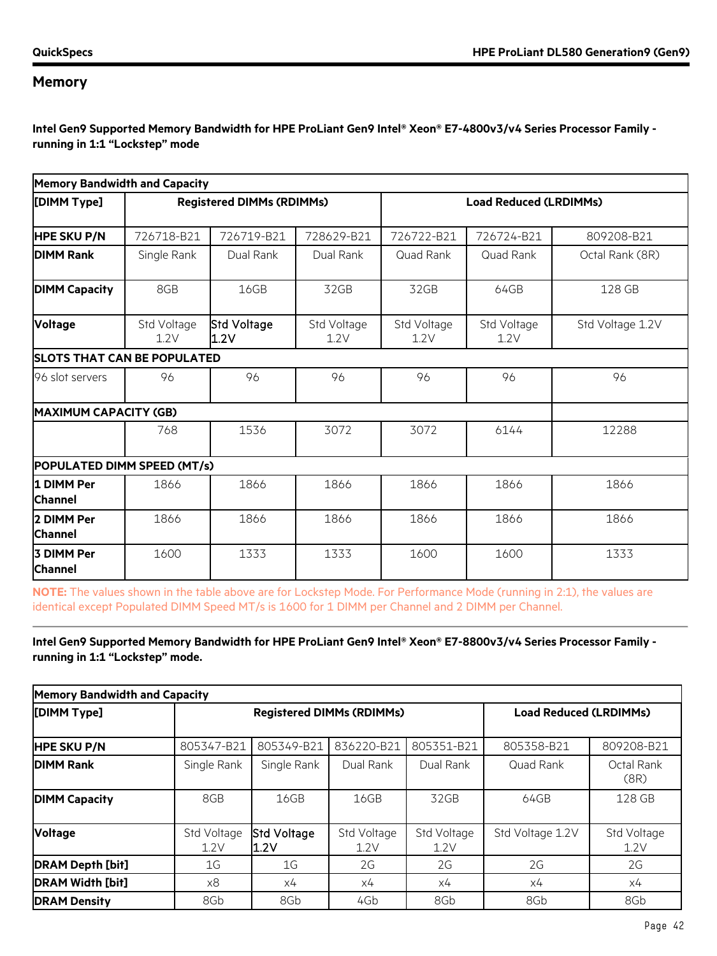**Intel Gen9 Supported Memory Bandwidth for HPE ProLiant Gen9 Intel® Xeon® E7-4800v3/v4 Series Processor Family running in 1:1 "Lockstep" mode**

| <b>Memory Bandwidth and Capacity</b> |                     |                                  |                     |                               |                     |                  |
|--------------------------------------|---------------------|----------------------------------|---------------------|-------------------------------|---------------------|------------------|
| [DIMM Type]                          |                     | <b>Registered DIMMs (RDIMMs)</b> |                     | <b>Load Reduced (LRDIMMs)</b> |                     |                  |
| <b>HPE SKU P/N</b>                   | 726718-B21          | 726719-B21                       | 728629-B21          | 726722-B21                    | 726724-B21          | 809208-B21       |
| <b>DIMM Rank</b>                     | Single Rank         | Dual Rank                        | Dual Rank           | Quad Rank                     | Quad Rank           | Octal Rank (8R)  |
| <b>DIMM Capacity</b>                 | 8GB                 | 16GB                             | 32GB                | 32GB                          | 64GB                | 128 GB           |
| <b>Voltage</b>                       | Std Voltage<br>1.2V | Std Voltage<br>1.2V              | Std Voltage<br>1.2V | Std Voltage<br>1.2V           | Std Voltage<br>1.2V | Std Voltage 1.2V |
| <b>SLOTS THAT CAN BE POPULATED</b>   |                     |                                  |                     |                               |                     |                  |
| 96 slot servers                      | 96                  | 96                               | 96                  | 96                            | 96                  | 96               |
| <b>MAXIMUM CAPACITY (GB)</b>         |                     |                                  |                     |                               |                     |                  |
|                                      | 768                 | 1536                             | 3072                | 3072                          | 6144                | 12288            |
| <b>POPULATED DIMM SPEED (MT/s)</b>   |                     |                                  |                     |                               |                     |                  |
| 1 DIMM Per<br><b>Channel</b>         | 1866                | 1866                             | 1866                | 1866                          | 1866                | 1866             |
| 2 DIMM Per<br><b>Channel</b>         | 1866                | 1866                             | 1866                | 1866                          | 1866                | 1866             |
| 3 DIMM Per<br><b>Channel</b>         | 1600                | 1333                             | 1333                | 1600                          | 1600                | 1333             |

**NOTE:** The values shown in the table above are for Lockstep Mode. For Performance Mode (running in 2:1), the values are identical except Populated DIMM Speed MT/s is 1600 for 1 DIMM per Channel and 2 DIMM per Channel.

#### **Intel Gen9 Supported Memory Bandwidth for HPE ProLiant Gen9 Intel® Xeon® E7-8800v3/v4 Series Processor Family running in 1:1 "Lockstep" mode.**

| <b>Memory Bandwidth and Capacity</b> |                                  |                     |                     |                               |                  |                     |
|--------------------------------------|----------------------------------|---------------------|---------------------|-------------------------------|------------------|---------------------|
| [DIMM Type]                          | <b>Registered DIMMs (RDIMMs)</b> |                     |                     | <b>Load Reduced (LRDIMMs)</b> |                  |                     |
| <b>HPE SKU P/N</b>                   | 805347-B21                       | 805349-B21          | 836220-B21          | 805351-B21                    | 805358-B21       | 809208-B21          |
| <b>DIMM Rank</b>                     | Single Rank                      | Single Rank         | Dual Rank           | Dual Rank                     | Quad Rank        | Octal Rank<br>(8R)  |
| <b>DIMM Capacity</b>                 | 8GB                              | 16GB                | 16GB                | 32GB                          | 64GB             | 128 GB              |
| <b>Voltage</b>                       | Std Voltage<br>1.2V              | Std Voltage<br>1.2V | Std Voltage<br>1.2V | Std Voltage<br>1.2V           | Std Voltage 1.2V | Std Voltage<br>1.2V |
| <b>DRAM Depth [bit]</b>              | 1G                               | 1G                  | 2G                  | 2G                            | 2G               | 2G                  |
| <b>DRAM Width [bit]</b>              | x8                               | х4                  | x4                  | x4                            | х4               | х4                  |
| <b>DRAM Density</b>                  | 8Gb                              | 8Gb                 | 4Gb                 | 8Gb                           | 8Gb              | 8Gb                 |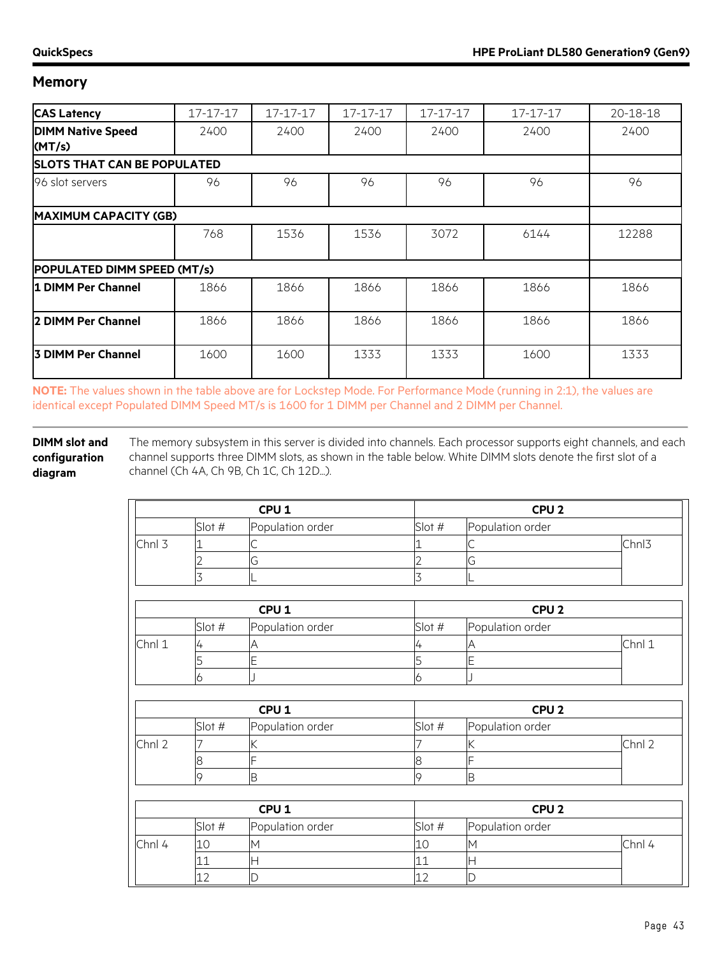| <b>CAS Latency</b>                 | 17-17-17 | 17-17-17 | 17-17-17 | 17-17-17 | 17-17-17 | 20-18-18 |
|------------------------------------|----------|----------|----------|----------|----------|----------|
| <b>DIMM Native Speed</b>           | 2400     | 2400     | 2400     | 2400     | 2400     | 2400     |
| (MT/s)                             |          |          |          |          |          |          |
| <b>SLOTS THAT CAN BE POPULATED</b> |          |          |          |          |          |          |
| 96 slot servers                    | 96       | 96       | 96       | 96       | 96       | 96       |
| <b>MAXIMUM CAPACITY (GB)</b>       |          |          |          |          |          |          |
|                                    | 768      | 1536     | 1536     | 3072     | 6144     | 12288    |
| <b>POPULATED DIMM SPEED (MT/s)</b> |          |          |          |          |          |          |
| 1 DIMM Per Channel                 | 1866     | 1866     | 1866     | 1866     | 1866     | 1866     |
| 2 DIMM Per Channel                 | 1866     | 1866     | 1866     | 1866     | 1866     | 1866     |
| <b>3 DIMM Per Channel</b>          | 1600     | 1600     | 1333     | 1333     | 1600     | 1333     |

**NOTE:** The values shown in the table above are for Lockstep Mode. For Performance Mode (running in 2:1), the values are identical except Populated DIMM Speed MT/s is 1600 for 1 DIMM per Channel and 2 DIMM per Channel.

**DIMM slot and configuration diagram** The memory subsystem in this server is divided into channels. Each processor supports eight channels, and each channel supports three DIMM slots, as shown in the table below. White DIMM slots denote the first slot of a channel (Ch 4A, Ch 9B, Ch 1C, Ch 12D...).

|        | CPU <sub>1</sub> |                  |          | CPU <sub>2</sub> |                   |
|--------|------------------|------------------|----------|------------------|-------------------|
|        | Slot #           | Population order | Slot $#$ | Population order |                   |
| Chnl 3 |                  | ∼                |          |                  | Chn <sub>13</sub> |
|        |                  | U                |          |                  |                   |
|        |                  |                  |          |                  |                   |

| CPU <sub>1</sub> |        |                  | CPU <sub>2</sub> |                  |        |
|------------------|--------|------------------|------------------|------------------|--------|
|                  | Slot # | Population order | Slot#            | Population order |        |
| Chnl 1           |        |                  |                  |                  | Chnl 1 |
|                  |        |                  |                  |                  |        |
|                  |        |                  |                  |                  |        |

| CPU <sub>1</sub> |        |                  |          | CPU <sub>2</sub> |      |
|------------------|--------|------------------|----------|------------------|------|
|                  | Slot # | Population order | Slot $#$ | Population order |      |
| Chnl 2           |        |                  |          |                  | Chnl |
|                  |        |                  |          |                  |      |
|                  |        | ΙB               |          | В                |      |

| CPU <sub>1</sub> |        |                  | CPU <sub>2</sub> |                  |        |
|------------------|--------|------------------|------------------|------------------|--------|
|                  | Slot # | Population order | Slot $#$         | Population order |        |
| Chnl 4           |        | M                |                  |                  | Chnl 4 |
|                  |        | ⊢                |                  |                  |        |
|                  |        |                  |                  |                  |        |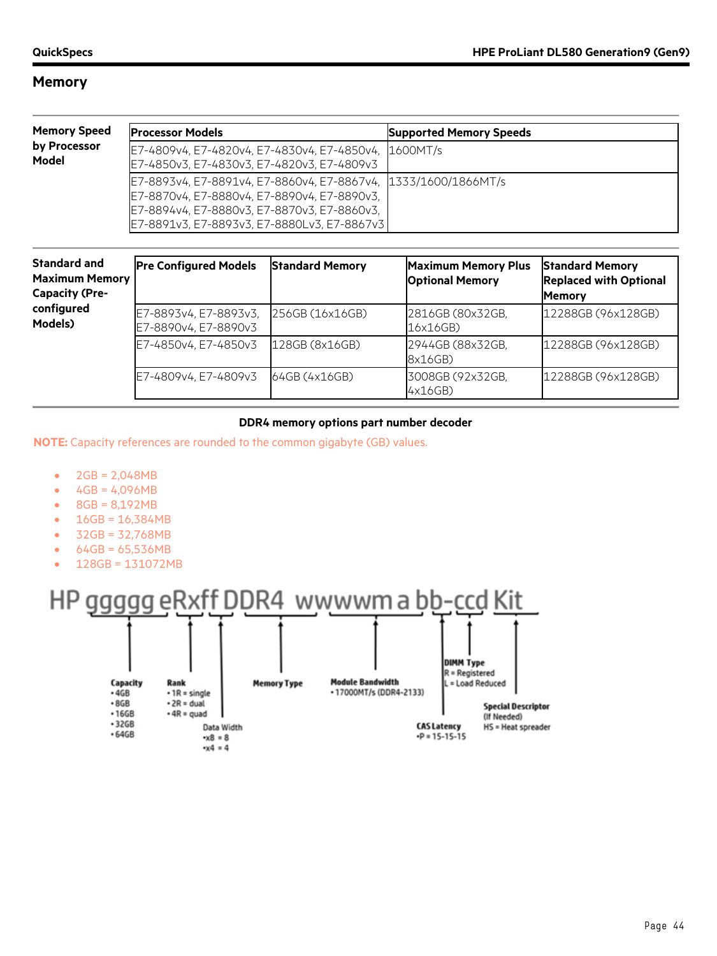| <b>Memory Speed</b>   | <b>Processor Models</b>                                                                                                                                                                                     | <b>Supported Memory Speeds</b> |
|-----------------------|-------------------------------------------------------------------------------------------------------------------------------------------------------------------------------------------------------------|--------------------------------|
| by Processor<br>Model | E7-4809v4, E7-4820v4, E7-4830v4, E7-4850v4, 1600MT/s<br>E7-4850v3, E7-4830v3, E7-4820v3, E7-4809v3                                                                                                          |                                |
|                       | E7-8893v4, E7-8891v4, E7-8860v4, E7-8867v4, 1333/1600/1866MT/s<br>E7-8870v4, E7-8880v4, E7-8890v4, E7-8890v3,<br>E7-8894v4, E7-8880v3, E7-8870v3, E7-8860v3,<br>E7-8891v3, E7-8893v3, E7-8880Lv3, E7-8867v3 |                                |

| <b>Standard and</b><br><b>Maximum Memory</b><br><b>Capacity (Pre-</b> | <b>Pre Configured Models</b>                  | <b>Standard Memory</b> | <b>Maximum Memory Plus</b><br><b>Optional Memory</b> | <b>Standard Memory</b><br><b>Replaced with Optional</b><br><b>Memory</b> |
|-----------------------------------------------------------------------|-----------------------------------------------|------------------------|------------------------------------------------------|--------------------------------------------------------------------------|
| configured<br>Models)                                                 | E7-8893v4, E7-8893v3,<br>E7-8890v4, E7-8890v3 | 256GB (16x16GB)        | 2816GB (80x32GB,<br>16x16GB)                         | 12288GB (96x128GB)                                                       |
|                                                                       | E7-4850v4, E7-4850v3                          | 128GB (8x16GB)         | 2944GB (88x32GB,<br>8x16GB)                          | 12288GB (96x128GB)                                                       |
|                                                                       | E7-4809v4, E7-4809v3                          | 64GB(4x16GB)           | 3008GB (92x32GB,<br>4x16GB)                          | 12288GB (96x128GB)                                                       |

#### **DDR4 memory options part number decoder**

**NOTE:** Capacity references are rounded to the common gigabyte (GB) values.

- 2GB = 2,048MB
- $4GB = 4,096MB$
- 8GB = 8,192MB
- 16GB = 16,384MB
- 32GB = 32,768MB
- 64GB = 65,536MB
- 128GB = 131072MB

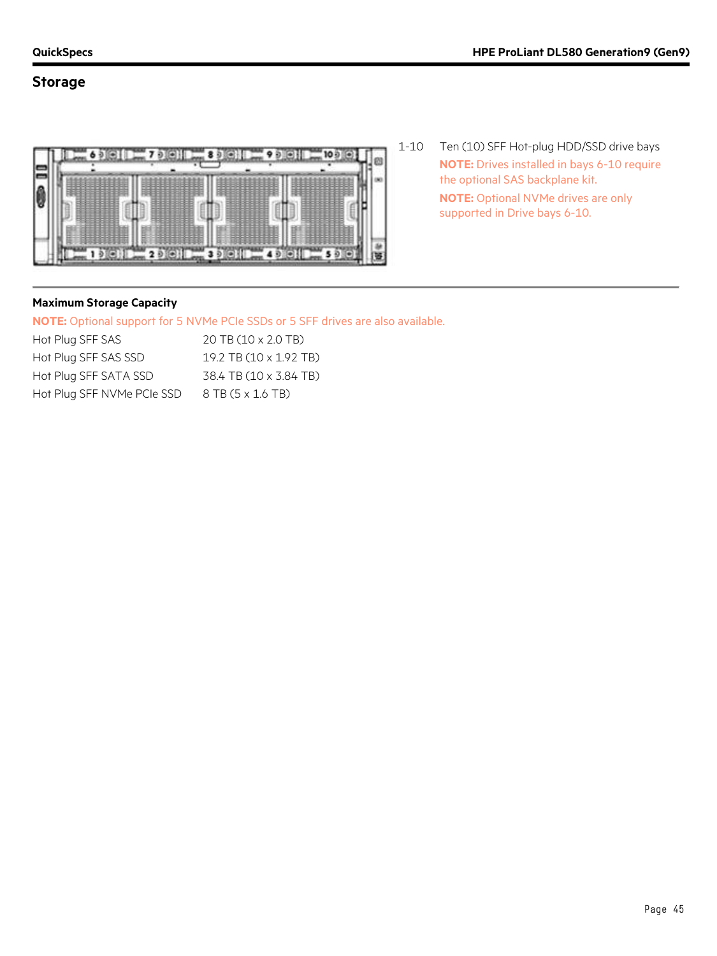### **Storage**



1-10 Ten (10) SFF Hot-plug HDD/SSD drive bays **NOTE:** Drives installed in bays 6-10 require the optional SAS backplane kit. **NOTE:** Optional NVMe drives are only supported in Drive bays 6-10.

#### **Maximum Storage Capacity**

**NOTE:** Optional support for 5 NVMe PCIe SSDs or 5 SFF drives are also available.

| Hot Plug SFF SAS           | 20 TB (10 x 2.0 TB)    |
|----------------------------|------------------------|
| Hot Plug SFF SAS SSD       | 19.2 TB (10 x 1.92 TB) |
| Hot Plug SFF SATA SSD      | 38.4 TB (10 x 3.84 TB) |
| Hot Plug SFF NVMe PCIe SSD | 8 TB (5 x 1.6 TB)      |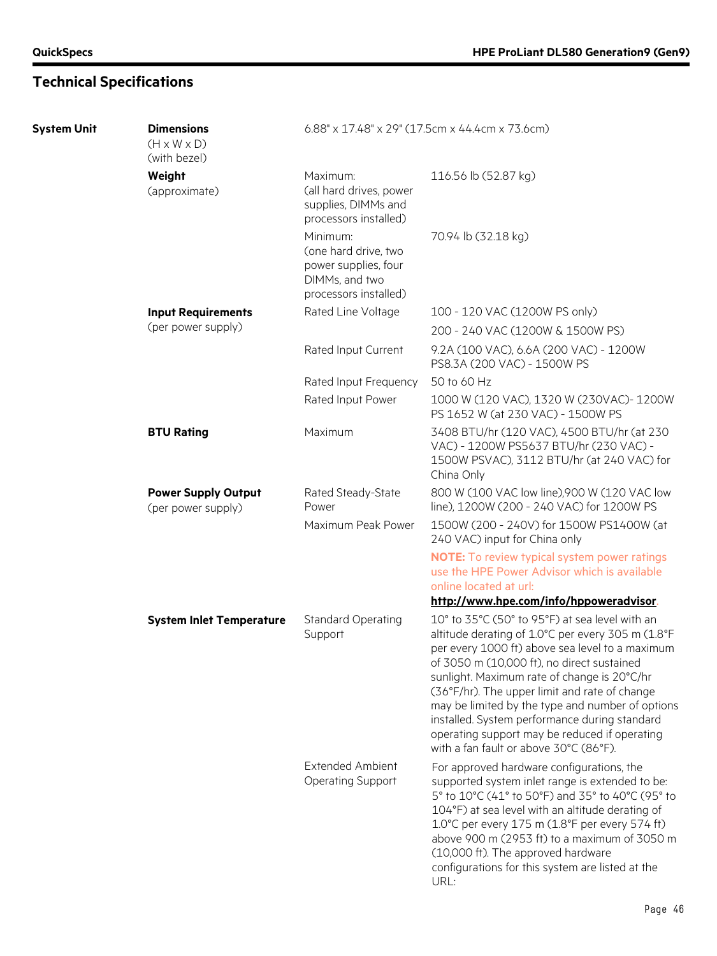| <b>System Unit</b> | <b>Dimensions</b><br>$(H \times W \times D)$<br>(with bezel) | $6.88" \times 17.48" \times 29"$ (17.5cm x 44.4cm x 73.6cm)                                         |                                                                                                                                                                                                                                                                                                                                                                                                                                                                                                      |  |  |
|--------------------|--------------------------------------------------------------|-----------------------------------------------------------------------------------------------------|------------------------------------------------------------------------------------------------------------------------------------------------------------------------------------------------------------------------------------------------------------------------------------------------------------------------------------------------------------------------------------------------------------------------------------------------------------------------------------------------------|--|--|
|                    | Weight<br>(approximate)                                      | Maximum:<br>(all hard drives, power<br>supplies, DIMMs and<br>processors installed)                 | 116.56 lb (52.87 kg)                                                                                                                                                                                                                                                                                                                                                                                                                                                                                 |  |  |
|                    |                                                              | Minimum:<br>(one hard drive, two<br>power supplies, four<br>DIMMs, and two<br>processors installed) | 70.94 lb (32.18 kg)                                                                                                                                                                                                                                                                                                                                                                                                                                                                                  |  |  |
|                    | <b>Input Requirements</b>                                    | Rated Line Voltage                                                                                  | 100 - 120 VAC (1200W PS only)                                                                                                                                                                                                                                                                                                                                                                                                                                                                        |  |  |
|                    | (per power supply)                                           |                                                                                                     | 200 - 240 VAC (1200W & 1500W PS)                                                                                                                                                                                                                                                                                                                                                                                                                                                                     |  |  |
|                    |                                                              | Rated Input Current                                                                                 | 9.2A (100 VAC), 6.6A (200 VAC) - 1200W<br>PS8.3A (200 VAC) - 1500W PS                                                                                                                                                                                                                                                                                                                                                                                                                                |  |  |
|                    |                                                              | Rated Input Frequency                                                                               | 50 to 60 Hz                                                                                                                                                                                                                                                                                                                                                                                                                                                                                          |  |  |
|                    |                                                              | Rated Input Power                                                                                   | 1000 W (120 VAC), 1320 W (230VAC)-1200W<br>PS 1652 W (at 230 VAC) - 1500W PS                                                                                                                                                                                                                                                                                                                                                                                                                         |  |  |
|                    | <b>BTU Rating</b>                                            | Maximum                                                                                             | 3408 BTU/hr (120 VAC), 4500 BTU/hr (at 230<br>VAC) - 1200W PS5637 BTU/hr (230 VAC) -<br>1500W PSVAC), 3112 BTU/hr (at 240 VAC) for<br>China Only                                                                                                                                                                                                                                                                                                                                                     |  |  |
|                    | <b>Power Supply Output</b><br>(per power supply)             | Rated Steady-State<br>Power                                                                         | 800 W (100 VAC low line),900 W (120 VAC low<br>line), 1200W (200 - 240 VAC) for 1200W PS                                                                                                                                                                                                                                                                                                                                                                                                             |  |  |
|                    |                                                              | Maximum Peak Power                                                                                  | 1500W (200 - 240V) for 1500W PS1400W (at<br>240 VAC) input for China only                                                                                                                                                                                                                                                                                                                                                                                                                            |  |  |
|                    |                                                              |                                                                                                     | <b>NOTE:</b> To review typical system power ratings<br>use the HPE Power Advisor which is available<br>online located at url:                                                                                                                                                                                                                                                                                                                                                                        |  |  |
|                    |                                                              |                                                                                                     | http://www.hpe.com/info/hppoweradvisor.                                                                                                                                                                                                                                                                                                                                                                                                                                                              |  |  |
|                    | <b>System Inlet Temperature</b>                              | <b>Standard Operating</b><br>Support                                                                | 10° to 35°C (50° to 95°F) at sea level with an<br>altitude derating of 1.0°C per every 305 m (1.8°F<br>per every 1000 ft) above sea level to a maximum<br>of 3050 m (10,000 ft), no direct sustained<br>sunlight. Maximum rate of change is 20°C/hr<br>(36°F/hr). The upper limit and rate of change<br>may be limited by the type and number of options<br>installed. System performance during standard<br>operating support may be reduced if operating<br>with a fan fault or above 30°C (86°F). |  |  |
|                    |                                                              | <b>Extended Ambient</b><br><b>Operating Support</b>                                                 | For approved hardware configurations, the<br>supported system inlet range is extended to be:<br>5° to 10°C (41° to 50°F) and 35° to 40°C (95° to<br>104°F) at sea level with an altitude derating of<br>1.0°C per every 175 m (1.8°F per every 574 ft)<br>above 900 m (2953 ft) to a maximum of 3050 m<br>(10,000 ft). The approved hardware<br>configurations for this system are listed at the<br>URL:                                                                                             |  |  |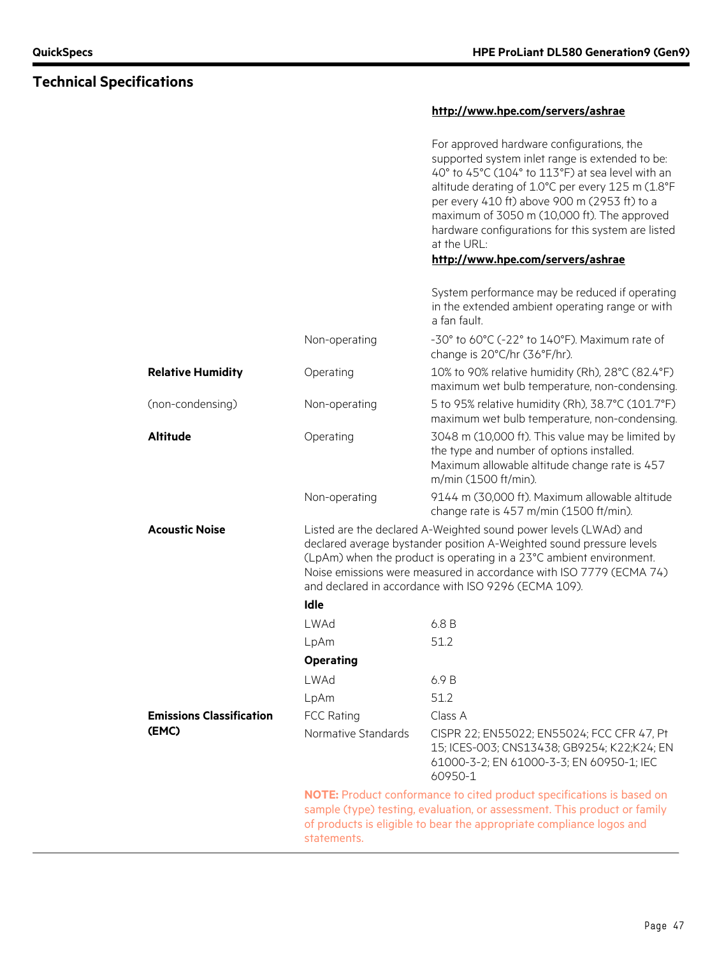### **<http://www.hpe.com/servers/ashrae>**

| For approved hardware configurations, the<br>supported system inlet range is extended to be:<br>40° to 45°C (104° to 113°F) at sea level with an<br>altitude derating of 1.0°C per every 125 m (1.8°F<br>per every 410 ft) above 900 m (2953 ft) to a |
|-------------------------------------------------------------------------------------------------------------------------------------------------------------------------------------------------------------------------------------------------------|
| maximum of 3050 m (10,000 ft). The approved<br>hardware configurations for this system are listed<br>at the URL:                                                                                                                                      |

#### **<http://www.hpe.com/servers/ashrae>**

|                                 |                                                                                                                                                                                                                                                                                                                                                | System performance may be reduced if operating<br>in the extended ambient operating range or with<br>a fan fault.                                                      |  |
|---------------------------------|------------------------------------------------------------------------------------------------------------------------------------------------------------------------------------------------------------------------------------------------------------------------------------------------------------------------------------------------|------------------------------------------------------------------------------------------------------------------------------------------------------------------------|--|
|                                 | Non-operating                                                                                                                                                                                                                                                                                                                                  | -30° to 60°C (-22° to 140°F). Maximum rate of<br>change is 20°C/hr (36°F/hr).                                                                                          |  |
| <b>Relative Humidity</b>        | Operating                                                                                                                                                                                                                                                                                                                                      | 10% to 90% relative humidity (Rh), 28°C (82.4°F)<br>maximum wet bulb temperature, non-condensing.                                                                      |  |
| (non-condensing)                | Non-operating                                                                                                                                                                                                                                                                                                                                  | 5 to 95% relative humidity (Rh), 38.7°C (101.7°F)<br>maximum wet bulb temperature, non-condensing.                                                                     |  |
| <b>Altitude</b>                 | Operating                                                                                                                                                                                                                                                                                                                                      | 3048 m (10,000 ft). This value may be limited by<br>the type and number of options installed.<br>Maximum allowable altitude change rate is 457<br>m/min (1500 ft/min). |  |
|                                 | Non-operating                                                                                                                                                                                                                                                                                                                                  | 9144 m (30,000 ft). Maximum allowable altitude<br>change rate is 457 m/min (1500 ft/min).                                                                              |  |
| <b>Acoustic Noise</b>           | Listed are the declared A-Weighted sound power levels (LWAd) and<br>declared average bystander position A-Weighted sound pressure levels<br>(LpAm) when the product is operating in a 23°C ambient environment.<br>Noise emissions were measured in accordance with ISO 7779 (ECMA 74)<br>and declared in accordance with ISO 9296 (ECMA 109). |                                                                                                                                                                        |  |
|                                 | Idle                                                                                                                                                                                                                                                                                                                                           |                                                                                                                                                                        |  |
|                                 | LWAd                                                                                                                                                                                                                                                                                                                                           | 6.8 B                                                                                                                                                                  |  |
|                                 | LpAm                                                                                                                                                                                                                                                                                                                                           | 51.2                                                                                                                                                                   |  |
|                                 | <b>Operating</b>                                                                                                                                                                                                                                                                                                                               |                                                                                                                                                                        |  |
|                                 | LWAd                                                                                                                                                                                                                                                                                                                                           | 6.9B                                                                                                                                                                   |  |
|                                 | LpAm                                                                                                                                                                                                                                                                                                                                           | 51.2                                                                                                                                                                   |  |
| <b>Emissions Classification</b> | <b>FCC Rating</b>                                                                                                                                                                                                                                                                                                                              | Class A                                                                                                                                                                |  |
| (EMC)                           | Normative Standards                                                                                                                                                                                                                                                                                                                            | CISPR 22; EN55022; EN55024; FCC CFR 47, Pt<br>15; ICES-003; CNS13438; GB9254; K22;K24; EN<br>61000-3-2; EN 61000-3-3; EN 60950-1; IEC<br>60950-1                       |  |
|                                 | NOTE: Product conformance to cited product specifications is based on<br>sample (type) testing, evaluation, or assessment. This product or family<br>of products is eligible to bear the appropriate compliance logos and<br>statements.                                                                                                       |                                                                                                                                                                        |  |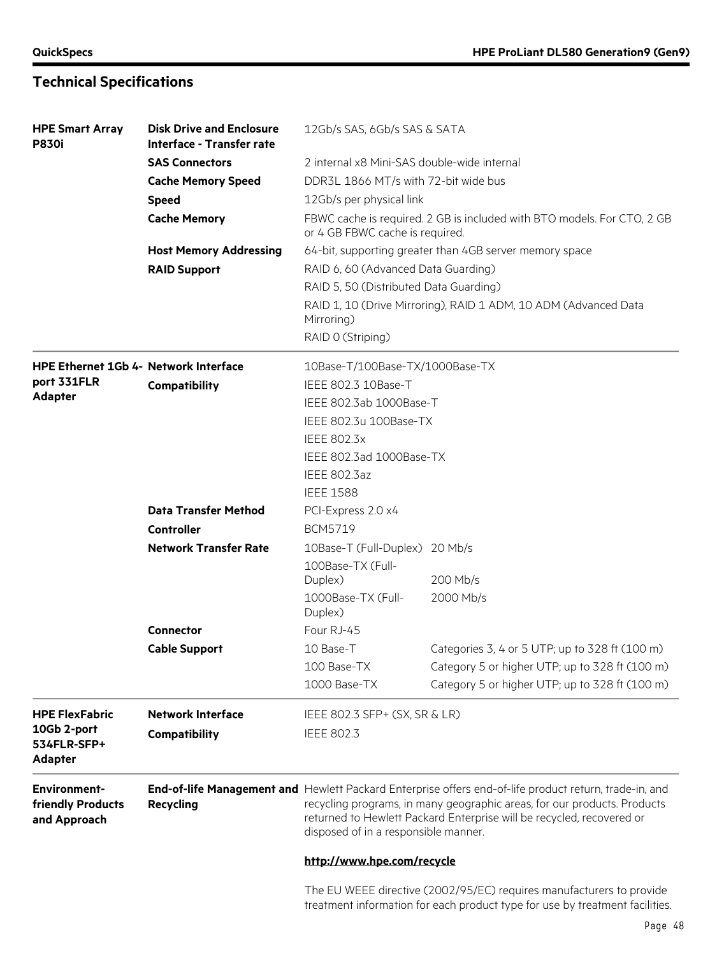| <b>HPE Smart Array</b><br><b>P830i</b>                   | <b>Disk Drive and Enclosure</b><br>Interface - Transfer rate | 12Gb/s SAS, 6Gb/s SAS & SATA                                                                                                                                                                                                                                                                        |                                                                         |  |
|----------------------------------------------------------|--------------------------------------------------------------|-----------------------------------------------------------------------------------------------------------------------------------------------------------------------------------------------------------------------------------------------------------------------------------------------------|-------------------------------------------------------------------------|--|
|                                                          | <b>SAS Connectors</b>                                        | 2 internal x8 Mini-SAS double-wide internal                                                                                                                                                                                                                                                         |                                                                         |  |
|                                                          | <b>Cache Memory Speed</b>                                    | DDR3L 1866 MT/s with 72-bit wide bus                                                                                                                                                                                                                                                                |                                                                         |  |
|                                                          | <b>Speed</b>                                                 | 12Gb/s per physical link                                                                                                                                                                                                                                                                            |                                                                         |  |
|                                                          | <b>Cache Memory</b>                                          | or 4 GB FBWC cache is required.                                                                                                                                                                                                                                                                     | FBWC cache is required. 2 GB is included with BTO models. For CTO, 2 GB |  |
|                                                          | <b>Host Memory Addressing</b>                                |                                                                                                                                                                                                                                                                                                     | 64-bit, supporting greater than 4GB server memory space                 |  |
|                                                          | <b>RAID Support</b>                                          | RAID 6, 60 (Advanced Data Guarding)                                                                                                                                                                                                                                                                 |                                                                         |  |
|                                                          |                                                              | RAID 5, 50 (Distributed Data Guarding)                                                                                                                                                                                                                                                              |                                                                         |  |
|                                                          |                                                              |                                                                                                                                                                                                                                                                                                     | RAID 1, 10 (Drive Mirroring), RAID 1 ADM, 10 ADM (Advanced Data         |  |
|                                                          |                                                              | Mirroring)                                                                                                                                                                                                                                                                                          |                                                                         |  |
|                                                          |                                                              | RAID 0 (Striping)                                                                                                                                                                                                                                                                                   |                                                                         |  |
| <b>HPE Ethernet 1Gb 4- Network Interface</b>             |                                                              | 10Base-T/100Base-TX/1000Base-TX                                                                                                                                                                                                                                                                     |                                                                         |  |
| port 331FLR                                              | Compatibility                                                | IEEE 802.3 10Base-T                                                                                                                                                                                                                                                                                 |                                                                         |  |
| <b>Adapter</b>                                           | IEEE 802.3ab 1000Base-T                                      |                                                                                                                                                                                                                                                                                                     |                                                                         |  |
|                                                          |                                                              | IEEE 802.3u 100Base-TX                                                                                                                                                                                                                                                                              |                                                                         |  |
|                                                          |                                                              | <b>IEEE 802.3x</b>                                                                                                                                                                                                                                                                                  |                                                                         |  |
|                                                          |                                                              | IEEE 802.3ad 1000Base-TX                                                                                                                                                                                                                                                                            |                                                                         |  |
|                                                          |                                                              | <b>IEEE 802.3az</b>                                                                                                                                                                                                                                                                                 |                                                                         |  |
|                                                          |                                                              | <b>IEEE 1588</b>                                                                                                                                                                                                                                                                                    |                                                                         |  |
|                                                          | <b>Data Transfer Method</b>                                  | PCI-Express 2.0 x4                                                                                                                                                                                                                                                                                  |                                                                         |  |
|                                                          | Controller                                                   | <b>BCM5719</b>                                                                                                                                                                                                                                                                                      |                                                                         |  |
|                                                          | <b>Network Transfer Rate</b>                                 | 10Base-T (Full-Duplex) 20 Mb/s                                                                                                                                                                                                                                                                      |                                                                         |  |
|                                                          |                                                              | 100Base-TX (Full-                                                                                                                                                                                                                                                                                   |                                                                         |  |
|                                                          |                                                              | Duplex)                                                                                                                                                                                                                                                                                             | 200 Mb/s                                                                |  |
|                                                          |                                                              | 1000Base-TX (Full-                                                                                                                                                                                                                                                                                  | 2000 Mb/s                                                               |  |
|                                                          |                                                              | Duplex)                                                                                                                                                                                                                                                                                             |                                                                         |  |
|                                                          | <b>Connector</b>                                             | Four RJ-45                                                                                                                                                                                                                                                                                          |                                                                         |  |
|                                                          | <b>Cable Support</b>                                         | 10 Base-T                                                                                                                                                                                                                                                                                           | Categories 3, 4 or 5 UTP; up to 328 ft (100 m)                          |  |
|                                                          |                                                              | 100 Base-TX                                                                                                                                                                                                                                                                                         | Category 5 or higher UTP; up to 328 ft (100 m)                          |  |
|                                                          |                                                              | 1000 Base-TX                                                                                                                                                                                                                                                                                        | Category 5 or higher UTP; up to 328 ft (100 m)                          |  |
| <b>HPE FlexFabric</b>                                    | <b>Network Interface</b>                                     | IEEE 802.3 SFP+ (SX, SR & LR)                                                                                                                                                                                                                                                                       |                                                                         |  |
| 10Gb 2-port                                              | Compatibility                                                | <b>IEEE 802.3</b>                                                                                                                                                                                                                                                                                   |                                                                         |  |
| 534FLR-SFP+<br><b>Adapter</b>                            |                                                              |                                                                                                                                                                                                                                                                                                     |                                                                         |  |
| <b>Environment-</b><br>friendly Products<br>and Approach | <b>Recycling</b>                                             | End-of-life Management and Hewlett Packard Enterprise offers end-of-life product return, trade-in, and<br>recycling programs, in many geographic areas, for our products. Products<br>returned to Hewlett Packard Enterprise will be recycled, recovered or<br>disposed of in a responsible manner. |                                                                         |  |
|                                                          |                                                              | http://www.hpe.com/recycle                                                                                                                                                                                                                                                                          |                                                                         |  |
|                                                          |                                                              |                                                                                                                                                                                                                                                                                                     | The ELLWEEF directive (2002/05/EC) requires manufacturers to provide    |  |

The EU WEEE directive (2002/95/EC) requires manufacturers to provide treatment information for each product type for use by treatment facilities.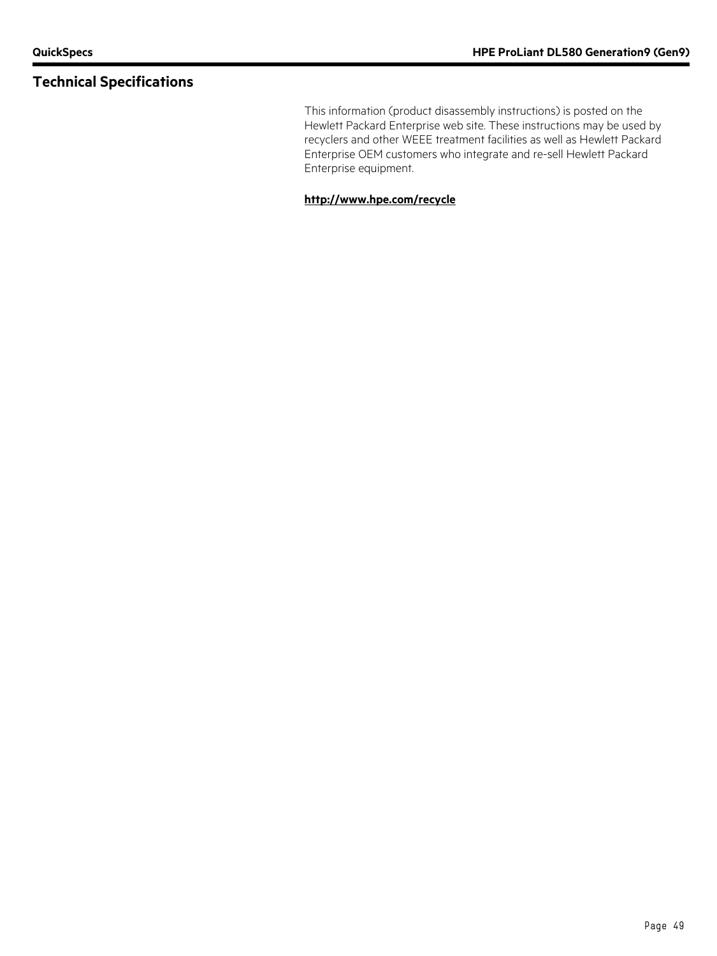This information (product disassembly instructions) is posted on the Hewlett Packard Enterprise web site. These instructions may be used by recyclers and other WEEE treatment facilities as well as Hewlett Packard Enterprise OEM customers who integrate and re-sell Hewlett Packard Enterprise equipment.

#### **<http://www.hpe.com/recycle>**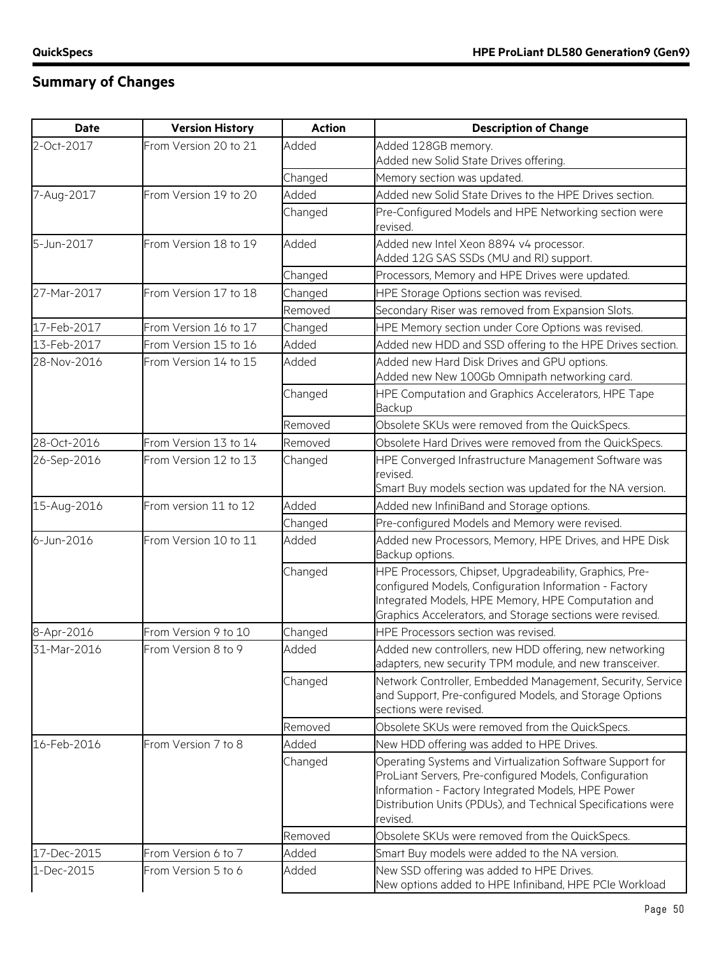# **Summary of Changes**

| <b>Date</b> | <b>Version History</b> | <b>Action</b> | <b>Description of Change</b>                                                                                                                                                                                                                          |
|-------------|------------------------|---------------|-------------------------------------------------------------------------------------------------------------------------------------------------------------------------------------------------------------------------------------------------------|
| 2-Oct-2017  | From Version 20 to 21  | Added         | Added 128GB memory.<br>Added new Solid State Drives offering.                                                                                                                                                                                         |
|             |                        | Changed       | Memory section was updated.                                                                                                                                                                                                                           |
| 7-Aug-2017  | From Version 19 to 20  | Added         | Added new Solid State Drives to the HPE Drives section.                                                                                                                                                                                               |
|             |                        | Changed       | Pre-Configured Models and HPE Networking section were<br>revised.                                                                                                                                                                                     |
| 5-Jun-2017  | From Version 18 to 19  | Added         | Added new Intel Xeon 8894 v4 processor.<br>Added 12G SAS SSDs (MU and RI) support.                                                                                                                                                                    |
|             |                        | Changed       | Processors, Memory and HPE Drives were updated.                                                                                                                                                                                                       |
| 27-Mar-2017 | From Version 17 to 18  | Changed       | HPE Storage Options section was revised.                                                                                                                                                                                                              |
|             |                        | Removed       | Secondary Riser was removed from Expansion Slots.                                                                                                                                                                                                     |
| 17-Feb-2017 | From Version 16 to 17  | Changed       | HPE Memory section under Core Options was revised.                                                                                                                                                                                                    |
| 13-Feb-2017 | From Version 15 to 16  | Added         | Added new HDD and SSD offering to the HPE Drives section.                                                                                                                                                                                             |
| 28-Nov-2016 | From Version 14 to 15  | Added         | Added new Hard Disk Drives and GPU options.<br>Added new New 100Gb Omnipath networking card.                                                                                                                                                          |
|             |                        | Changed       | HPE Computation and Graphics Accelerators, HPE Tape<br>Backup                                                                                                                                                                                         |
|             |                        | Removed       | Obsolete SKUs were removed from the QuickSpecs.                                                                                                                                                                                                       |
| 28-Oct-2016 | From Version 13 to 14  | Removed       | Obsolete Hard Drives were removed from the QuickSpecs.                                                                                                                                                                                                |
| 26-Sep-2016 | From Version 12 to 13  | Changed       | HPE Converged Infrastructure Management Software was<br>revised.<br>Smart Buy models section was updated for the NA version.                                                                                                                          |
| 15-Aug-2016 | From version 11 to 12  | Added         | Added new InfiniBand and Storage options.                                                                                                                                                                                                             |
|             |                        | Changed       | Pre-configured Models and Memory were revised.                                                                                                                                                                                                        |
| 6-Jun-2016  | From Version 10 to 11  | Added         | Added new Processors, Memory, HPE Drives, and HPE Disk<br>Backup options.                                                                                                                                                                             |
|             |                        | Changed       | HPE Processors, Chipset, Upgradeability, Graphics, Pre-<br>configured Models, Configuration Information - Factory<br>Integrated Models, HPE Memory, HPE Computation and<br>Graphics Accelerators, and Storage sections were revised.                  |
| 8-Apr-2016  | From Version 9 to 10   | Changed       | HPE Processors section was revised.                                                                                                                                                                                                                   |
| 31-Mar-2016 | From Version 8 to 9    | Added         | Added new controllers, new HDD offering, new networking<br>adapters, new security TPM module, and new transceiver.                                                                                                                                    |
|             |                        | Changed       | Network Controller, Embedded Management, Security, Service<br>and Support, Pre-configured Models, and Storage Options<br>sections were revised.                                                                                                       |
|             |                        | Removed       | Obsolete SKUs were removed from the QuickSpecs.                                                                                                                                                                                                       |
| 16-Feb-2016 | From Version 7 to 8    | Added         | New HDD offering was added to HPE Drives.                                                                                                                                                                                                             |
|             |                        | Changed       | Operating Systems and Virtualization Software Support for<br>ProLiant Servers, Pre-configured Models, Configuration<br>Information - Factory Integrated Models, HPE Power<br>Distribution Units (PDUs), and Technical Specifications were<br>revised. |
|             |                        | Removed       | Obsolete SKUs were removed from the QuickSpecs.                                                                                                                                                                                                       |
| 17-Dec-2015 | From Version 6 to 7    | Added         | Smart Buy models were added to the NA version.                                                                                                                                                                                                        |
| 1-Dec-2015  | From Version 5 to 6    | Added         | New SSD offering was added to HPE Drives.<br>New options added to HPE Infiniband, HPE PCIe Workload                                                                                                                                                   |